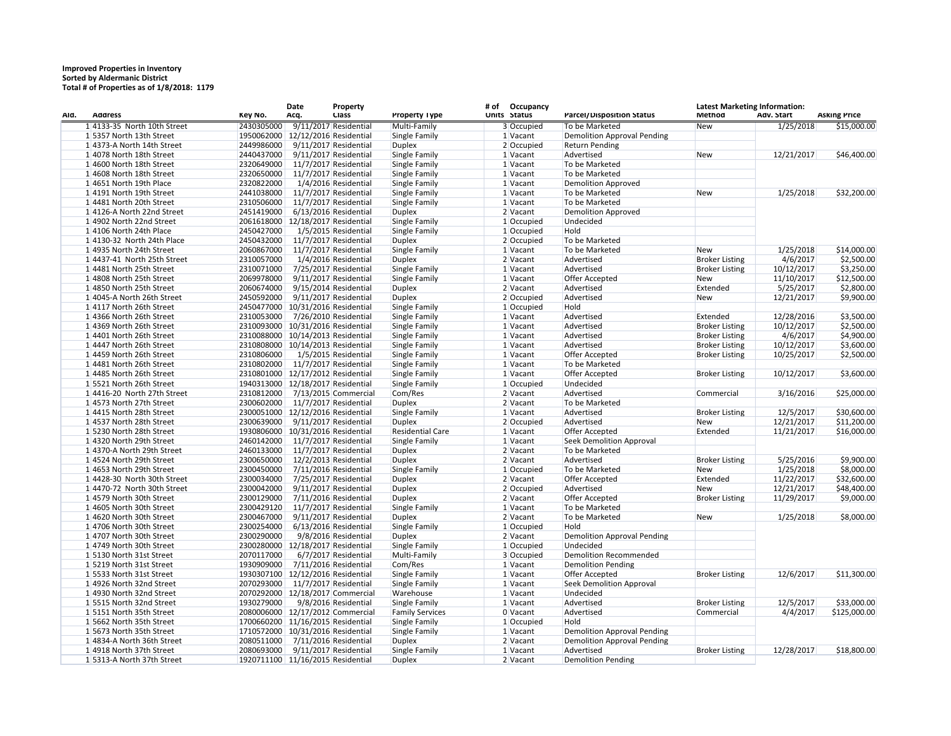## **Improved Properties in Inventory Sorted by Aldermanic District Total # of Properties as of 1/8/2018: 1179**

| AId. | <b>Address</b>                | Key No.    | Date<br>Acq.                      | Property<br><b>Class</b> | Property Type           | # of | Occupancy<br>Units Status | Parcel/Disposition Status          | <b>Latest Marketing Information:</b><br><b>Method</b> | Adv. Start | <b>Asking Price</b> |
|------|-------------------------------|------------|-----------------------------------|--------------------------|-------------------------|------|---------------------------|------------------------------------|-------------------------------------------------------|------------|---------------------|
|      | $1 4133-35$ North 10th Street | 2430305000 |                                   | 9/11/2017 Residential    | Multi-Family            |      | 3 Occupied                | To be Marketed                     | <b>New</b>                                            | 1/25/2018  | \$15,000.00         |
|      | 15357 North 13th Street       |            | 1950062000 12/12/2016 Residential |                          | Single Family           |      | 1 Vacant                  | <b>Demolition Approval Pending</b> |                                                       |            |                     |
|      | 1 4373-A North 14th Street    | 2449986000 |                                   | $9/11/2017$ Residential  | <b>Duplex</b>           |      | 2 Occupied                | <b>Return Pending</b>              |                                                       |            |                     |
|      | 1 4078 North 18th Street      | 2440437000 |                                   | $9/11/2017$ Residential  | Single Family           |      | 1 Vacant                  | Advertised                         | New                                                   | 12/21/2017 | \$46,400.00         |
|      | 1 4600 North 18th Street      | 2320649000 |                                   | 11/7/2017 Residential    | Single Family           |      | 1 Vacant                  | To be Marketed                     |                                                       |            |                     |
|      | 1 4608 North 18th Street      | 2320650000 |                                   | 11/7/2017 Residential    | Single Family           |      | 1 Vacant                  | To be Marketed                     |                                                       |            |                     |
|      | 14651 North 19th Place        | 2320822000 |                                   | 1/4/2016 Residential     | Single Family           |      | 1 Vacant                  | <b>Demolition Approved</b>         |                                                       |            |                     |
|      | 14191 North 19th Street       | 2441038000 |                                   | $11/7/2017$ Residential  | Single Family           |      | 1 Vacant                  | To be Marketed                     | New                                                   | 1/25/2018  | \$32,200.00         |
|      | 1 4481 North 20th Street      | 2310506000 |                                   | 11/7/2017 Residential    | Single Family           |      | 1 Vacant                  | To be Marketed                     |                                                       |            |                     |
|      | 14126-A North 22nd Street     | 2451419000 |                                   | $6/13/2016$ Residential  | <b>Duplex</b>           |      | 2 Vacant                  | <b>Demolition Approved</b>         |                                                       |            |                     |
|      | 14902 North 22nd Street       |            | 2061618000 12/18/2017 Residential |                          | Single Family           |      | 1 Occupied                | Undecided                          |                                                       |            |                     |
|      | 14106 North 24th Place        | 2450427000 |                                   | 1/5/2015 Residential     | Single Family           |      | $1$ Occupied              | Hold                               |                                                       |            |                     |
|      | 1 4130-32 North 24th Place    | 2450432000 |                                   | $11/7/2017$ Residential  | <b>Duplex</b>           |      | 2 Occupied                | To be Marketed                     |                                                       |            |                     |
|      | 1 4935 North 24th Street      | 2060867000 |                                   | $11/7/2017$ Residential  | Single Family           |      | $1$ Vacant                | To be Marketed                     | <b>New</b>                                            | 1/25/2018  | \$14,000.00         |
|      | $1 4437-41$ North 25th Street | 2310057000 |                                   | 1/4/2016 Residential     | <b>Duplex</b>           |      | 2 Vacant                  | Advertised                         | <b>Broker Listing</b>                                 | 4/6/2017   | \$2,500.00          |
|      | 14481 North 25th Street       | 2310071000 |                                   | 7/25/2017 Residential    | Single Family           |      | 1 Vacant                  | Advertised                         |                                                       | 10/12/2017 |                     |
|      |                               |            |                                   |                          |                         |      |                           |                                    | <b>Broker Listing</b>                                 |            | \$3,250.00          |
|      | 1 4808 North 25th Street      | 2069978000 |                                   | $9/11/2017$ Residential  | Single Family           |      | 1 Vacant                  | <b>Offer Accepted</b>              | <b>New</b>                                            | 11/10/2017 | \$12,500.00         |
|      | 1 4850 North 25th Street      | 2060674000 |                                   | $9/15/2014$ Residential  | <b>Duplex</b>           |      | 2 Vacant                  | Advertised                         | Extended                                              | 5/25/2017  | \$2,800.00          |
|      | 1 4045-A North 26th Street    | 2450592000 |                                   | $9/11/2017$ Residential  | <b>Duplex</b>           |      | 2 Occupied                | Advertised                         | <b>New</b>                                            | 12/21/2017 | \$9,900.00          |
|      | 14117 North 26th Street       |            | 2450477000 10/31/2016 Residential |                          | Single Family           |      | $1$ Occupied              | Hold                               |                                                       |            |                     |
|      | 1 4366 North 26th Street      | 2310053000 |                                   | 7/26/2010 Residential    | Single Family           |      | $1$ Vacant                | Advertised                         | Extended                                              | 12/28/2016 | \$3,500.00          |
|      | 1 4369 North 26th Street      |            | 2310093000 10/31/2016 Residential |                          | Single Family           |      | 1 Vacant                  | Advertised                         | <b>Broker Listing</b>                                 | 10/12/2017 | \$2,500.00          |
|      | 1 4401 North 26th Street      |            | 2310088000 10/14/2013 Residential |                          | Single Family           |      | 1 Vacant                  | Advertised                         | <b>Broker Listing</b>                                 | 4/6/2017   | \$4,900.00          |
|      | 14447 North 26th Street       |            | 2310808000 10/14/2013 Residential |                          | Single Family           |      | 1 Vacant                  | Advertised                         | <b>Broker Listing</b>                                 | 10/12/2017 | \$3,600.00          |
|      | 14459 North 26th Street       | 2310806000 |                                   | 1/5/2015 Residential     | Single Family           |      | 1 Vacant                  | Offer Accepted                     | <b>Broker Listing</b>                                 | 10/25/2017 | \$2,500.00          |
|      | 14481 North 26th Street       | 2310802000 |                                   | 11/7/2017 Residential    | Single Family           |      | 1 Vacant                  | To be Marketed                     |                                                       |            |                     |
|      | 1 4485 North 26th Street      |            | 2310801000 12/17/2012 Residential |                          | Single Family           |      | 1 Vacant                  | Offer Accepted                     | <b>Broker Listing</b>                                 | 10/12/2017 | \$3,600.00          |
|      | 15521 North 26th Street       |            | 1940313000 12/18/2017 Residential |                          | Single Family           |      | 1 Occupied                | Undecided                          |                                                       |            |                     |
|      | $1 4416-20$ North 27th Street | 2310812000 |                                   | 7/13/2015 Commercial     | Com/Res                 |      | 2 Vacant                  | Advertised                         | Commercial                                            | 3/16/2016  | \$25,000.00         |
|      | 14573 North 27th Street       | 2300602000 |                                   | 11/7/2017 Residential    | <b>Duplex</b>           |      | 2 Vacant                  | To be Marketed                     |                                                       |            |                     |
|      | 14415 North 28th Street       |            | 2300051000 12/12/2016 Residential |                          | Single Family           |      | 1 Vacant                  | Advertised                         | <b>Broker Listing</b>                                 | 12/5/2017  | \$30,600.00         |
|      | 14537 North 28th Street       | 2300639000 |                                   | $9/11/2017$ Residential  | <b>Duplex</b>           |      | 2 Occupied                | Advertised                         | <b>New</b>                                            | 12/21/2017 | \$11,200.00         |
|      | 15230 North 28th Street       | 1930806000 | 10/31/2016 Residential            |                          | <b>Residential Care</b> |      | 1 Vacant                  | <b>Offer Accepted</b>              | Extended                                              | 11/21/2017 | \$16,000.00         |
|      | 1 4320 North 29th Street      | 2460142000 |                                   | 11/7/2017 Residential    | Single Family           |      | 1 Vacant                  | Seek Demolition Approval           |                                                       |            |                     |
|      | 1 4370-A North 29th Street    | 2460133000 |                                   | 11/7/2017 Residential    | <b>Duplex</b>           |      | 2 Vacant                  | To be Marketed                     |                                                       |            |                     |
|      | 14524 North 29th Street       | 2300650000 |                                   | 12/2/2013 Residential    | <b>Duplex</b>           |      | 2 Vacant                  | Advertised                         | <b>Broker Listing</b>                                 | 5/25/2016  | \$9,900.00          |
|      | 1 4653 North 29th Street      | 2300450000 |                                   | 7/11/2016 Residential    | Single Family           |      | 1 Occupied                | To be Marketed                     | New                                                   | 1/25/2018  | \$8,000.00          |
|      | $1 4428-30$ North 30th Street | 2300034000 |                                   | 7/25/2017 Residential    | <b>Duplex</b>           |      | 2 Vacant                  | Offer Accepted                     | Extended                                              | 11/22/2017 | \$32,600.00         |
|      | $1 4470-72$ North 30th Street | 2300042000 |                                   | 9/11/2017 Residential    | <b>Duplex</b>           |      | 2 Occupied                | Advertised                         | <b>New</b>                                            | 12/21/2017 | \$48,400.00         |
|      | 1 4579 North 30th Street      | 2300129000 |                                   | 7/11/2016 Residential    | <b>Duplex</b>           |      | 2 Vacant                  | Offer Accepted                     | <b>Broker Listing</b>                                 | 11/29/2017 | \$9,000.00          |
|      | 1 4605 North 30th Street      | 2300429120 |                                   | 11/7/2017 Residential    | Single Family           |      | 1 Vacant                  | To be Marketed                     |                                                       |            |                     |
|      | 14620 North 30th Street       | 2300467000 |                                   | $9/11/2017$ Residential  | <b>Duplex</b>           |      | 2 Vacant                  | To be Marketed                     | New                                                   | 1/25/2018  | \$8,000.00          |
|      | 1 4706 North 30th Street      | 2300254000 |                                   | $6/13/2016$ Residential  | Single Family           |      | 1 Occupied                | Hold                               |                                                       |            |                     |
|      | $1 4707$ North 30th Street    | 2300290000 |                                   | 9/8/2016 Residential     | <b>Duplex</b>           |      | 2 Vacant                  | <b>Demolition Approval Pending</b> |                                                       |            |                     |
|      | 1 4749 North 30th Street      |            | 2300280000 12/18/2017 Residential |                          | Single Family           |      | 1 Occupied                | Undecided                          |                                                       |            |                     |
|      | 15130 North 31st Street       | 2070117000 |                                   | 6/7/2017 Residential     | Multi-Family            |      | 3 Occupied                | <b>Demolition Recommended</b>      |                                                       |            |                     |
|      | 15219 North 31st Street       | 1930909000 |                                   | 7/11/2016 Residential    | Com/Res                 |      | 1 Vacant                  | <b>Demolition Pending</b>          |                                                       |            |                     |
|      | 15533 North 31st Street       |            | 1930307100 12/12/2016 Residential |                          | Single Family           |      | 1 Vacant                  | Offer Accepted                     | <b>Broker Listing</b>                                 | 12/6/2017  | \$11,300.00         |
|      | 14926 North 32nd Street       | 2070293000 |                                   | 11/7/2017 Residential    | Single Family           |      | 1 Vacant                  | <b>Seek Demolition Approval</b>    |                                                       |            |                     |
|      | 1 4930 North 32nd Street      |            | 2070292000 12/18/2017 Commercial  |                          | Warehouse               |      | 1 Vacant                  | Undecided                          |                                                       |            |                     |
|      | 15515 North 32nd Street       | 1930279000 |                                   | 9/8/2016 Residential     | Single Family           |      | 1 Vacant                  | Advertised                         | <b>Broker Listing</b>                                 | 12/5/2017  | \$33,000.00         |
|      | 15151 North 35th Street       |            | 2080006000 12/17/2012 Commercial  |                          | <b>Family Services</b>  |      | 0 Vacant                  | Advertised                         | Commercial                                            | 4/4/2017   | \$125,000.00        |
|      | 15662 North 35th Street       |            | 1700660200 11/16/2015 Residential |                          | Single Family           |      | 1 Occupied                | Hold                               |                                                       |            |                     |
|      | 15673 North 35th Street       |            | 1710572000 10/31/2016 Residential |                          | Single Family           |      | 1 Vacant                  | <b>Demolition Approval Pending</b> |                                                       |            |                     |
|      | 1 4834-A North 36th Street    | 2080511000 |                                   | 7/11/2016 Residential    |                         |      | 2 Vacant                  | <b>Demolition Approval Pending</b> |                                                       |            |                     |
|      | 1 4918 North 37th Street      | 2080693000 |                                   |                          | <b>Duplex</b>           |      |                           | Advertised                         | <b>Broker Listing</b>                                 | 12/28/2017 | \$18,800.00         |
|      |                               |            |                                   | 9/11/2017 Residential    | Single Family           |      | 1 Vacant                  |                                    |                                                       |            |                     |
|      | 15313-A North 37th Street     |            | 1920711100 11/16/2015 Residential |                          | <b>Duplex</b>           |      | $2$ Vacant                | <b>Demolition Pending</b>          |                                                       |            |                     |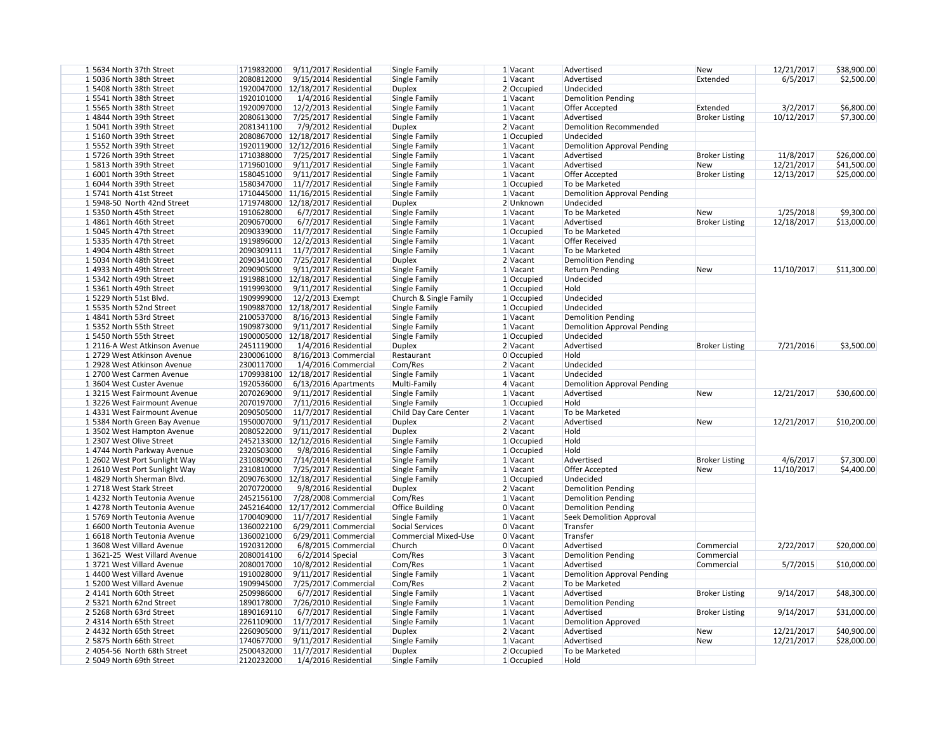| 15634 North 37th Street       | 1719832000<br>$9/11/2017$ Residential | Single Family               | 1 Vacant     | Advertised                         | <b>New</b>            | 12/21/2017 | \$38,900.00 |
|-------------------------------|---------------------------------------|-----------------------------|--------------|------------------------------------|-----------------------|------------|-------------|
| 15036 North 38th Street       | 2080812000<br>9/15/2014 Residential   | Single Family               | 1 Vacant     | Advertised                         | Extended              | 6/5/2017   | \$2,500.00  |
| 15408 North 38th Street       | 1920047000 12/18/2017 Residential     | <b>Duplex</b>               | 2 Occupied   | Undecided                          |                       |            |             |
| 15541 North 38th Street       | 1920101000<br>1/4/2016 Residential    | Single Family               | 1 Vacant     | <b>Demolition Pending</b>          |                       |            |             |
| 15565 North 38th Street       | 1920097000<br>12/2/2013 Residential   | Single Family               | 1 Vacant     | Offer Accepted                     | Extended              | 3/2/2017   | \$6,800.00  |
| 1 4844 North 39th Street      | 2080613000<br>7/25/2017 Residential   | Single Family               | 1 Vacant     | Advertised                         | <b>Broker Listing</b> | 10/12/2017 | \$7,300.00  |
| 15041 North 39th Street       | 2081341100<br>7/9/2012 Residential    | Duplex                      | 2 Vacant     | Demolition Recommended             |                       |            |             |
| 15160 North 39th Street       | 2080867000 12/18/2017 Residential     | Single Family               | 1 Occupied   | Undecided                          |                       |            |             |
| 15552 North 39th Street       | 1920119000 12/12/2016 Residential     | Single Family               | 1 Vacant     | Demolition Approval Pending        |                       |            |             |
| 15726 North 39th Street       | 1710388000<br>7/25/2017 Residential   | Single Family               | 1 Vacant     | Advertised                         | <b>Broker Listing</b> | 11/8/2017  | \$26,000.00 |
|                               |                                       |                             |              |                                    |                       |            |             |
| 1 5813 North 39th Street      | 1719601000<br>9/11/2017 Residential   | Single Family               | 1 Vacant     | Advertised                         | New                   | 12/21/2017 | \$41,500.00 |
| 1 6001 North 39th Street      | 1580451000<br>9/11/2017 Residential   | Single Family               | 1 Vacant     | Offer Accepted                     | <b>Broker Listing</b> | 12/13/2017 | \$25,000.00 |
| 1 6044 North 39th Street      | 1580347000<br>11/7/2017 Residential   | Single Family               | 1 Occupied   | To be Marketed                     |                       |            |             |
| 15741 North 41st Street       | 1710445000 11/16/2015 Residential     | Single Family               | $1$ Vacant   | <b>Demolition Approval Pending</b> |                       |            |             |
| 1 5948-50 North 42nd Street   | 1719748000 12/18/2017 Residential     | <b>Duplex</b>               | 2 Unknown    | Undecided                          |                       |            |             |
| 15350 North 45th Street       | 1910628000<br>6/7/2017 Residential    | Single Family               | 1 Vacant     | To be Marketed                     | <b>New</b>            | 1/25/2018  | \$9,300.00  |
| 1 4861 North 46th Street      | 2090670000<br>6/7/2017 Residential    | Single Family               | 1 Vacant     | Advertised                         | <b>Broker Listing</b> | 12/18/2017 | \$13,000.00 |
| 15045 North 47th Street       | 2090339000<br>11/7/2017 Residential   | Single Family               | 1 Occupied   | To be Marketed                     |                       |            |             |
| 15335 North 47th Street       | 1919896000<br>12/2/2013 Residential   | Single Family               | 1 Vacant     | <b>Offer Received</b>              |                       |            |             |
|                               |                                       |                             |              |                                    |                       |            |             |
| 14904 North 48th Street       | 2090309111<br>11/7/2017 Residential   | Single Family               | 1 Vacant     | To be Marketed                     |                       |            |             |
| 15034 North 48th Street       | 2090341000<br>7/25/2017 Residential   | Duplex                      | 2 Vacant     | <b>Demolition Pending</b>          |                       |            |             |
| 1 4933 North 49th Street      | 2090905000<br>9/11/2017 Residential   | Single Family               | 1 Vacant     | <b>Return Pending</b>              | <b>New</b>            | 11/10/2017 | \$11,300.00 |
| 1 5342 North 49th Street      | 1919881000 12/18/2017 Residential     | Single Family               | 1 Occupied   | Undecided                          |                       |            |             |
| 1 5361 North 49th Street      | 1919993000<br>$9/11/2017$ Residential | Single Family               | 1 Occupied   | Hold                               |                       |            |             |
| 15229 North 51st Blvd.        | 1909999000<br>12/2/2013 Exempt        | Church & Single Family      | 1 Occupied   | Undecided                          |                       |            |             |
| 15535 North 52nd Street       | 1909887000<br>12/18/2017 Residential  | Single Family               | 1 Occupied   | Undecided                          |                       |            |             |
| 14841 North 53rd Street       | 2100537000<br>8/16/2013 Residential   | Single Family               | 1 Vacant     | <b>Demolition Pending</b>          |                       |            |             |
| 15352 North 55th Street       | 1909873000<br>$9/11/2017$ Residential | Single Family               | $1$ Vacant   |                                    |                       |            |             |
|                               |                                       |                             |              | <b>Demolition Approval Pending</b> |                       |            |             |
| 15450 North 55th Street       | 1900005000 12/18/2017 Residential     | Single Family               | $1$ Occupied | Undecided                          |                       |            |             |
| 1 2116-A West Atkinson Avenue | 2451119000<br>1/4/2016 Residential    | <b>Duplex</b>               | 2 Vacant     | Advertised                         | <b>Broker Listing</b> | 7/21/2016  | \$3,500.00  |
| 1 2729 West Atkinson Avenue   | 2300061000<br>8/16/2013 Commercial    | Restaurant                  | 0 Occupied   | Hold                               |                       |            |             |
| 1 2928 West Atkinson Avenue   | 2300117000<br>1/4/2016 Commercial     | Com/Res                     | 2 Vacant     | Undecided                          |                       |            |             |
| 1 2700 West Carmen Avenue     | 1709938100 12/18/2017 Residential     | Single Family               | 1 Vacant     | Undecided                          |                       |            |             |
| 13604 West Custer Avenue      | 1920536000<br>$6/13/2016$ Apartments  | Multi-Family                | 4 Vacant     | <b>Demolition Approval Pending</b> |                       |            |             |
| 13215 West Fairmount Avenue   | 2070269000<br>9/11/2017 Residential   | Single Family               | 1 Vacant     | Advertised                         | New                   | 12/21/2017 | \$30,600.00 |
| 13226 West Fairmount Avenue   | 2070197000<br>7/11/2016 Residential   | Single Family               | 1 Occupied   | Hold                               |                       |            |             |
| 1 4331 West Fairmount Avenue  | 2090505000 11/7/2017 Residential      | Child Day Care Center       |              | To be Marketed                     |                       |            |             |
|                               |                                       |                             | 1 Vacant     |                                    |                       |            |             |
| 1 5384 North Green Bay Avenue | 1950007000<br>9/11/2017 Residential   | Duplex                      | 2 Vacant     | Advertised                         | New                   | 12/21/2017 | \$10,200.00 |
| 13502 West Hampton Avenue     | 2080522000<br>9/11/2017 Residential   | Duplex                      | 2 Vacant     | Hold                               |                       |            |             |
| 1 2307 West Olive Street      | 2452133000 12/12/2016 Residential     | Single Family               | 1 Occupied   | Hold                               |                       |            |             |
| 14744 North Parkway Avenue    | 2320503000<br>9/8/2016 Residential    | Single Family               | 1 Occupied   | Hold                               |                       |            |             |
| 1 2602 West Port Sunlight Way | 2310809000<br>7/14/2014 Residential   | Single Family               | 1 Vacant     | Advertised                         | <b>Broker Listing</b> | 4/6/2017   | \$7,300.00  |
| 1 2610 West Port Sunlight Way | 2310810000<br>7/25/2017 Residential   | Single Family               | 1 Vacant     | Offer Accepted                     | <b>New</b>            | 11/10/2017 | \$4,400.00  |
| 1 4829 North Sherman Blvd.    | 2090763000 12/18/2017 Residential     | Single Family               | 1 Occupied   | Undecided                          |                       |            |             |
| 12718 West Stark Street       | 2070720000<br>9/8/2016 Residential    | <b>Duplex</b>               | 2 Vacant     | <b>Demolition Pending</b>          |                       |            |             |
| 1 4232 North Teutonia Avenue  | 2452156100<br>7/28/2008 Commercial    | Com/Res                     | 1 Vacant     | Demolition Pending                 |                       |            |             |
| 1 4278 North Teutonia Avenue  | 2452164000 12/17/2012 Commercial      | <b>Office Building</b>      | 0 Vacant     | <b>Demolition Pending</b>          |                       |            |             |
|                               |                                       |                             |              |                                    |                       |            |             |
| 1 5769 North Teutonia Avenue  | 1700409000<br>11/7/2017 Residential   | Single Family               | $1$ Vacant   | <b>Seek Demolition Approval</b>    |                       |            |             |
| 1 6600 North Teutonia Avenue  | 1360022100<br>$6/29/2011$ Commercial  | Social Services             | 0 Vacant     | Transfer                           |                       |            |             |
| 1 6618 North Teutonia Avenue  | 1360021000<br>$6/29/2011$ Commercial  | <b>Commercial Mixed-Use</b> | 0 Vacant     | Transfer                           |                       |            |             |
| 13608 West Villard Avenue     | 1920312000<br>6/8/2015 Commercial     | Church                      | $0$ Vacant   | Advertised                         | Commercial            | 2/22/2017  | \$20,000.00 |
| 13621-25 West Villard Avenue  | 2080014100<br>$6/2/2014$ Special      | Com/Res                     | 3 Vacant     | <b>Demolition Pending</b>          | Commercial            |            |             |
| 13721 West Villard Avenue     | 2080017000<br>10/8/2012 Residential   | Com/Res                     | 1 Vacant     | Advertised                         | Commercial            | 5/7/2015   | \$10,000.00 |
| 14400 West Villard Avenue     | 1910028000<br>9/11/2017 Residential   | Single Family               | 1 Vacant     | <b>Demolition Approval Pending</b> |                       |            |             |
| 1 5200 West Villard Avenue    | 1909945000<br>7/25/2017 Commercial    | Com/Res                     | 2 Vacant     | To be Marketed                     |                       |            |             |
| 24141 North 60th Street       | 2509986000<br>6/7/2017 Residential    | Single Family               | 1 Vacant     | Advertised                         | <b>Broker Listing</b> | 9/14/2017  |             |
|                               |                                       |                             |              |                                    |                       |            | \$48,300.00 |
| 2 5321 North 62nd Street      | 1890178000<br>7/26/2010 Residential   | Single Family               | 1 Vacant     | <b>Demolition Pending</b>          |                       |            |             |
| 2 5268 North 63rd Street      | 1890169110<br>6/7/2017 Residential    | Single Family               | 1 Vacant     | Advertised                         | <b>Broker Listing</b> | 9/14/2017  | \$31,000.00 |
| 2 4314 North 65th Street      | 2261109000<br>11/7/2017 Residential   | Single Family               | 1 Vacant     | <b>Demolition Approved</b>         |                       |            |             |
| 2 4432 North 65th Street      | 2260905000<br>9/11/2017 Residential   | <b>Duplex</b>               | 2 Vacant     | Advertised                         | <b>New</b>            | 12/21/2017 | \$40,900.00 |
| 2 5875 North 66th Street      | 1740677000<br>9/11/2017 Residential   | Single Family               | 1 Vacant     | Advertised                         | <b>New</b>            | 12/21/2017 | \$28,000.00 |
| 2 4054-56 North 68th Street   | 2500432000<br>11/7/2017 Residential   | <b>Duplex</b>               | 2 Occupied   | To be Marketed                     |                       |            |             |
| 2 5049 North 69th Street      | 2120232000<br>1/4/2016 Residential    | Single Family               | 1 Occupied   | Hold                               |                       |            |             |
|                               |                                       |                             |              |                                    |                       |            |             |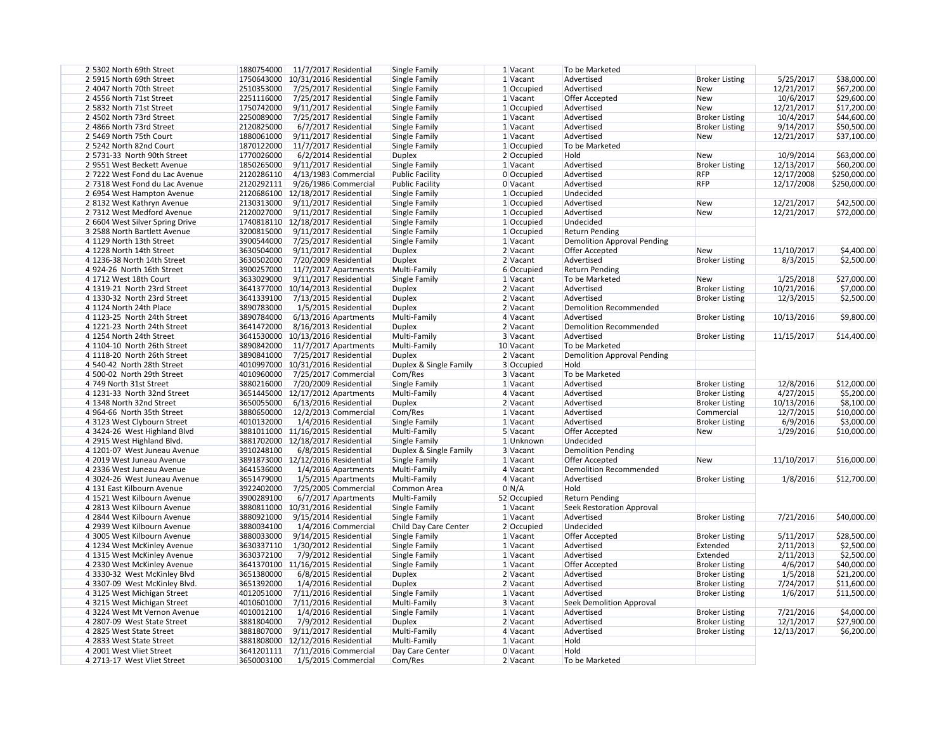| 2 5302 North 69th Street        | 11/7/2017 Residential<br>1880754000   | Single Family          | $1$ Vacant   | To be Marketed                     |                       |            |              |
|---------------------------------|---------------------------------------|------------------------|--------------|------------------------------------|-----------------------|------------|--------------|
| 2 5915 North 69th Street        | 1750643000 10/31/2016 Residential     | Single Family          | 1 Vacant     | Advertised                         | <b>Broker Listing</b> | 5/25/2017  | \$38,000.00  |
| 2 4047 North 70th Street        | 2510353000<br>7/25/2017 Residential   | Single Family          | 1 Occupied   | Advertised                         | <b>New</b>            | 12/21/2017 | \$67,200.00  |
| 2 4556 North 71st Street        | 2251116000<br>7/25/2017 Residential   | Single Family          | 1 Vacant     | Offer Accepted                     | <b>New</b>            | 10/6/2017  | \$29,600.00  |
| 2 5832 North 71st Street        | 1750742000<br>$9/11/2017$ Residential | Single Family          | 1 Occupied   | Advertised                         | <b>New</b>            | 12/21/2017 | \$17,200.00  |
| 2 4502 North 73rd Street        | 2250089000<br>7/25/2017 Residential   | Single Family          | 1 Vacant     | Advertised                         | <b>Broker Listing</b> | 10/4/2017  | \$44,600.00  |
| 2 4866 North 73rd Street        | 2120825000<br>6/7/2017 Residential    | Single Family          | 1 Vacant     | Advertised                         | <b>Broker Listing</b> | 9/14/2017  | \$50,500.00  |
| 2 5469 North 75th Court         | 1880061000<br>9/11/2017 Residential   | Single Family          | 1 Vacant     | Advertised                         | <b>New</b>            | 12/21/2017 | \$37,100.00  |
|                                 |                                       |                        |              |                                    |                       |            |              |
| 2 5242 North 82nd Court         | 1870122000<br>11/7/2017 Residential   | Single Family          | $1$ Occupied | To be Marketed                     |                       |            |              |
| 2 5731-33 North 90th Street     | 1770026000<br>6/2/2014 Residential    | <b>Duplex</b>          | $2$ Occupied | Hold                               | <b>New</b>            | 10/9/2014  | \$63,000.00  |
| 29551 West Beckett Avenue       | 1850265000<br>9/11/2017 Residential   | Single Family          | 1 Vacant     | Advertised                         | <b>Broker Listing</b> | 12/13/2017 | \$60,200.00  |
| 2 7222 West Fond du Lac Avenue  | 2120286110<br>4/13/1983 Commercial    | <b>Public Facility</b> | 0 Occupied   | Advertised                         | <b>RFP</b>            | 12/17/2008 | \$250,000.00 |
| 2 7318 West Fond du Lac Avenue  | 2120292111<br>9/26/1986 Commercial    | <b>Public Facility</b> | 0 Vacant     | Advertised                         | <b>RFP</b>            | 12/17/2008 | \$250,000.00 |
| 2 6954 West Hampton Avenue      | 2120686100 12/18/2017 Residential     | Single Family          | $1$ Occupied | Undecided                          |                       |            |              |
| 28132 West Kathryn Avenue       | 2130313000<br>9/11/2017 Residential   | Single Family          | 1 Occupied   | Advertised                         | <b>New</b>            | 12/21/2017 | \$42,500.00  |
| 2 7312 West Medford Avenue      | 2120027000<br>9/11/2017 Residential   | Single Family          | $1$ Occupied | Advertised                         | <b>New</b>            | 12/21/2017 | \$72,000.00  |
| 2 6604 West Silver Spring Drive | 1740818110 12/18/2017 Residential     | Single Family          | $1$ Occupied | Undecided                          |                       |            |              |
| 3 2588 North Bartlett Avenue    | 3200815000<br>9/11/2017 Residential   | Single Family          | $1$ Occupied | <b>Return Pending</b>              |                       |            |              |
| 4 1129 North 13th Street        | 3900544000<br>7/25/2017 Residential   | Single Family          | 1 Vacant     | <b>Demolition Approval Pending</b> |                       |            |              |
| 4 1228 North 14th Street        | 3630504000<br>9/11/2017 Residential   | <b>Duplex</b>          | 2 Vacant     | Offer Accepted                     | <b>New</b>            | 11/10/2017 | \$4,400.00   |
|                                 |                                       |                        |              |                                    |                       |            |              |
| 4 1236-38 North 14th Street     | 3630502000<br>7/20/2009 Residential   | <b>Duplex</b>          | 2 Vacant     | Advertised                         | <b>Broker Listing</b> | 8/3/2015   | \$2,500.00   |
| 4 924-26 North 16th Street      | 3900257000 11/7/2017 Apartments       | Multi-Family           | 6 Occupied   | <b>Return Pending</b>              |                       |            |              |
| 4 1712 West 18th Court          | 3633029000<br>9/11/2017 Residential   | Single Family          | $1$ Vacant   | To be Marketed                     | <b>New</b>            | 1/25/2018  | \$27,000.00  |
| 4 1319-21 North 23rd Street     | 3641377000 10/14/2013 Residential     | <b>Duplex</b>          | 2 Vacant     | Advertised                         | <b>Broker Listing</b> | 10/21/2016 | \$7,000.00   |
| 4 1330-32 North 23rd Street     | 3641339100<br>7/13/2015 Residential   | <b>Duplex</b>          | 2 Vacant     | Advertised                         | <b>Broker Listing</b> | 12/3/2015  | \$2,500.00   |
| 4 1124 North 24th Place         | 3890783000<br>1/5/2015 Residential    | <b>Duplex</b>          | 2 Vacant     | <b>Demolition Recommended</b>      |                       |            |              |
| 4 1123-25 North 24th Street     | 3890784000<br>$6/13/2016$ Apartments  | Multi-Family           | $4$ Vacant   | Advertised                         | <b>Broker Listing</b> | 10/13/2016 | \$9,800.00   |
| 4 1221-23 North 24th Street     | 3641472000<br>8/16/2013 Residential   | <b>Duplex</b>          | 2 Vacant     | <b>Demolition Recommended</b>      |                       |            |              |
| 4 1254 North 24th Street        | 3641530000<br>10/13/2016 Residential  | Multi-Family           | 3 Vacant     | Advertised                         | <b>Broker Listing</b> | 11/15/2017 | \$14,400.00  |
| 4 1104-10 North 26th Street     | 3890842000<br>$11/7/2017$ Apartments  | Multi-Family           | 10 Vacant    | To be Marketed                     |                       |            |              |
| 4 1118-20 North 26th Street     | 3890841000<br>7/25/2017 Residential   | <b>Duplex</b>          | 2 Vacant     | <b>Demolition Approval Pending</b> |                       |            |              |
| 4 540-42 North 28th Street      | 4010997000 10/31/2016 Residential     | Duplex & Single Family | $3$ Occupied | Hold                               |                       |            |              |
| 4 500-02 North 29th Street      | 4010960000<br>7/25/2017 Commercial    | Com/Res                | 3 Vacant     | To be Marketed                     |                       |            |              |
|                                 | 3880216000<br>7/20/2009 Residential   |                        |              |                                    |                       | 12/8/2016  |              |
| 4 749 North 31st Street         |                                       | Single Family          | $1$ Vacant   | Advertised                         | <b>Broker Listing</b> |            | \$12,000.00  |
| 4 1231-33 North 32nd Street     | 3651445000 12/17/2012 Apartments      | Multi-Family           | $4$ Vacant   | Advertised                         | <b>Broker Listing</b> | 4/27/2015  | \$5,200.00   |
| 4 1348 North 32nd Street        | 3650055000<br>6/13/2016 Residential   | <b>Duplex</b>          | 2 Vacant     | Advertised                         | <b>Broker Listing</b> | 10/13/2016 | \$8,100.00   |
| 4 964-66 North 35th Street      | 3880650000 12/2/2013 Commercial       | Com/Res                | 1 Vacant     | Advertised                         | Commercial            | 12/7/2015  | \$10,000.00  |
| 43123 West Clybourn Street      | 1/4/2016 Residential<br>4010132000    | Single Family          | 1 Vacant     | Advertised                         | <b>Broker Listing</b> | 6/9/2016   | \$3,000.00   |
| 4 3424-26 West Highland Blvd    | 3881011000 11/16/2015 Residential     | Multi-Family           | 5 Vacant     | Offer Accepted                     | New                   | 1/29/2016  | \$10,000.00  |
| 4 2915 West Highland Blvd.      | 3881702000 12/18/2017 Residential     | Single Family          | 1 Unknown    | Undecided                          |                       |            |              |
| 4 1201-07 West Juneau Avenue    | 3910248100<br>6/8/2015 Residential    | Duplex & Single Family | 3 Vacant     | <b>Demolition Pending</b>          |                       |            |              |
| 4 2019 West Juneau Avenue       | 3891873000 12/12/2016 Residential     | Single Family          | 1 Vacant     | Offer Accepted                     | <b>New</b>            | 11/10/2017 | \$16,000.00  |
| 4 2336 West Juneau Avenue       | 3641536000<br>1/4/2016 Apartments     | Multi-Family           | 4 Vacant     | <b>Demolition Recommended</b>      |                       |            |              |
| 4 3024-26 West Juneau Avenue    | 3651479000<br>1/5/2015 Apartments     | Multi-Family           | 4 Vacant     | Advertised                         | <b>Broker Listing</b> | 1/8/2016   | \$12,700.00  |
| 4 131 East Kilbourn Avenue      | 3922402000<br>7/25/2005 Commercial    | Common Area            | 0 N/A        | Hold                               |                       |            |              |
| 4 1521 West Kilbourn Avenue     | 3900289100<br>6/7/2017 Apartments     | Multi-Family           | 52 Occupied  | <b>Return Pending</b>              |                       |            |              |
|                                 |                                       |                        |              |                                    |                       |            |              |
| 4 2813 West Kilbourn Avenue     | 3880811000 10/31/2016 Residential     | Single Family          | $1$ Vacant   | <b>Seek Restoration Approval</b>   |                       |            |              |
| 4 2844 West Kilbourn Avenue     | 3880921000<br>9/15/2014 Residential   | Single Family          | $1$ Vacant   | Advertised                         | <b>Broker Listing</b> | 7/21/2016  | \$40,000.00  |
| 4 2939 West Kilbourn Avenue     | 3880034100<br>1/4/2016 Commercial     | Child Day Care Center  | 2 Occupied   | Undecided                          |                       |            |              |
| 4 3005 West Kilbourn Avenue     | 3880033000<br>9/14/2015 Residential   | Single Family          | $1$ Vacant   | Offer Accepted                     | <b>Broker Listing</b> | 5/11/2017  | \$28,500.00  |
| 4 1234 West McKinley Avenue     | 3630337110 1/30/2012 Residential      | Single Family          | $1$ Vacant   | Advertised                         | Extended              | 2/11/2013  | \$2,500.00   |
| 4 1315 West McKinley Avenue     | 3630372100<br>7/9/2012 Residential    | Single Family          | $1$ Vacant   | Advertised                         | Extended              | 2/11/2013  | \$2,500.00   |
| 4 2330 West McKinley Avenue     | 3641370100 11/16/2015 Residential     | Single Family          | $1$ Vacant   | Offer Accepted                     | <b>Broker Listing</b> | 4/6/2017   | \$40,000.00  |
| 4 3330-32 West McKinley Blvd    | 3651380000<br>6/8/2015 Residential    | <b>Duplex</b>          | 2 Vacant     | Advertised                         | <b>Broker Listing</b> | 1/5/2018   | \$21,200.00  |
| 43307-09 West McKinley Blvd.    | 3651392000<br>1/4/2016 Residential    | <b>Duplex</b>          | 2 Vacant     | Advertised                         | <b>Broker Listing</b> | 7/24/2017  | \$11,600.00  |
| 43125 West Michigan Street      | 4012051000<br>7/11/2016 Residential   | Single Family          | 1 Vacant     | Advertised                         | <b>Broker Listing</b> | 1/6/2017   | \$11,500.00  |
| 43215 West Michigan Street      | 4010601000<br>7/11/2016 Residential   | Multi-Family           | 3 Vacant     | <b>Seek Demolition Approval</b>    |                       |            |              |
| 4 3224 West Mt Vernon Avenue    | 4010012100<br>1/4/2016 Residential    | Single Family          | $1$ Vacant   | Advertised                         | <b>Broker Listing</b> | 7/21/2016  | \$4,000.00   |
|                                 |                                       |                        |              | Advertised                         |                       |            |              |
| 4 2807-09 West State Street     | 3881804000<br>7/9/2012 Residential    | <b>Duplex</b>          | 2 Vacant     |                                    | <b>Broker Listing</b> | 12/1/2017  | \$27,900.00  |
| 4 2825 West State Street        | 3881807000<br>9/11/2017 Residential   | Multi-Family           | 4 Vacant     | Advertised                         | <b>Broker Listing</b> | 12/13/2017 | \$6,200.00   |
| 4 2833 West State Street        | 3881808000 12/12/2016 Residential     | Multi-Family           | $1$ Vacant   | Hold                               |                       |            |              |
| 4 2001 West Vliet Street        | 7/11/2016 Commercial<br>3641201111    | Day Care Center        | 0 Vacant     | Hold                               |                       |            |              |
| 4 2713-17 West Vliet Street     | 3650003100<br>1/5/2015 Commercial     | Com/Res                | 2 Vacant     | To be Marketed                     |                       |            |              |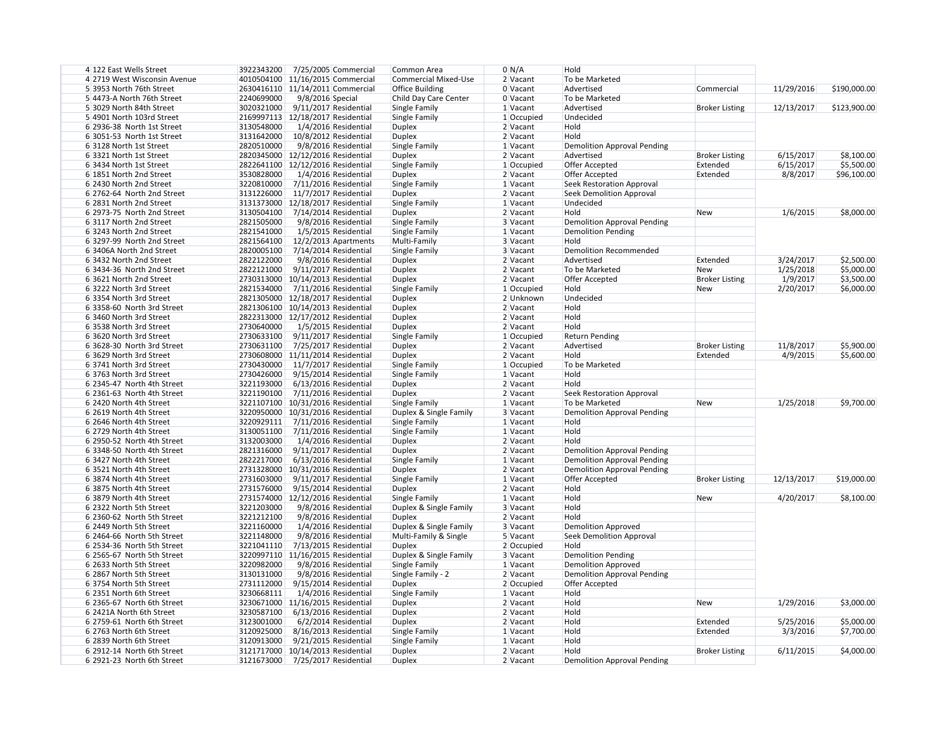| 4 122 East Wells Street      | 3922343200 7/25/2005 Commercial       | Common Area                 | $0 \mid N/A$ | Hold                               |                       |            |              |
|------------------------------|---------------------------------------|-----------------------------|--------------|------------------------------------|-----------------------|------------|--------------|
| 4 2719 West Wisconsin Avenue | 4010504100 11/16/2015 Commercial      | <b>Commercial Mixed-Use</b> | 2 Vacant     | To be Marketed                     |                       |            |              |
| 5 3953 North 76th Street     | 2630416110 11/14/2011 Commercial      | <b>Office Building</b>      | $0$ Vacant   | Advertised                         | Commercial            | 11/29/2016 | \$190,000.00 |
| 5 4473-A North 76th Street   | 2240699000<br>9/8/2016 Special        | Child Day Care Center       | 0 Vacant     | To be Marketed                     |                       |            |              |
| 5 3029 North 84th Street     | 3020321000<br>9/11/2017 Residential   | Single Family               | 1 Vacant     | Advertised                         | <b>Broker Listing</b> | 12/13/2017 | \$123,900.00 |
| 5 4901 North 103rd Street    | 2169997113   12/18/2017 Residential   | Single Family               | $1$ Occupied | Undecided                          |                       |            |              |
| 6 2936-38 North 1st Street   | 3130548000<br>1/4/2016 Residential    | <b>Duplex</b>               | 2 Vacant     | Hold                               |                       |            |              |
| 6 3051-53 North 1st Street   | 3131642000<br>10/8/2012 Residential   | <b>Duplex</b>               | 2 Vacant     | Hold                               |                       |            |              |
| 6 3128 North 1st Street      | 2820510000<br>9/8/2016 Residential    | Single Family               | 1 Vacant     | Demolition Approval Pending        |                       |            |              |
| 6 3321 North 1st Street      | 2820345000 12/12/2016 Residential     | <b>Duplex</b>               | $2$ Vacant   | Advertised                         | <b>Broker Listing</b> | 6/15/2017  | \$8,100.00   |
| 6 3434 North 1st Street      | 2822641100 12/12/2016 Residential     | Single Family               | $1$ Occupied | Offer Accepted                     | Extended              | 6/15/2017  | \$5,500.00   |
| 6 1851 North 2nd Street      | 3530828000                            |                             |              | <b>Offer Accepted</b>              | Extended              |            |              |
|                              | 1/4/2016 Residential                  | <b>Duplex</b>               | 2 Vacant     |                                    |                       | 8/8/2017   | \$96,100.00  |
| 6 2430 North 2nd Street      | 3220810000<br>7/11/2016 Residential   | Single Family               | 1 Vacant     | Seek Restoration Approval          |                       |            |              |
| 6 2762-64 North 2nd Street   | 3131226000<br>11/7/2017 Residential   | <b>Duplex</b>               | 2 Vacant     | Seek Demolition Approval           |                       |            |              |
| 6 2831 North 2nd Street      | 3131373000 12/18/2017 Residential     | Single Family               | 1 Vacant     | Undecided                          |                       |            |              |
| 6 2973-75 North 2nd Street   | 3130504100<br>7/14/2014 Residential   | <b>Duplex</b>               | 2 Vacant     | Hold                               | <b>New</b>            | 1/6/2015   | \$8,000.00   |
| 6 3117 North 2nd Street      | 2821505000<br>9/8/2016 Residential    | Single Family               | 3 Vacant     | Demolition Approval Pending        |                       |            |              |
| 6 3243 North 2nd Street      | 2821541000<br>1/5/2015 Residential    | Single Family               | 1 Vacant     | Demolition Pending                 |                       |            |              |
| 6 3297-99 North 2nd Street   | 2821564100<br>12/2/2013 Apartments    | Multi-Family                | 3 Vacant     | Hold                               |                       |            |              |
| 6 3406A North 2nd Street     | 2820005100 7/14/2014 Residential      | Single Family               | 3 Vacant     | Demolition Recommended             |                       |            |              |
| 6 3432 North 2nd Street      | 2822122000<br>9/8/2016 Residential    | <b>Duplex</b>               | 2 Vacant     | Advertised                         | Extended              | 3/24/2017  | \$2,500.00   |
| 6 3434-36 North 2nd Street   | 2822121000<br>9/11/2017 Residential   | <b>Duplex</b>               | 2 Vacant     | To be Marketed                     | <b>New</b>            | 1/25/2018  | \$5,000.00   |
| 6 3621 North 2nd Street      | 2730313000 10/14/2013 Residential     | <b>Duplex</b>               | 2 Vacant     | Offer Accepted                     | <b>Broker Listing</b> | 1/9/2017   | \$3,500.00   |
| 6 3222 North 3rd Street      | 2821534000<br>7/11/2016 Residential   | Single Family               | $1$ Occupied | Hold                               | New                   | 2/20/2017  | \$6,000.00   |
| 6 3354 North 3rd Street      | 2821305000 12/18/2017 Residential     | <b>Duplex</b>               | 2 Unknown    | Undecided                          |                       |            |              |
| 6 3358-60 North 3rd Street   | 2821306100 10/14/2013 Residential     | <b>Duplex</b>               | 2 Vacant     | Hold                               |                       |            |              |
| 6 3460 North 3rd Street      | 2822313000 12/17/2012 Residential     | <b>Duplex</b>               | 2 Vacant     | Hold                               |                       |            |              |
| 6 3538 North 3rd Street      | 2730640000<br>1/5/2015 Residential    | <b>Duplex</b>               | 2 Vacant     | Hold                               |                       |            |              |
| 6 3620 North 3rd Street      | 2730633100<br>9/11/2017 Residential   | Single Family               | $1$ Occupied | <b>Return Pending</b>              |                       |            |              |
| 6 3628-30 North 3rd Street   | 2730631100<br>7/25/2017 Residential   |                             | 2 Vacant     | Advertised                         | <b>Broker Listing</b> | 11/8/2017  | \$5,900.00   |
|                              |                                       | <b>Duplex</b>               |              | Hold                               |                       |            |              |
| 6 3629 North 3rd Street      | 2730608000 11/11/2014 Residential     | <b>Duplex</b>               | 2 Vacant     |                                    | Extended              | 4/9/2015   | \$5,600.00   |
| 6 3741 North 3rd Street      | 2730430000<br>11/7/2017 Residential   | Single Family               | $1$ Occupied | To be Marketed                     |                       |            |              |
| 6 3763 North 3rd Street      | 2730426000<br>9/15/2014 Residential   | Single Family               | 1 Vacant     | Hold                               |                       |            |              |
| 6 2345-47 North 4th Street   | 3221193000<br>6/13/2016 Residential   | <b>Duplex</b>               | $2$ Vacant   | Hold                               |                       |            |              |
| 6 2361-63 North 4th Street   | 3221190100<br>7/11/2016 Residential   | <b>Duplex</b>               | 2 Vacant     | Seek Restoration Approval          |                       |            |              |
| 6 2420 North 4th Street      | 3221107100 10/31/2016 Residential     | Single Family               | 1 Vacant     | To be Marketed                     | <b>New</b>            | 1/25/2018  | \$9,700.00   |
| 6 2619 North 4th Street      | 3220950000 10/31/2016 Residential     | Duplex & Single Family      | $3$ Vacant   | Demolition Approval Pending        |                       |            |              |
| 6 2646 North 4th Street      | 3220929111 7/11/2016 Residential      | Single Family               | 1 Vacant     | <b>Hold</b>                        |                       |            |              |
| 6 2729 North 4th Street      | 3130051100 7/11/2016 Residential      | Single Family               | 1 Vacant     | Hold                               |                       |            |              |
| 6 2950-52 North 4th Street   | 3132003000<br>1/4/2016 Residential    | Duplex                      | $2$ Vacant   | Hold                               |                       |            |              |
| 6 3348-50 North 4th Street   | 2821316000<br>9/11/2017 Residential   | <b>Duplex</b>               | $2$ Vacant   | Demolition Approval Pending        |                       |            |              |
| 6 3427 North 4th Street      | 2822217000<br>6/13/2016 Residential   | Single Family               | $1$ Vacant   | Demolition Approval Pending        |                       |            |              |
| 6 3521 North 4th Street      | 2731328000 10/31/2016 Residential     | <b>Duplex</b>               | $2$ Vacant   | Demolition Approval Pending        |                       |            |              |
| 6 3874 North 4th Street      | 2731603000<br>9/11/2017 Residential   | Single Family               | $1$ Vacant   | Offer Accepted                     | <b>Broker Listing</b> | 12/13/2017 | \$19,000.00  |
| 6 3875 North 4th Street      | 2731576000<br>9/15/2014 Residential   | <b>Duplex</b>               | $2$ Vacant   | Hold                               |                       |            |              |
| 6 3879 North 4th Street      | 2731574000 12/12/2016 Residential     | Single Family               | 1 Vacant     | Hold                               | <b>New</b>            | 4/20/2017  | \$8,100.00   |
| 6 2322 North 5th Street      | 3221203000<br>9/8/2016 Residential    | Duplex & Single Family      | 3 Vacant     | Hold                               |                       |            |              |
| 6 2360-62 North 5th Street   | 3221212100<br>9/8/2016 Residential    | <b>Duplex</b>               | 2 Vacant     | Hold                               |                       |            |              |
| 6 2449 North 5th Street      | 3221160000<br>1/4/2016 Residential    | Duplex & Single Family      | 3 Vacant     | <b>Demolition Approved</b>         |                       |            |              |
| 6 2464-66 North 5th Street   | 3221148000<br>9/8/2016 Residential    | Multi-Family & Single       | 5 Vacant     | Seek Demolition Approval           |                       |            |              |
| 6 2534-36 North 5th Street   | 3221041110<br>7/13/2015 Residential   | <b>Duplex</b>               | 2 Occupied   | Hold                               |                       |            |              |
|                              |                                       |                             |              |                                    |                       |            |              |
| 6 2565-67 North 5th Street   | 3220997110 11/16/2015 Residential     | Duplex & Single Family      | 3 Vacant     | <b>Demolition Pending</b>          |                       |            |              |
| 6 2633 North 5th Street      | 3220982000<br>9/8/2016 Residential    | Single Family               | 1 Vacant     | Demolition Approved                |                       |            |              |
| 6 2867 North 5th Street      | 3130131000<br>9/8/2016 Residential    | Single Family - 2           | $2$ Vacant   | Demolition Approval Pending        |                       |            |              |
| 63754 North 5th Street       | 2731112000<br>$9/15/2014$ Residential | <b>Duplex</b>               | $2$ Occupied | Offer Accepted                     |                       |            |              |
| 6 2351 North 6th Street      | 3230668111<br>1/4/2016 Residential    | Single Family               | $1$ Vacant   | Hold                               |                       |            |              |
| 6 2365-67 North 6th Street   | 3230671000 11/16/2015 Residential     | <b>Duplex</b>               | $2$ Vacant   | Hold                               | <b>New</b>            | 1/29/2016  | \$3,000.00   |
| 6 2421A North 6th Street     | 3230587100<br>6/13/2016 Residential   | <b>Duplex</b>               | $2$ Vacant   | Hold                               |                       |            |              |
| 6 2759-61 North 6th Street   | 3123001000<br>6/2/2014 Residential    | <b>Duplex</b>               | 2 Vacant     | Hold                               | Extended              | 5/25/2016  | \$5,000.00   |
| 6 2763 North 6th Street      | 3120925000<br>8/16/2013 Residential   | Single Family               | $1$ Vacant   | Hold                               | Extended              | 3/3/2016   | \$7,700.00   |
| 6 2839 North 6th Street      | 3120913000<br>9/21/2015 Residential   | Single Family               | 1 Vacant     | Hold                               |                       |            |              |
| 6 2912-14 North 6th Street   | 3121717000   10/14/2013 Residential   | <b>Duplex</b>               | $2$ Vacant   | Hold                               | <b>Broker Listing</b> | 6/11/2015  | \$4,000.00   |
| 6 2921-23 North 6th Street   | 3121673000 7/25/2017 Residential      | Duplex                      | $2$ Vacant   | <b>Demolition Approval Pending</b> |                       |            |              |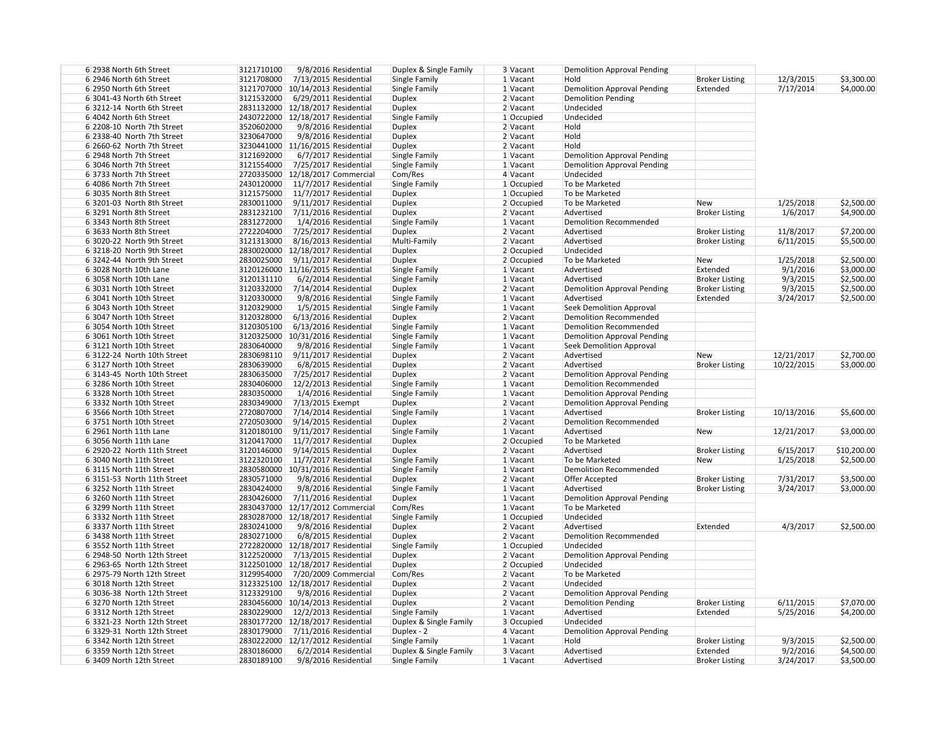| 6 2938 North 6th Street     | 3121710100<br>9/8/2016 Residential  | Duplex & Single Family | 3 Vacant     | <b>Demolition Approval Pending</b> |                       |            |             |
|-----------------------------|-------------------------------------|------------------------|--------------|------------------------------------|-----------------------|------------|-------------|
| 6 2946 North 6th Street     | 3121708000<br>7/13/2015 Residential | Single Family          | 1 Vacant     | Hold                               | <b>Broker Listing</b> | 12/3/2015  | \$3,300.00  |
| 6 2950 North 6th Street     | 3121707000   10/14/2013 Residential | Single Family          | 1 Vacant     | <b>Demolition Approval Pending</b> | Extended              | 7/17/2014  | \$4,000.00  |
| 6 3041-43 North 6th Street  | 3121532000<br>6/29/2011 Residential | Duplex                 | 2 Vacant     | Demolition Pending                 |                       |            |             |
| 6 3212-14 North 6th Street  | 2831132000 12/18/2017 Residential   | <b>Duplex</b>          | 2 Vacant     | Undecided                          |                       |            |             |
| 6 4042 North 6th Street     | 2430722000 12/18/2017 Residential   | Single Family          | 1 Occupied   | Undecided                          |                       |            |             |
| 6 2208-10 North 7th Street  | 3520602000<br>9/8/2016 Residential  | <b>Duplex</b>          | 2 Vacant     | Hold                               |                       |            |             |
| 6 2338-40 North 7th Street  | 3230647000<br>9/8/2016 Residential  | <b>Duplex</b>          | 2 Vacant     | Hold                               |                       |            |             |
| 6 2660-62 North 7th Street  | 3230441000 11/16/2015 Residential   | <b>Duplex</b>          | $2$ Vacant   | Hold                               |                       |            |             |
| 6 2948 North 7th Street     | 3121692000<br>6/7/2017 Residential  | Single Family          | 1 Vacant     | <b>Demolition Approval Pending</b> |                       |            |             |
| 6 3046 North 7th Street     | 3121554000<br>7/25/2017 Residential | Single Family          | 1 Vacant     | Demolition Approval Pending        |                       |            |             |
| 63733 North 7th Street      | 2720335000   12/18/2017 Commercial  | Com/Res                | $4$ Vacant   | Undecided                          |                       |            |             |
| 6 4086 North 7th Street     | 2430120000<br>11/7/2017 Residential | Single Family          | $1$ Occupied | To be Marketed                     |                       |            |             |
| 6 3035 North 8th Street     | 3121575000<br>11/7/2017 Residential | <b>Duplex</b>          | $1$ Occupied | To be Marketed                     |                       |            |             |
| 63201-03 North 8th Street   | 2830011000<br>9/11/2017 Residential | <b>Duplex</b>          | $2$ Occupied | To be Marketed                     | <b>New</b>            | 1/25/2018  | \$2,500.00  |
| 6 3291 North 8th Street     | 2831232100<br>7/11/2016 Residential | <b>Duplex</b>          | 2 Vacant     | Advertised                         | <b>Broker Listing</b> | 1/6/2017   | \$4,900.00  |
| 6 3343 North 8th Street     | 2831272000<br>1/4/2016 Residential  | Single Family          | 1 Vacant     | Demolition Recommended             |                       |            |             |
| 6 3633 North 8th Street     | 2722204000<br>7/25/2017 Residential |                        |              | Advertised                         | <b>Broker Listing</b> | 11/8/2017  | \$7,200.00  |
|                             |                                     | <b>Duplex</b>          | 2 Vacant     |                                    |                       |            |             |
| 6 3020-22 North 9th Street  | 3121313000<br>8/16/2013 Residential | Multi-Family           | $2$ Vacant   | Advertised                         | <b>Broker Listing</b> | 6/11/2015  | \$5,500.00  |
| 6 3218-20 North 9th Street  | 2830020000 12/18/2017 Residential   | <b>Duplex</b>          | $2$ Occupied | Undecided                          |                       |            |             |
| 6 3242-44 North 9th Street  | 2830025000<br>9/11/2017 Residential | <b>Duplex</b>          | 2 Occupied   | To be Marketed                     | <b>New</b>            | 1/25/2018  | \$2,500.00  |
| 6 3028 North 10th Lane      | 3120126000 11/16/2015 Residential   | Single Family          | 1 Vacant     | Advertised                         | Extended              | 9/1/2016   | \$3,000.00  |
| 6 3058 North 10th Lane      | 3120131110<br>6/2/2014 Residential  | <b>Single Family</b>   | 1 Vacant     | Advertised                         | <b>Broker Listing</b> | 9/3/2015   | \$2,500.00  |
| 6 3031 North 10th Street    | 3120332000<br>7/14/2014 Residential | <b>Duplex</b>          | 2 Vacant     | <b>Demolition Approval Pending</b> | <b>Broker Listing</b> | 9/3/2015   | \$2,500.00  |
| 6 3041 North 10th Street    | 3120330000<br>9/8/2016 Residential  | Single Family          | 1 Vacant     | Advertised                         | Extended              | 3/24/2017  | \$2,500.00  |
| 6 3043 North 10th Street    | 3120329000<br>1/5/2015 Residential  | Single Family          | 1 Vacant     | Seek Demolition Approval           |                       |            |             |
| 6 3047 North 10th Street    | 3120328000<br>6/13/2016 Residential | <b>Duplex</b>          | 2 Vacant     | <b>Demolition Recommended</b>      |                       |            |             |
| 6 3054 North 10th Street    | 3120305100<br>6/13/2016 Residential | Single Family          | 1 Vacant     | <b>Demolition Recommended</b>      |                       |            |             |
| 6 3061 North 10th Street    | 3120325000 10/31/2016 Residential   | Single Family          | 1 Vacant     | <b>Demolition Approval Pending</b> |                       |            |             |
| 6 3121 North 10th Street    | 2830640000<br>9/8/2016 Residential  | Single Family          | 1 Vacant     | Seek Demolition Approval           |                       |            |             |
| 6 3122-24 North 10th Street | 2830698110<br>9/11/2017 Residential | <b>Duplex</b>          | 2 Vacant     | Advertised                         | <b>New</b>            | 12/21/2017 | \$2,700.00  |
| 6 3127 North 10th Street    | 2830639000<br>6/8/2015 Residential  | <b>Duplex</b>          | 2 Vacant     | Advertised                         | <b>Broker Listing</b> | 10/22/2015 | \$3,000.00  |
| 6 3143-45 North 10th Street | 2830635000<br>7/25/2017 Residential | Duplex                 | 2 Vacant     | <b>Demolition Approval Pending</b> |                       |            |             |
| 6 3286 North 10th Street    | 2830406000<br>12/2/2013 Residential | Single Family          | 1 Vacant     | <b>Demolition Recommended</b>      |                       |            |             |
| 6 3328 North 10th Street    | 2830350000<br>1/4/2016 Residential  | Single Family          | 1 Vacant     | <b>Demolition Approval Pending</b> |                       |            |             |
| 6 3332 North 10th Street    | 2830349000<br>7/13/2015 Exempt      | <b>Duplex</b>          | 2 Vacant     | <b>Demolition Approval Pending</b> |                       |            |             |
| 6 3566 North 10th Street    | 2720807000<br>7/14/2014 Residential | Single Family          | 1 Vacant     | Advertised                         | <b>Broker Listing</b> | 10/13/2016 | \$5,600.00  |
| 6 3751 North 10th Street    | 2720503000 9/14/2015 Residential    | Duplex                 | 2 Vacant     | Demolition Recommended             |                       |            |             |
| 6 2961 North 11th Lane      | 3120180100<br>9/11/2017 Residential | Single Family          | 1 Vacant     | Advertised                         | <b>New</b>            | 12/21/2017 | \$3,000.00  |
| 6 3056 North 11th Lane      | 3120417000                          |                        | 2 Occupied   | To be Marketed                     |                       |            |             |
|                             | 11/7/2017 Residential               | Duplex                 |              |                                    |                       |            |             |
| 6 2920-22 North 11th Street | 3120146000<br>9/14/2015 Residential | <b>Duplex</b>          | 2 Vacant     | Advertised                         | <b>Broker Listing</b> | 6/15/2017  | \$10,200.00 |
| 6 3040 North 11th Street    | 3122320100<br>11/7/2017 Residential | Single Family          | 1 Vacant     | To be Marketed                     | New                   | 1/25/2018  | \$2,500.00  |
| 63115 North 11th Street     | 2830580000 10/31/2016 Residential   | Single Family          | 1 Vacant     | Demolition Recommended             |                       |            |             |
| 6 3151-53 North 11th Street | 2830571000<br>9/8/2016 Residential  | <b>Duplex</b>          | $2$ Vacant   | Offer Accepted                     | <b>Broker Listing</b> | 7/31/2017  | \$3,500.00  |
| 63252 North 11th Street     | 2830424000<br>9/8/2016 Residential  | Single Family          | 1 Vacant     | Advertised                         | <b>Broker Listing</b> | 3/24/2017  | \$3,000.00  |
| 6 3260 North 11th Street    | 2830426000<br>7/11/2016 Residential | Duplex                 | 1 Vacant     | <b>Demolition Approval Pending</b> |                       |            |             |
| 6 3299 North 11th Street    | 2830437000 12/17/2012 Commercial    | Com/Res                | 1 Vacant     | To be Marketed                     |                       |            |             |
| 6 3332 North 11th Street    | 2830287000 12/18/2017 Residential   | Single Family          | $1$ Occupied | Undecided                          |                       |            |             |
| 6 3337 North 11th Street    | 2830241000<br>9/8/2016 Residential  | Duplex                 | 2 Vacant     | Advertised                         | Extended              | 4/3/2017   | \$2,500.00  |
| 6 3438 North 11th Street    | 2830271000<br>6/8/2015 Residential  | <b>Duplex</b>          | 2 Vacant     | Demolition Recommended             |                       |            |             |
| 6 3552 North 11th Street    | 2722820000 12/18/2017 Residential   | Single Family          | 1 Occupied   | Undecided                          |                       |            |             |
| 6 2948-50 North 12th Street | 3122520000 7/13/2015 Residential    | Duplex                 | 2 Vacant     | Demolition Approval Pending        |                       |            |             |
| 6 2963-65 North 12th Street | 3122501000 12/18/2017 Residential   | <b>Duplex</b>          | 2 Occupied   | Undecided                          |                       |            |             |
| 6 2975-79 North 12th Street | 3129954000 7/20/2009 Commercial     | Com/Res                | 2 Vacant     | To be Marketed                     |                       |            |             |
| 6 3018 North 12th Street    | 3123325100 12/18/2017 Residential   | <b>Duplex</b>          | 2 Vacant     | Undecided                          |                       |            |             |
| 6 3036-38 North 12th Street | 3123329100<br>9/8/2016 Residential  | <b>Duplex</b>          | 2 Vacant     | Demolition Approval Pending        |                       |            |             |
| 63270 North 12th Street     | 2830456000 10/14/2013 Residential   | <b>Duplex</b>          | 2 Vacant     | Demolition Pending                 | <b>Broker Listing</b> | 6/11/2015  | \$7,070.00  |
| 6 3312 North 12th Street    | 2830229000<br>12/2/2013 Residential | Single Family          | 1 Vacant     | Advertised                         | Extended              | 5/25/2016  | \$4,200.00  |
| 6 3321-23 North 12th Street | 2830177200 12/18/2017 Residential   | Duplex & Single Family | 3 Occupied   | Undecided                          |                       |            |             |
| 6 3329-31 North 12th Street | 2830179000<br>7/11/2016 Residential | Duplex - 2             | 4 Vacant     | <b>Demolition Approval Pending</b> |                       |            |             |
|                             | 2830222000 12/17/2012 Residential   |                        |              | Hold                               | <b>Broker Listing</b> | 9/3/2015   |             |
| 6 3342 North 12th Street    |                                     | Single Family          | 1 Vacant     |                                    |                       |            | \$2,500.00  |
| 6 3359 North 12th Street    | 2830186000<br>6/2/2014 Residential  | Duplex & Single Family | 3 Vacant     | Advertised                         | Extended              | 9/2/2016   | \$4,500.00  |
| 6 3409 North 12th Street    | 2830189100<br>9/8/2016 Residential  | Single Family          | 1 Vacant     | Advertised                         | <b>Broker Listing</b> | 3/24/2017  | \$3,500.00  |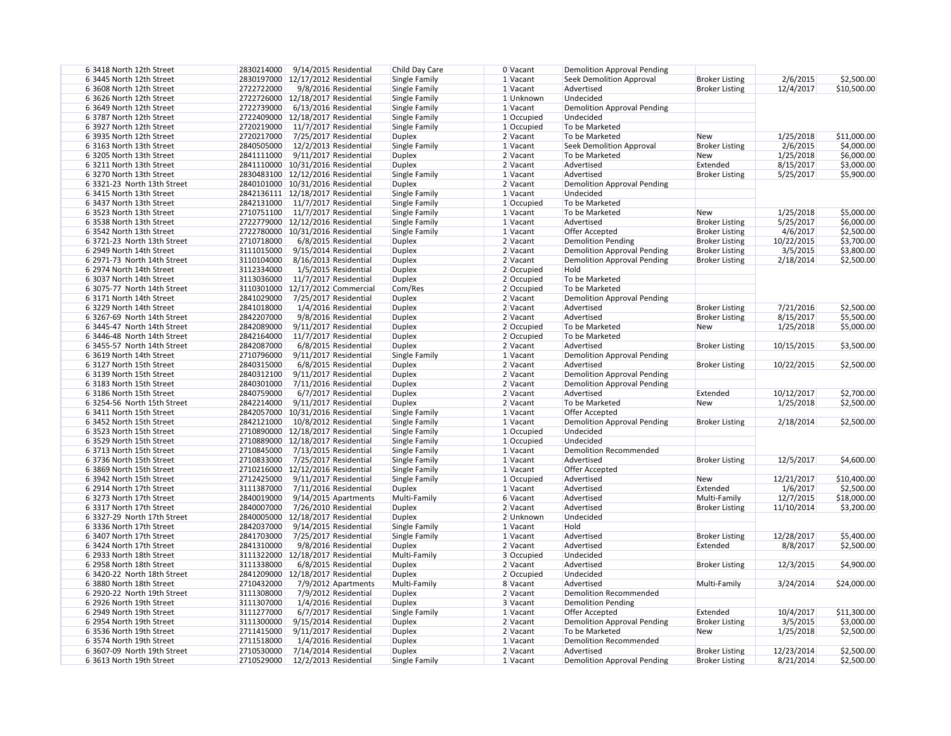| 6 3418 North 12th Street    | 2830214000 | 9/14/2015 Residential              | Child Day Care | 0 Vacant     | <b>Demolition Approval Pending</b> |                       |            |             |
|-----------------------------|------------|------------------------------------|----------------|--------------|------------------------------------|-----------------------|------------|-------------|
| 6 3445 North 12th Street    |            | 2830197000 12/17/2012 Residential  | Single Family  | 1 Vacant     | <b>Seek Demolition Approval</b>    | <b>Broker Listing</b> | 2/6/2015   | \$2,500.00  |
| 6 3608 North 12th Street    | 2722722000 | 9/8/2016 Residential               | Single Family  | 1 Vacant     | Advertised                         | <b>Broker Listing</b> | 12/4/2017  | \$10,500.00 |
| 6 3626 North 12th Street    |            | 2722726000 12/18/2017 Residential  | Single Family  | 1 Unknown    | Undecided                          |                       |            |             |
| 6 3649 North 12th Street    | 2722739000 | 6/13/2016 Residential              | Single Family  | 1 Vacant     | <b>Demolition Approval Pending</b> |                       |            |             |
| 6 3787 North 12th Street    |            | 2722409000 12/18/2017 Residential  | Single Family  | $1$ Occupied | Undecided                          |                       |            |             |
| 6 3927 North 12th Street    | 2720219000 | $11/7/2017$ Residential            | Single Family  | $1$ Occupied | To be Marketed                     |                       |            |             |
| 6 3935 North 12th Street    | 2720217000 | 7/25/2017 Residential              | <b>Duplex</b>  | 2 Vacant     | To be Marketed                     | <b>New</b>            | 1/25/2018  | \$11,000.00 |
|                             |            |                                    |                |              |                                    |                       |            |             |
| 6 3163 North 13th Street    | 2840505000 | 12/2/2013 Residential              | Single Family  | 1 Vacant     | <b>Seek Demolition Approval</b>    | <b>Broker Listing</b> | 2/6/2015   | \$4,000.00  |
| 6 3205 North 13th Street    | 2841111000 | 9/11/2017 Residential              | <b>Duplex</b>  | $2$ Vacant   | To be Marketed                     | <b>New</b>            | 1/25/2018  | \$6,000.00  |
| 63211 North 13th Street     |            | 2841110000 10/31/2016 Residential  | <b>Duplex</b>  | 2 Vacant     | Advertised                         | Extended              | 8/15/2017  | \$3,000.00  |
| 63270 North 13th Street     |            | 2830483100 12/12/2016 Residential  | Single Family  | 1 Vacant     | Advertised                         | <b>Broker Listing</b> | 5/25/2017  | \$5,900.00  |
| 6 3321-23 North 13th Street |            | 2840101000 10/31/2016 Residential  | <b>Duplex</b>  | 2 Vacant     | <b>Demolition Approval Pending</b> |                       |            |             |
| 6 3415 North 13th Street    |            | 2842136111 12/18/2017 Residential  | Single Family  | 1 Vacant     | Undecided                          |                       |            |             |
| 6 3437 North 13th Street    |            | 2842131000 11/7/2017 Residential   | Single Family  | $1$ Occupied | To be Marketed                     |                       |            |             |
| 6 3523 North 13th Street    |            | 2710751100 11/7/2017 Residential   | Single Family  | 1 Vacant     | To be Marketed                     | <b>New</b>            | 1/25/2018  | \$5,000.00  |
| 6 3538 North 13th Street    |            | 2722779000 12/12/2016 Residential  | Single Family  | 1 Vacant     | Advertised                         | <b>Broker Listing</b> | 5/25/2017  | \$6,000.00  |
| 6 3542 North 13th Street    |            | 2722780000 10/31/2016 Residential  | Single Family  | 1 Vacant     | Offer Accepted                     | <b>Broker Listing</b> | 4/6/2017   | \$2,500.00  |
| 6 3721-23 North 13th Street | 2710718000 | 6/8/2015 Residential               | <b>Duplex</b>  | $2$ Vacant   | <b>Demolition Pending</b>          | <b>Broker Listing</b> | 10/22/2015 | \$3,700.00  |
| 6 2949 North 14th Street    | 3111015000 | 9/15/2014 Residential              | <b>Duplex</b>  | 2 Vacant     | <b>Demolition Approval Pending</b> | <b>Broker Listing</b> | 3/5/2015   | \$3,800.00  |
| 6 2971-73 North 14th Street | 3110104000 | 8/16/2013 Residential              | <b>Duplex</b>  | $2$ Vacant   | <b>Demolition Approval Pending</b> | <b>Broker Listing</b> | 2/18/2014  | \$2,500.00  |
| 6 2974 North 14th Street    | 3112334000 | 1/5/2015 Residential               | <b>Duplex</b>  | $2$ Occupied | Hold                               |                       |            |             |
| 6 3037 North 14th Street    |            | 3113036000 11/7/2017 Residential   | <b>Duplex</b>  | 2 Occupied   | To be Marketed                     |                       |            |             |
| 6 3075-77 North 14th Street |            | 3110301000   12/17/2012 Commercial | Com/Res        | $2$ Occupied | To be Marketed                     |                       |            |             |
|                             |            |                                    |                |              |                                    |                       |            |             |
| 6 3171 North 14th Street    |            | 2841029000 7/25/2017 Residential   | <b>Duplex</b>  | 2 Vacant     | <b>Demolition Approval Pending</b> |                       |            |             |
| 6 3229 North 14th Street    | 2841018000 | 1/4/2016 Residential               | <b>Duplex</b>  | 2 Vacant     | Advertised                         | <b>Broker Listing</b> | 7/21/2016  | \$2,500.00  |
| 6 3267-69 North 14th Street | 2842207000 | 9/8/2016 Residential               | <b>Duplex</b>  | 2 Vacant     | Advertised                         | <b>Broker Listing</b> | 8/15/2017  | \$5,500.00  |
| 6 3445-47 North 14th Street | 2842089000 | $9/11/2017$ Residential            | <b>Duplex</b>  | $2$ Occupied | To be Marketed                     | <b>New</b>            | 1/25/2018  | \$5,000.00  |
| 6 3446-48 North 14th Street | 2842164000 | 11/7/2017 Residential              | <b>Duplex</b>  | $2$ Occupied | To be Marketed                     |                       |            |             |
| 6 3455-57 North 14th Street | 2842087000 | 6/8/2015 Residential               | <b>Duplex</b>  | 2 Vacant     | Advertised                         | <b>Broker Listing</b> | 10/15/2015 | \$3,500.00  |
| 6 3619 North 14th Street    | 2710796000 | $9/11/2017$ Residential            | Single Family  | 1 Vacant     | <b>Demolition Approval Pending</b> |                       |            |             |
| 6 3127 North 15th Street    | 2840315000 | 6/8/2015 Residential               | <b>Duplex</b>  | 2 Vacant     | Advertised                         | <b>Broker Listing</b> | 10/22/2015 | \$2,500.00  |
| 6 3139 North 15th Street    | 2840312100 | 9/11/2017 Residential              | <b>Duplex</b>  | 2 Vacant     | <b>Demolition Approval Pending</b> |                       |            |             |
| 6 3183 North 15th Street    | 2840301000 | 7/11/2016 Residential              | <b>Duplex</b>  | 2 Vacant     | <b>Demolition Approval Pending</b> |                       |            |             |
| 6 3186 North 15th Street    | 2840759000 | 6/7/2017 Residential               | <b>Duplex</b>  | 2 Vacant     | Advertised                         | Extended              | 10/12/2017 | \$2,700.00  |
| 6 3254-56 North 15th Street | 2842214000 | $9/11/2017$ Residential            | <b>Duplex</b>  | 2 Vacant     | To be Marketed                     | <b>New</b>            | 1/25/2018  | \$2,500.00  |
| 6 3411 North 15th Street    |            | 2842057000 10/31/2016 Residential  | Single Family  | 1 Vacant     | <b>Offer Accepted</b>              |                       |            |             |
| 6 3452 North 15th Street    | 2842121000 | 10/8/2012 Residential              | Single Family  | 1 Vacant     | <b>Demolition Approval Pending</b> | <b>Broker Listing</b> | 2/18/2014  | \$2,500.00  |
| 6 3523 North 15th Street    |            | 2710890000 12/18/2017 Residential  | Single Family  | $1$ Occupied | Undecided                          |                       |            |             |
| 6 3529 North 15th Street    |            | 2710889000 12/18/2017 Residential  | Single Family  | $1$ Occupied | Undecided                          |                       |            |             |
|                             |            |                                    |                |              |                                    |                       |            |             |
| 6 3713 North 15th Street    | 2710845000 | 7/13/2015 Residential              | Single Family  | 1 Vacant     | <b>Demolition Recommended</b>      |                       |            |             |
| 6 3736 North 15th Street    | 2710833000 | 7/25/2017 Residential              | Single Family  | 1 Vacant     | Advertised                         | <b>Broker Listing</b> | 12/5/2017  | \$4,600.00  |
| 6 3869 North 15th Street    |            | 2710216000 12/12/2016 Residential  | Single Family  | 1 Vacant     | Offer Accepted                     |                       |            |             |
| 6 3942 North 15th Street    | 2712425000 | 9/11/2017 Residential              | Single Family  | $1$ Occupied | Advertised                         | <b>New</b>            | 12/21/2017 | \$10,400.00 |
| 6 2914 North 17th Street    | 3111387000 | 7/11/2016 Residential              | <b>Duplex</b>  | 1 Vacant     | Advertised                         | Extended              | 1/6/2017   | \$2,500.00  |
| 6 3273 North 17th Street    | 2840019000 | $9/14/2015$ Apartments             | Multi-Family   | 6 Vacant     | Advertised                         | Multi-Family          | 12/7/2015  | \$18,000.00 |
| 6 3317 North 17th Street    | 2840007000 | 7/26/2010 Residential              | <b>Duplex</b>  | 2 Vacant     | Advertised                         | <b>Broker Listing</b> | 11/10/2014 | \$3,200.00  |
| 6 3327-29 North 17th Street |            | 2840005000 12/18/2017 Residential  | <b>Duplex</b>  | 2 Unknown    | Undecided                          |                       |            |             |
| 6 3336 North 17th Street    | 2842037000 | 9/14/2015 Residential              | Single Family  | 1 Vacant     | Hold                               |                       |            |             |
| 6 3407 North 17th Street    | 2841703000 | 7/25/2017 Residential              | Single Family  | 1 Vacant     | Advertised                         | <b>Broker Listing</b> | 12/28/2017 | \$5,400.00  |
| 6 3424 North 17th Street    | 2841310000 | 9/8/2016 Residential               | <b>Duplex</b>  | $2$ Vacant   | Advertised                         | Extended              | 8/8/2017   | \$2,500.00  |
| 6 2933 North 18th Street    |            | 3111322000 12/18/2017 Residential  | Multi-Family   | 3 Occupied   | Undecided                          |                       |            |             |
| 6 2958 North 18th Street    | 3111338000 | 6/8/2015 Residential               | <b>Duplex</b>  | 2 Vacant     | Advertised                         | <b>Broker Listing</b> | 12/3/2015  | \$4,900.00  |
| 6 3420-22 North 18th Street |            | 2841209000 12/18/2017 Residential  | <b>Duplex</b>  | 2 Occupied   | Undecided                          |                       |            |             |
| 6 3880 North 18th Street    | 2710432000 |                                    |                | 8 Vacant     | Advertised                         | Multi-Family          | 3/24/2014  | \$24,000.00 |
|                             |            | 7/9/2012 Apartments                | Multi-Family   |              |                                    |                       |            |             |
| 6 2920-22 North 19th Street | 3111308000 | 7/9/2012 Residential               | <b>Duplex</b>  | $2$ Vacant   | <b>Demolition Recommended</b>      |                       |            |             |
| 6 2926 North 19th Street    | 3111307000 | 1/4/2016 Residential               | <b>Duplex</b>  | 3 Vacant     | <b>Demolition Pending</b>          |                       |            |             |
| 6 2949 North 19th Street    | 3111277000 | 6/7/2017 Residential               | Single Family  | 1 Vacant     | Offer Accepted                     | Extended              | 10/4/2017  | \$11,300.00 |
| 6 2954 North 19th Street    | 3111300000 | $9/15/2014$ Residential            | <b>Duplex</b>  | 2 Vacant     | <b>Demolition Approval Pending</b> | <b>Broker Listing</b> | 3/5/2015   | \$3,000.00  |
| 6 3536 North 19th Street    | 2711415000 | $9/11/2017$ Residential            | <b>Duplex</b>  | 2 Vacant     | To be Marketed                     | <b>New</b>            | 1/25/2018  | \$2,500.00  |
| 6 3574 North 19th Street    | 2711518000 | 1/4/2016 Residential               | <b>Duplex</b>  | 1 Vacant     | <b>Demolition Recommended</b>      |                       |            |             |
| 6 3607-09 North 19th Street | 2710530000 | 7/14/2014 Residential              | <b>Duplex</b>  | 2 Vacant     | Advertised                         | <b>Broker Listing</b> | 12/23/2014 | \$2,500.00  |
| 6 3613 North 19th Street    | 2710529000 | 12/2/2013 Residential              | Single Family  | 1 Vacant     | <b>Demolition Approval Pending</b> | <b>Broker Listing</b> | 8/21/2014  | \$2,500.00  |
|                             |            |                                    |                |              |                                    |                       |            |             |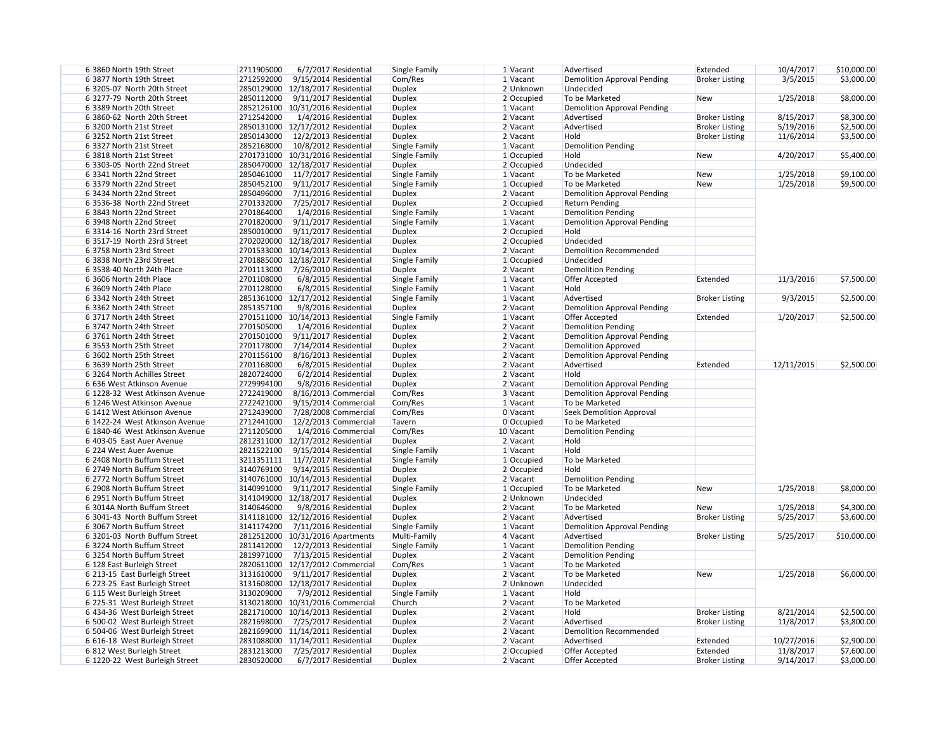| 6 3860 North 19th Street       | 2711905000<br>6/7/2017 Residential   | Single Family | 1 Vacant     | Advertised                         | Extended              | 10/4/2017  | \$10,000.00 |
|--------------------------------|--------------------------------------|---------------|--------------|------------------------------------|-----------------------|------------|-------------|
| 6 3877 North 19th Street       | 2712592000<br>9/15/2014 Residential  | Com/Res       | 1 Vacant     | <b>Demolition Approval Pending</b> | <b>Broker Listing</b> | 3/5/2015   | \$3,000.00  |
| 6 3205-07 North 20th Street    | 2850129000 12/18/2017 Residential    | <b>Duplex</b> | 2 Unknown    | Undecided                          |                       |            |             |
| 6 3277-79 North 20th Street    | 2850112000<br>9/11/2017 Residential  | <b>Duplex</b> | $2$ Occupied | To be Marketed                     | <b>New</b>            | 1/25/2018  | \$8,000.00  |
| 6 3389 North 20th Street       | 2852126100 10/31/2016 Residential    | <b>Duplex</b> | 1 Vacant     | <b>Demolition Approval Pending</b> |                       |            |             |
| 6 3860-62 North 20th Street    | 2712542000<br>1/4/2016 Residential   | <b>Duplex</b> | 2 Vacant     | Advertised                         | <b>Broker Listing</b> | 8/15/2017  | \$8,300.00  |
| 6 3200 North 21st Street       | 2850131000 12/17/2012 Residential    | <b>Duplex</b> | 2 Vacant     | Advertised                         | <b>Broker Listing</b> | 5/19/2016  | \$2,500.00  |
| 6 3252 North 21st Street       | 2850143000<br>12/2/2013 Residential  | <b>Duplex</b> | 2 Vacant     | Hold                               | <b>Broker Listing</b> | 11/6/2014  | \$3,500.00  |
| 6 3327 North 21st Street       | 2852168000<br>10/8/2012 Residential  | Single Family | 1 Vacant     | <b>Demolition Pending</b>          |                       |            |             |
| 6 3818 North 21st Street       | 2701731000   10/31/2016 Residential  | Single Family | $1$ Occupied | Hold                               | <b>New</b>            | 4/20/2017  | \$5,400.00  |
| 6 3303-05 North 22nd Street    | 2850470000 12/18/2017 Residential    | Duplex        | 2 Occupied   | Undecided                          |                       |            |             |
| 6 3341 North 22nd Street       | 2850461000 11/7/2017 Residential     | Single Family | 1 Vacant     | To be Marketed                     | <b>New</b>            | 1/25/2018  | \$9,100.00  |
| 6 3379 North 22nd Street       | 2850452100<br>9/11/2017 Residential  | Single Family | $1$ Occupied | To be Marketed                     | New                   | 1/25/2018  | \$9,500.00  |
| 6 3434 North 22nd Street       | 2850496000 7/11/2016 Residential     | Duplex        | 2 Vacant     | <b>Demolition Approval Pending</b> |                       |            |             |
| 6 3536-38 North 22nd Street    | 2701332000 7/25/2017 Residential     | <b>Duplex</b> | 2 Occupied   | <b>Return Pending</b>              |                       |            |             |
| 6 3843 North 22nd Street       | 2701864000<br>1/4/2016 Residential   | Single Family | 1 Vacant     | <b>Demolition Pending</b>          |                       |            |             |
|                                |                                      |               |              |                                    |                       |            |             |
| 6 3948 North 22nd Street       | 2701820000<br>9/11/2017 Residential  | Single Family | 1 Vacant     | <b>Demolition Approval Pending</b> |                       |            |             |
| 6 3314-16 North 23rd Street    | 2850010000<br>9/11/2017 Residential  | Duplex        | 2 Occupied   | Hold                               |                       |            |             |
| 6 3517-19 North 23rd Street    | 2702020000 12/18/2017 Residential    | <b>Duplex</b> | 2 Occupied   | Undecided                          |                       |            |             |
| 63758 North 23rd Street        | 2701533000 10/14/2013 Residential    | <b>Duplex</b> | 2 Vacant     | <b>Demolition Recommended</b>      |                       |            |             |
| 6 3838 North 23rd Street       | 2701885000 12/18/2017 Residential    | Single Family | 1 Occupied   | Undecided                          |                       |            |             |
| 6 3538-40 North 24th Place     | 2701113000 7/26/2010 Residential     | <b>Duplex</b> | 2 Vacant     | <b>Demolition Pending</b>          |                       |            |             |
| 6 3606 North 24th Place        | 2701108000<br>6/8/2015 Residential   | Single Family | 1 Vacant     | <b>Offer Accepted</b>              | Extended              | 11/3/2016  | \$7,500.00  |
| 6 3609 North 24th Place        | 2701128000<br>6/8/2015 Residential   | Single Family | 1 Vacant     | Hold                               |                       |            |             |
| 6 3342 North 24th Street       | 2851361000 12/17/2012 Residential    | Single Family | 1 Vacant     | Advertised                         | <b>Broker Listing</b> | 9/3/2015   | \$2,500.00  |
| 6 3362 North 24th Street       | 2851357100<br>9/8/2016 Residential   | <b>Duplex</b> | 2 Vacant     | <b>Demolition Approval Pending</b> |                       |            |             |
| 6 3717 North 24th Street       | 2701511000 10/14/2013 Residential    | Single Family | 1 Vacant     | Offer Accepted                     | Extended              | 1/20/2017  | \$2,500.00  |
| 6 3747 North 24th Street       | 2701505000<br>1/4/2016 Residential   | <b>Duplex</b> | 2 Vacant     | <b>Demolition Pending</b>          |                       |            |             |
| 6 3761 North 24th Street       | 2701501000<br>9/11/2017 Residential  | <b>Duplex</b> | 2 Vacant     | <b>Demolition Approval Pending</b> |                       |            |             |
| 6 3553 North 25th Street       | 2701178000<br>7/14/2014 Residential  | <b>Duplex</b> | $2$ Vacant   | <b>Demolition Approved</b>         |                       |            |             |
| 6 3602 North 25th Street       | 2701156100<br>8/16/2013 Residential  | <b>Duplex</b> | 2 Vacant     | <b>Demolition Approval Pending</b> |                       |            |             |
| 6 3639 North 25th Street       | 2701168000<br>6/8/2015 Residential   | <b>Duplex</b> | $2$ Vacant   | Advertised                         | Extended              | 12/11/2015 | \$2,500.00  |
| 6 3264 North Achilles Street   | 2820724000<br>6/2/2014 Residential   | <b>Duplex</b> | 2 Vacant     | Hold                               |                       |            |             |
| 6 636 West Atkinson Avenue     | 2729994100<br>9/8/2016 Residential   | <b>Duplex</b> | $2$ Vacant   | <b>Demolition Approval Pending</b> |                       |            |             |
| 6 1228-32 West Atkinson Avenue | 2722419000<br>8/16/2013 Commercial   | Com/Res       | 3 Vacant     | Demolition Approval Pending        |                       |            |             |
| 6 1246 West Atkinson Avenue    | 2722421000<br>$9/15/2014$ Commercial | Com/Res       | $1$ Vacant   | To be Marketed                     |                       |            |             |
| 6 1412 West Atkinson Avenue    |                                      | Com/Res       | 0 Vacant     | Seek Demolition Approval           |                       |            |             |
|                                | 2712439000 7/28/2008 Commercial      |               |              |                                    |                       |            |             |
| 6 1422-24 West Atkinson Avenue | 2712441000 12/2/2013 Commercial      | Tavern        | 0 Occupied   | To be Marketed                     |                       |            |             |
| 6 1840-46 West Atkinson Avenue | 2711205000<br>1/4/2016 Commercial    | Com/Res       | 10 Vacant    | <b>Demolition Pending</b>          |                       |            |             |
| 6 403-05 East Auer Avenue      | 2812311000 12/17/2012 Residential    | Duplex        | 2 Vacant     | Hold                               |                       |            |             |
| 6 224 West Auer Avenue         | 2821522100<br>9/15/2014 Residential  | Single Family | 1 Vacant     | Hold                               |                       |            |             |
| 6 2408 North Buffum Street     | 3211351111 11/7/2017 Residential     | Single Family | $1$ Occupied | To be Marketed                     |                       |            |             |
| 6 2749 North Buffum Street     | 3140769100<br>9/14/2015 Residential  | Duplex        | $2$ Occupied | Hold                               |                       |            |             |
| 6 2772 North Buffum Street     | 3140761000 10/14/2013 Residential    | <b>Duplex</b> | 2 Vacant     | <b>Demolition Pending</b>          |                       |            |             |
| 6 2908 North Buffum Street     | 3140991000 9/11/2017 Residential     | Single Family | $1$ Occupied | To be Marketed                     | New                   | 1/25/2018  | \$8,000.00  |
| 6 2951 North Buffum Street     | 3141049000 12/18/2017 Residential    | <b>Duplex</b> | 2 Unknown    | Undecided                          |                       |            |             |
| 6 3014A North Buffum Street    | 3140646000<br>9/8/2016 Residential   | <b>Duplex</b> | 2 Vacant     | To be Marketed                     | <b>New</b>            | 1/25/2018  | \$4,300.00  |
| 6 3041-43 North Buffum Street  | 3141181000 12/12/2016 Residential    | <b>Duplex</b> | $2$ Vacant   | Advertised                         | <b>Broker Listing</b> | 5/25/2017  | \$3,600.00  |
| 6 3067 North Buffum Street     | 3141174200 7/11/2016 Residential     | Single Family | 1 Vacant     | <b>Demolition Approval Pending</b> |                       |            |             |
| 6 3201-03 North Buffum Street  | 2812512000   10/31/2016 Apartments   | Multi-Family  | 4 Vacant     | Advertised                         | <b>Broker Listing</b> | 5/25/2017  | \$10,000.00 |
| 63224 North Buffum Street      | 2811412000<br>12/2/2013 Residential  | Single Family | 1 Vacant     | Demolition Pending                 |                       |            |             |
| 6 3254 North Buffum Street     | 2819971000<br>7/13/2015 Residential  | Duplex        | 2 Vacant     | <b>Demolition Pending</b>          |                       |            |             |
| 6 128 East Burleigh Street     | 2820611000 12/17/2012 Commercial     | Com/Res       | $1$ Vacant   | To be Marketed                     |                       |            |             |
| 6 213-15 East Burleigh Street  | 3131610000 9/11/2017 Residential     | <b>Duplex</b> | 2 Vacant     | To be Marketed                     | New                   | 1/25/2018  | \$6,000.00  |
| 6 223-25 East Burleigh Street  | 3131608000 12/18/2017 Residential    | <b>Duplex</b> | 2 Unknown    | Undecided                          |                       |            |             |
| 6 115 West Burleigh Street     | 3130209000<br>7/9/2012 Residential   | Single Family | 1 Vacant     | Hold                               |                       |            |             |
| 6 225-31 West Burleigh Street  | 3130218000 10/31/2016 Commercial     | Church        | 2 Vacant     | To be Marketed                     |                       |            |             |
| 6 434-36 West Burleigh Street  | 2821710000   10/14/2013 Residential  | <b>Duplex</b> | $2$ Vacant   | Hold                               | <b>Broker Listing</b> | 8/21/2014  | \$2,500.00  |
| 6 500-02 West Burleigh Street  | 2821698000 7/25/2017 Residential     | <b>Duplex</b> | 2 Vacant     | Advertised                         | <b>Broker Listing</b> | 11/8/2017  | \$3,800.00  |
| 6 504-06 West Burleigh Street  | 2821699000 11/14/2011 Residential    | <b>Duplex</b> | 2 Vacant     | <b>Demolition Recommended</b>      |                       |            |             |
| 6 616-18 West Burleigh Street  | 2831088000 11/14/2011 Residential    |               | 2 Vacant     | Advertised                         | Extended              | 10/27/2016 | \$2,900.00  |
|                                |                                      | <b>Duplex</b> |              | Offer Accepted                     | Extended              |            | \$7,600.00  |
| 6 812 West Burleigh Street     | 2831213000 7/25/2017 Residential     | <b>Duplex</b> | 2 Occupied   |                                    |                       | 11/8/2017  |             |
| 6 1220-22 West Burleigh Street | 2830520000<br>6/7/2017 Residential   | <b>Duplex</b> | 2 Vacant     | Offer Accepted                     | <b>Broker Listing</b> | 9/14/2017  | \$3,000.00  |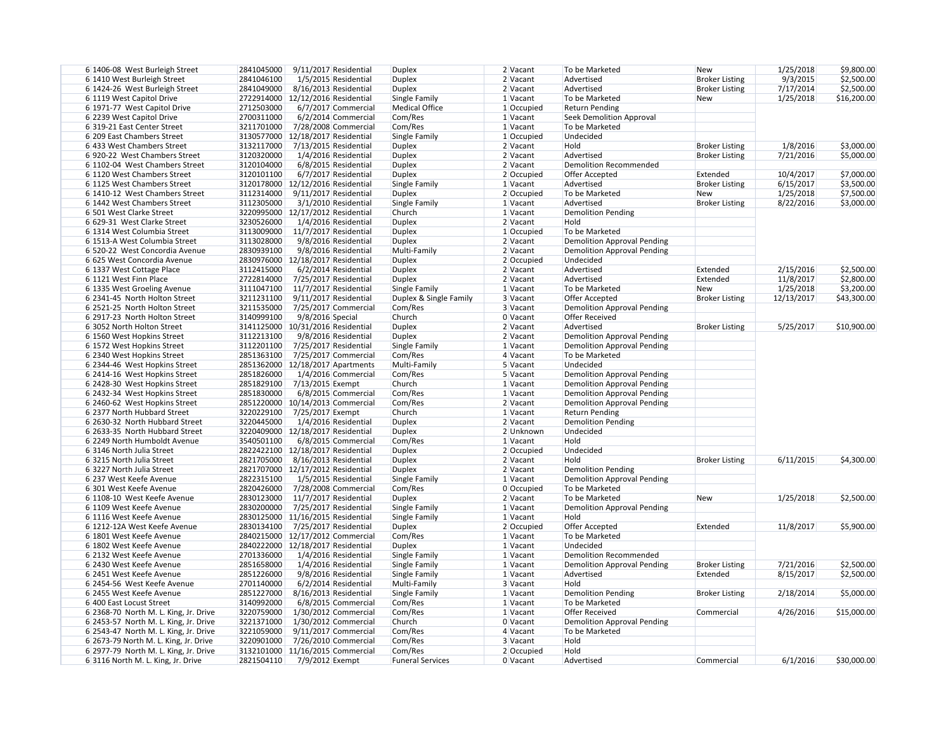| 6 1406-08 West Burleigh Street        | 2841045000<br>9/11/2017 Residential   | <b>Duplex</b>           | 2 Vacant     | To be Marketed                     | <b>New</b>            | 1/25/2018  | \$9,800.00  |
|---------------------------------------|---------------------------------------|-------------------------|--------------|------------------------------------|-----------------------|------------|-------------|
| 6 1410 West Burleigh Street           | 2841046100<br>1/5/2015 Residential    | <b>Duplex</b>           | $2$ Vacant   | Advertised                         | <b>Broker Listing</b> | 9/3/2015   | \$2,500.00  |
| 6 1424-26 West Burleigh Street        | 2841049000<br>8/16/2013 Residential   | <b>Duplex</b>           | 2 Vacant     | Advertised                         | <b>Broker Listing</b> | 7/17/2014  | \$2,500.00  |
| 6 1119 West Capitol Drive             | 2722914000 12/12/2016 Residential     | Single Family           | $1$ Vacant   | To be Marketed                     | <b>New</b>            | 1/25/2018  | \$16,200.00 |
| 6 1971-77 West Capitol Drive          | 2712503000<br>6/7/2017 Commercial     | <b>Medical Office</b>   | 1 Occupied   | <b>Return Pending</b>              |                       |            |             |
| 6 2239 West Capitol Drive             | 2700311000<br>6/2/2014 Commercial     | Com/Res                 | $1$ Vacant   | <b>Seek Demolition Approval</b>    |                       |            |             |
| 6319-21 East Center Street            | 3211701000<br>7/28/2008 Commercial    | Com/Res                 | $1$ Vacant   | To be Marketed                     |                       |            |             |
| 6 209 East Chambers Street            | 3130577000 12/18/2017 Residential     | Single Family           | 1 Occupied   | Undecided                          |                       |            |             |
| 6 433 West Chambers Street            | 3132117000<br>7/13/2015 Residential   |                         | 2 Vacant     | Hold                               | <b>Broker Listing</b> | 1/8/2016   | \$3,000.00  |
| 6920-22 West Chambers Street          | 1/4/2016 Residential                  | <b>Duplex</b>           |              | Advertised                         | <b>Broker Listing</b> |            |             |
|                                       | 3120320000                            | <b>Duplex</b>           | $2$ Vacant   |                                    |                       | 7/21/2016  | \$5,000.00  |
| 6 1102-04 West Chambers Street        | 3120104000<br>6/8/2015 Residential    | <b>Duplex</b>           | 2 Vacant     | <b>Demolition Recommended</b>      |                       |            |             |
| 6 1120 West Chambers Street           | 3120101100<br>6/7/2017 Residential    | <b>Duplex</b>           | 2 Occupied   | Offer Accepted                     | Extended              | 10/4/2017  | \$7,000.00  |
| 6 1125 West Chambers Street           | 3120178000 12/12/2016 Residential     | Single Family           | 1 Vacant     | Advertised                         | <b>Broker Listing</b> | 6/15/2017  | \$3,500.00  |
| 6 1410-12 West Chambers Street        | 3112314000<br>9/11/2017 Residential   | <b>Duplex</b>           | 2 Occupied   | To be Marketed                     | New                   | 1/25/2018  | \$7,500.00  |
| 6 1442 West Chambers Street           | 3112305000<br>3/1/2010 Residential    | Single Family           | 1 Vacant     | Advertised                         | <b>Broker Listing</b> | 8/22/2016  | \$3,000.00  |
| 6 501 West Clarke Street              | 3220995000 12/17/2012 Residential     | Church                  | $1$ Vacant   | <b>Demolition Pending</b>          |                       |            |             |
| 6 629-31 West Clarke Street           | 3230526000<br>1/4/2016 Residential    | <b>Duplex</b>           | 2 Vacant     | Hold                               |                       |            |             |
| 6 1314 West Columbia Street           | 3113009000<br>$11/7/2017$ Residential | <b>Duplex</b>           | 1 Occupied   | To be Marketed                     |                       |            |             |
| 6 1513-A West Columbia Street         | 3113028000<br>9/8/2016 Residential    | <b>Duplex</b>           | 2 Vacant     | <b>Demolition Approval Pending</b> |                       |            |             |
| 6 520-22 West Concordia Avenue        | 2830939100<br>9/8/2016 Residential    | Multi-Family            | $2$ Vacant   | <b>Demolition Approval Pending</b> |                       |            |             |
| 6 625 West Concordia Avenue           | 2830976000 12/18/2017 Residential     | <b>Duplex</b>           | $2$ Occupied | Undecided                          |                       |            |             |
| 6 1337 West Cottage Place             | 3112415000<br>$6/2/2014$ Residential  | <b>Duplex</b>           | $2$ Vacant   | Advertised                         | Extended              | 2/15/2016  | \$2,500.00  |
| 6 1121 West Finn Place                | 2722814000<br>7/25/2017 Residential   | <b>Duplex</b>           | 2 Vacant     | Advertised                         | Extended              | 11/8/2017  | \$2,800.00  |
| 6 1335 West Groeling Avenue           | 3111047100<br>11/7/2017 Residential   | Single Family           | 1 Vacant     | To be Marketed                     | <b>New</b>            | 1/25/2018  | \$3,200.00  |
| 6 2341-45 North Holton Street         | 3211231100<br>9/11/2017 Residential   | Duplex & Single Family  | 3 Vacant     | Offer Accepted                     | <b>Broker Listing</b> | 12/13/2017 | \$43,300.00 |
| 6 2521-25 North Holton Street         | 3211535000<br>7/25/2017 Commercial    | Com/Res                 | 3 Vacant     | Demolition Approval Pending        |                       |            |             |
| 6 2917-23 North Holton Street         | 3140999100<br>9/8/2016 Special        | Church                  | 0 Vacant     | <b>Offer Received</b>              |                       |            |             |
| 6 3052 North Holton Street            | 3141125000 10/31/2016 Residential     | <b>Duplex</b>           | 2 Vacant     | Advertised                         | <b>Broker Listing</b> | 5/25/2017  | \$10,900.00 |
| 6 1560 West Hopkins Street            | 3112213100<br>9/8/2016 Residential    | <b>Duplex</b>           | $2$ Vacant   | <b>Demolition Approval Pending</b> |                       |            |             |
| 6 1572 West Hopkins Street            | 3112201100<br>7/25/2017 Residential   | Single Family           | 1 Vacant     | <b>Demolition Approval Pending</b> |                       |            |             |
| 6 2340 West Hopkins Street            | 2851363100<br>7/25/2017 Commercial    | Com/Res                 | 4 Vacant     | To be Marketed                     |                       |            |             |
| 6 2344-46 West Hopkins Street         | 2851362000   12/18/2017 Apartments    | Multi-Family            | 5 Vacant     | Undecided                          |                       |            |             |
| 6 2414-16 West Hopkins Street         | 2851826000<br>1/4/2016 Commercial     | Com/Res                 | 5 Vacant     | <b>Demolition Approval Pending</b> |                       |            |             |
| 6 2428-30 West Hopkins Street         | 2851829100<br>7/13/2015 Exempt        | Church                  | 1 Vacant     | <b>Demolition Approval Pending</b> |                       |            |             |
| 6 2432-34 West Hopkins Street         | 2851830000<br>6/8/2015 Commercial     | Com/Res                 | 1 Vacant     | <b>Demolition Approval Pending</b> |                       |            |             |
| 6 2460-62 West Hopkins Street         | 2851220000 10/14/2013 Commercial      | Com/Res                 | 2 Vacant     | <b>Demolition Approval Pending</b> |                       |            |             |
| 6 2377 North Hubbard Street           | 3220229100 7/25/2017 Exempt           | Church                  | 1 Vacant     | <b>Return Pending</b>              |                       |            |             |
| 6 2630-32 North Hubbard Street        | 3220445000<br>1/4/2016 Residential    | <b>Duplex</b>           | 2 Vacant     | <b>Demolition Pending</b>          |                       |            |             |
| 6 2633-35 North Hubbard Street        | 3220409000 12/18/2017 Residential     | <b>Duplex</b>           | 2 Unknown    | Undecided                          |                       |            |             |
| 6 2249 North Humboldt Avenue          | 3540501100<br>6/8/2015 Commercial     | Com/Res                 | 1 Vacant     | Hold                               |                       |            |             |
| 63146 North Julia Street              | 2822422100 12/18/2017 Residential     | <b>Duplex</b>           | 2 Occupied   | Undecided                          |                       |            |             |
| 63215 North Julia Street              | 2821705000<br>8/16/2013 Residential   | <b>Duplex</b>           | 2 Vacant     | Hold                               | <b>Broker Listing</b> | 6/11/2015  | \$4,300.00  |
| 6 3227 North Julia Street             | 2821707000 12/17/2012 Residential     | <b>Duplex</b>           | 2 Vacant     | <b>Demolition Pending</b>          |                       |            |             |
| 6 237 West Keefe Avenue               | 2822315100<br>1/5/2015 Residential    | Single Family           | 1 Vacant     | <b>Demolition Approval Pending</b> |                       |            |             |
| 6 301 West Keefe Avenue               | 2820426000<br>7/28/2008 Commercial    | Com/Res                 | 0 Occupied   | To be Marketed                     |                       |            |             |
| 6 1108-10 West Keefe Avenue           | 2830123000<br>11/7/2017 Residential   | <b>Duplex</b>           | 2 Vacant     | To be Marketed                     | <b>New</b>            | 1/25/2018  | \$2,500.00  |
| 6 1109 West Keefe Avenue              | 2830200000<br>7/25/2017 Residential   | Single Family           | 1 Vacant     | <b>Demolition Approval Pending</b> |                       |            |             |
| 6 1116 West Keefe Avenue              | 2830125000 11/16/2015 Residential     | Single Family           | 1 Vacant     | Hold                               |                       |            |             |
| 6 1212-12A West Keefe Avenue          | 2830134100<br>7/25/2017 Residential   | <b>Duplex</b>           | 2 Occupied   | Offer Accepted                     | Extended              | 11/8/2017  | \$5,900.00  |
| 6 1801 West Keefe Avenue              | 2840215000 12/17/2012 Commercial      | Com/Res                 | 1 Vacant     | To be Marketed                     |                       |            |             |
| 6 1802 West Keefe Avenue              | 2840222000 12/18/2017 Residential     | <b>Duplex</b>           | 1 Vacant     | Undecided                          |                       |            |             |
| 6 2132 West Keefe Avenue              | 2701336000<br>1/4/2016 Residential    | Single Family           | $1$ Vacant   | <b>Demolition Recommended</b>      |                       |            |             |
| 6 2430 West Keefe Avenue              | 2851658000<br>1/4/2016 Residential    | Single Family           | 1 Vacant     | Demolition Approval Pending        | <b>Broker Listing</b> | 7/21/2016  | \$2,500.00  |
| 6 2451 West Keefe Avenue              | 2851226000<br>9/8/2016 Residential    | Single Family           | 1 Vacant     | Advertised                         | Extended              | 8/15/2017  | \$2,500.00  |
| 6 2454-56 West Keefe Avenue           | 2701140000<br>6/2/2014 Residential    | Multi-Family            | 3 Vacant     | Hold                               |                       |            |             |
| 6 2455 West Keefe Avenue              | 2851227000<br>8/16/2013 Residential   | Single Family           | 1 Vacant     | <b>Demolition Pending</b>          | <b>Broker Listing</b> | 2/18/2014  | \$5,000.00  |
| 6 400 East Locust Street              | 3140992000<br>6/8/2015 Commercial     | Com/Res                 | $1$ Vacant   | To be Marketed                     |                       |            |             |
| 6 2368-70 North M. L. King, Jr. Drive | 3220759000<br>1/30/2012 Commercial    | Com/Res                 | $1$ Vacant   | <b>Offer Received</b>              | Commercial            | 4/26/2016  | \$15,000.00 |
| 6 2453-57 North M. L. King, Jr. Drive | 3221371000<br>1/30/2012 Commercial    | Church                  | 0 Vacant     | <b>Demolition Approval Pending</b> |                       |            |             |
| 6 2543-47 North M. L. King, Jr. Drive | 3221059000<br>9/11/2017 Commercial    | Com/Res                 | 4 Vacant     | To be Marketed                     |                       |            |             |
| 6 2673-79 North M. L. King, Jr. Drive | 3220901000<br>7/26/2010 Commercial    | Com/Res                 | 3 Vacant     | Hold                               |                       |            |             |
| 6 2977-79 North M. L. King, Jr. Drive | 3132101000 11/16/2015 Commercial      | Com/Res                 | 2 Occupied   | Hold                               |                       |            |             |
| 6 3116 North M. L. King, Jr. Drive    | 2821504110<br>7/9/2012 Exempt         | <b>Funeral Services</b> | 0 Vacant     | Advertised                         | Commercial            | 6/1/2016   | \$30,000.00 |
|                                       |                                       |                         |              |                                    |                       |            |             |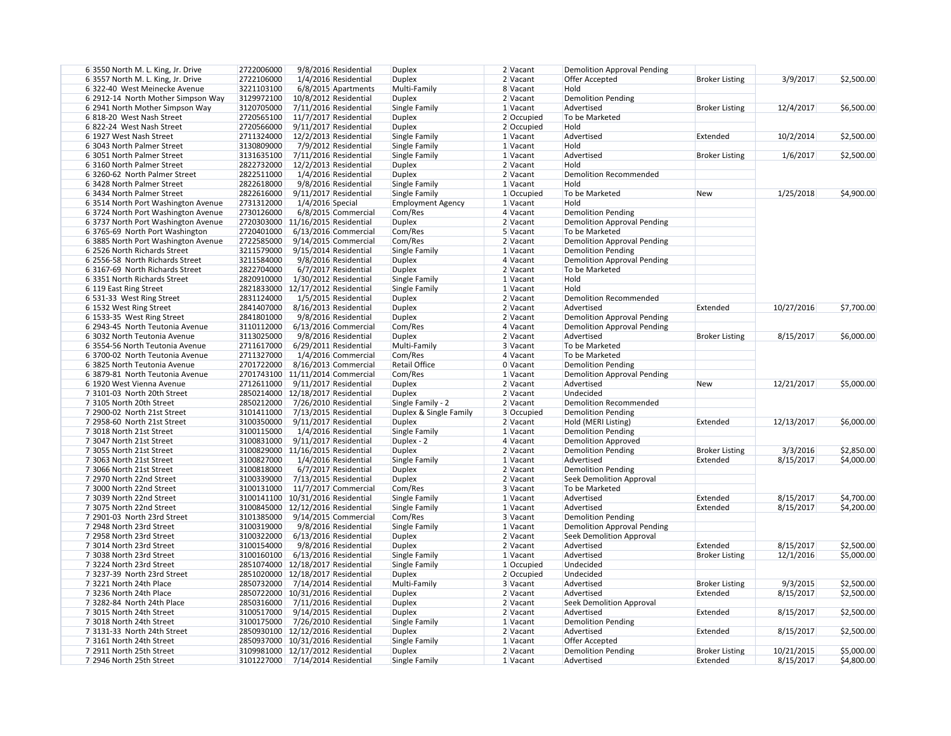| 6 3550 North M. L. King, Jr. Drive  | 2722006000 | 9/8/2016 Residential                | <b>Duplex</b>            | 2 Vacant     | <b>Demolition Approval Pending</b> |                       |            |            |
|-------------------------------------|------------|-------------------------------------|--------------------------|--------------|------------------------------------|-----------------------|------------|------------|
| 6 3557 North M. L. King, Jr. Drive  | 2722106000 | 1/4/2016 Residential                | <b>Duplex</b>            | 2 Vacant     | Offer Accepted                     | <b>Broker Listing</b> | 3/9/2017   | \$2,500.00 |
| 6322-40 West Meinecke Avenue        | 3221103100 | 6/8/2015 Apartments                 | Multi-Family             | 8 Vacant     | Hold                               |                       |            |            |
| 6 2912-14 North Mother Simpson Way  | 3129972100 | 10/8/2012 Residential               | <b>Duplex</b>            | 2 Vacant     | <b>Demolition Pending</b>          |                       |            |            |
| 6 2941 North Mother Simpson Way     | 3120705000 | 7/11/2016 Residential               | Single Family            | 1 Vacant     | Advertised                         | <b>Broker Listing</b> | 12/4/2017  | \$6,500.00 |
| 6 818-20 West Nash Street           | 2720565100 | 11/7/2017 Residential               | <b>Duplex</b>            | 2 Occupied   | To be Marketed                     |                       |            |            |
| 6 822-24 West Nash Street           | 2720566000 | 9/11/2017 Residential               | <b>Duplex</b>            | 2 Occupied   | Hold                               |                       |            |            |
| 6 1927 West Nash Street             | 2711324000 | 12/2/2013 Residential               | Single Family            | 1 Vacant     | Advertised                         | Extended              | 10/2/2014  | \$2,500.00 |
| 6 3043 North Palmer Street          | 3130809000 | 7/9/2012 Residential                | Single Family            | $1$ Vacant   | Hold                               |                       |            |            |
| 6 3051 North Palmer Street          |            |                                     | Single Family            | 1 Vacant     | Advertised                         |                       |            | \$2,500.00 |
|                                     | 3131635100 | 7/11/2016 Residential               |                          |              |                                    | <b>Broker Listing</b> | 1/6/2017   |            |
| 6 3160 North Palmer Street          | 2822732000 | 12/2/2013 Residential               | Duplex                   | 2 Vacant     | Hold                               |                       |            |            |
| 6 3260-62 North Palmer Street       | 2822511000 | 1/4/2016 Residential                | <b>Duplex</b>            | 2 Vacant     | Demolition Recommended             |                       |            |            |
| 6 3428 North Palmer Street          | 2822618000 | 9/8/2016 Residential                | Single Family            | $1$ Vacant   | Hold                               |                       |            |            |
| 6 3434 North Palmer Street          | 2822616000 | 9/11/2017 Residential               | Single Family            | $1$ Occupied | To be Marketed                     | <b>New</b>            | 1/25/2018  | \$4,900.00 |
| 6 3514 North Port Washington Avenue | 2731312000 | $1/4/2016$ Special                  | <b>Employment Agency</b> | 1 Vacant     | Hold                               |                       |            |            |
| 6 3724 North Port Washington Avenue | 2730126000 | 6/8/2015 Commercial                 | Com/Res                  | 4 Vacant     | <b>Demolition Pending</b>          |                       |            |            |
| 6 3737 North Port Washington Avenue |            | 2720303000 11/16/2015 Residential   | <b>Duplex</b>            | 2 Vacant     | Demolition Approval Pending        |                       |            |            |
| 6 3765-69 North Port Washington     | 2720401000 | 6/13/2016 Commercial                | Com/Res                  | 5 Vacant     | To be Marketed                     |                       |            |            |
| 6 3885 North Port Washington Avenue | 2722585000 | 9/14/2015 Commercial                | Com/Res                  | 2 Vacant     | <b>Demolition Approval Pending</b> |                       |            |            |
| 6 2526 North Richards Street        | 3211579000 | 9/15/2014 Residential               | Single Family            | 1 Vacant     | <b>Demolition Pending</b>          |                       |            |            |
| 6 2556-58 North Richards Street     | 3211584000 | 9/8/2016 Residential                | <b>Duplex</b>            | 4 Vacant     | <b>Demolition Approval Pending</b> |                       |            |            |
| 6 3167-69 North Richards Street     | 2822704000 | 6/7/2017 Residential                | <b>Duplex</b>            | 2 Vacant     | To be Marketed                     |                       |            |            |
| 63351 North Richards Street         | 2820910000 | 1/30/2012 Residential               | Single Family            | 1 Vacant     | Hold                               |                       |            |            |
| 6 119 East Ring Street              |            | 2821833000 12/17/2012 Residential   | Single Family            | 1 Vacant     | Hold                               |                       |            |            |
|                                     | 2831124000 | 1/5/2015 Residential                |                          | 2 Vacant     | <b>Demolition Recommended</b>      |                       |            |            |
| 6 531-33 West Ring Street           |            |                                     | <b>Duplex</b>            |              |                                    |                       |            |            |
| 6 1532 West Ring Street             | 2841407000 | 8/16/2013 Residential               | <b>Duplex</b>            | 2 Vacant     | Advertised                         | Extended              | 10/27/2016 | \$7,700.00 |
| 6 1533-35 West Ring Street          | 2841801000 | 9/8/2016 Residential                | <b>Duplex</b>            | 2 Vacant     | <b>Demolition Approval Pending</b> |                       |            |            |
| 6 2943-45 North Teutonia Avenue     | 3110112000 | 6/13/2016 Commercial                | Com/Res                  | 4 Vacant     | <b>Demolition Approval Pending</b> |                       |            |            |
| 6 3032 North Teutonia Avenue        | 3113025000 | 9/8/2016 Residential                | <b>Duplex</b>            | 2 Vacant     | Advertised                         | <b>Broker Listing</b> | 8/15/2017  | \$6,000.00 |
| 6 3554-56 North Teutonia Avenue     | 2711617000 | 6/29/2011 Residential               | Multi-Family             | 3 Vacant     | To be Marketed                     |                       |            |            |
| 63700-02 North Teutonia Avenue      | 2711327000 | 1/4/2016 Commercial                 | Com/Res                  | 4 Vacant     | To be Marketed                     |                       |            |            |
| 6 3825 North Teutonia Avenue        | 2701722000 | 8/16/2013 Commercial                | <b>Retail Office</b>     | 0 Vacant     | <b>Demolition Pending</b>          |                       |            |            |
| 6 3879-81 North Teutonia Avenue     |            | 2701743100 11/11/2014 Commercial    | Com/Res                  | 1 Vacant     | <b>Demolition Approval Pending</b> |                       |            |            |
| 6 1920 West Vienna Avenue           | 2712611000 | 9/11/2017 Residential               | <b>Duplex</b>            | $2$ Vacant   | Advertised                         | <b>New</b>            | 12/21/2017 | \$5,000.00 |
| 73101-03 North 20th Street          |            | 2850214000 12/18/2017 Residential   | <b>Duplex</b>            | 2 Vacant     | Undecided                          |                       |            |            |
| 73105 North 20th Street             | 2850212000 | 7/26/2010 Residential               | Single Family - 2        | 2 Vacant     | <b>Demolition Recommended</b>      |                       |            |            |
| 7 2900-02 North 21st Street         | 3101411000 | 7/13/2015 Residential               | Duplex & Single Family   | 3 Occupied   | <b>Demolition Pending</b>          |                       |            |            |
| 7 2958-60 North 21st Street         | 3100350000 | 9/11/2017 Residential               | Duplex                   | 2 Vacant     | Hold (MERI Listing)                | Extended              | 12/13/2017 | \$6,000.00 |
| 7 3018 North 21st Street            | 3100115000 | 1/4/2016 Residential                | Single Family            | 1 Vacant     | Demolition Pending                 |                       |            |            |
| 7 3047 North 21st Street            | 3100831000 | $9/11/2017$ Residential             | Duplex - 2               | $4$ Vacant   | <b>Demolition Approved</b>         |                       |            |            |
| 7 3055 North 21st Street            |            |                                     | <b>Duplex</b>            | 2 Vacant     | <b>Demolition Pending</b>          |                       | 3/3/2016   |            |
|                                     |            | 3100829000 11/16/2015 Residential   |                          |              |                                    | <b>Broker Listing</b> |            | \$2,850.00 |
| 7 3063 North 21st Street            | 3100827000 | 1/4/2016 Residential                | Single Family            | 1 Vacant     | Advertised                         | Extended              | 8/15/2017  | \$4,000.00 |
| 7 3066 North 21st Street            | 3100818000 | 6/7/2017 Residential                | Duplex                   | 2 Vacant     | <b>Demolition Pending</b>          |                       |            |            |
| 7 2970 North 22nd Street            | 3100339000 | 7/13/2015 Residential               | <b>Duplex</b>            | 2 Vacant     | <b>Seek Demolition Approval</b>    |                       |            |            |
| 73000 North 22nd Street             | 3100131000 | $11/7/2017$ Commercial              | Com/Res                  | 3 Vacant     | To be Marketed                     |                       |            |            |
| 7 3039 North 22nd Street            |            | 3100141100   10/31/2016 Residential | Single Family            | 1 Vacant     | Advertised                         | Extended              | 8/15/2017  | \$4,700.00 |
| 73075 North 22nd Street             |            | 3100845000 12/12/2016 Residential   | Single Family            | 1 Vacant     | Advertised                         | Extended              | 8/15/2017  | \$4,200.00 |
| 7 2901-03 North 23rd Street         | 3101385000 | 9/14/2015 Commercial                | Com/Res                  | 3 Vacant     | <b>Demolition Pending</b>          |                       |            |            |
| 7 2948 North 23rd Street            | 3100319000 | 9/8/2016 Residential                | Single Family            | 1 Vacant     | Demolition Approval Pending        |                       |            |            |
| 7 2958 North 23rd Street            | 3100322000 | 6/13/2016 Residential               | Duplex                   | 2 Vacant     | Seek Demolition Approval           |                       |            |            |
| 7 3014 North 23rd Street            | 3100154000 | 9/8/2016 Residential                | <b>Duplex</b>            | 2 Vacant     | Advertised                         | Extended              | 8/15/2017  | \$2,500.00 |
| 7 3038 North 23rd Street            | 3100160100 | 6/13/2016 Residential               | Single Family            | 1 Vacant     | Advertised                         | <b>Broker Listing</b> | 12/1/2016  | \$5,000.00 |
| 73224 North 23rd Street             |            | 2851074000 12/18/2017 Residential   | Single Family            | 1 Occupied   | Undecided                          |                       |            |            |
| 73237-39 North 23rd Street          |            | 2851020000 12/18/2017 Residential   | Duplex                   | $2$ Occupied | Undecided                          |                       |            |            |
| 73221 North 24th Place              | 2850732000 | 7/14/2014 Residential               | Multi-Family             | 3 Vacant     | Advertised                         | <b>Broker Listing</b> | 9/3/2015   | \$2,500.00 |
| 73236 North 24th Place              |            | 2850722000   10/31/2016 Residential |                          | $2$ Vacant   | Advertised                         | Extended              | 8/15/2017  | \$2,500.00 |
|                                     |            |                                     | <b>Duplex</b>            |              |                                    |                       |            |            |
| 7 3282-84 North 24th Place          | 2850316000 | 7/11/2016 Residential               | <b>Duplex</b>            | 2 Vacant     | Seek Demolition Approval           |                       |            |            |
| 7 3015 North 24th Street            | 3100517000 | 9/14/2015 Residential               | <b>Duplex</b>            | 2 Vacant     | Advertised                         | Extended              | 8/15/2017  | \$2,500.00 |
| 7 3018 North 24th Street            | 3100175000 | 7/26/2010 Residential               | Single Family            | 1 Vacant     | <b>Demolition Pending</b>          |                       |            |            |
| 7 3131-33 North 24th Street         |            | 2850930100 12/12/2016 Residential   | <b>Duplex</b>            | 2 Vacant     | Advertised                         | Extended              | 8/15/2017  | \$2,500.00 |
| 73161 North 24th Street             |            | 2850937000 10/31/2016 Residential   | Single Family            | 1 Vacant     | Offer Accepted                     |                       |            |            |
| 7 2911 North 25th Street            |            | 3109981000   12/17/2012 Residential | <b>Duplex</b>            | 2 Vacant     | <b>Demolition Pending</b>          | <b>Broker Listing</b> | 10/21/2015 | \$5,000.00 |
| 7 2946 North 25th Street            | 3101227000 | 7/14/2014 Residential               | Single Family            | 1 Vacant     | Advertised                         | Extended              | 8/15/2017  | \$4,800.00 |
|                                     |            |                                     |                          |              |                                    |                       |            |            |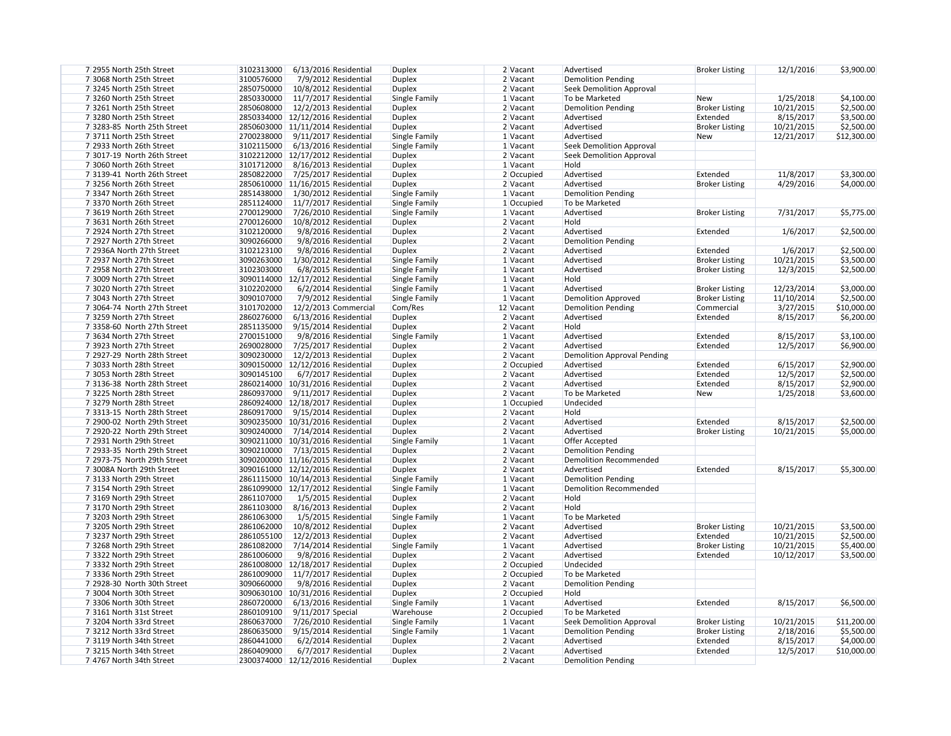| 7 2955 North 25th Street    | 3102313000<br>6/13/2016 Residential   | <b>Duplex</b>                  | 2 Vacant     | Advertised                              | <b>Broker Listing</b>             | 12/1/2016  | \$3,900.00  |
|-----------------------------|---------------------------------------|--------------------------------|--------------|-----------------------------------------|-----------------------------------|------------|-------------|
| 7 3068 North 25th Street    | 3100576000<br>7/9/2012 Residential    | <b>Duplex</b>                  | 2 Vacant     | <b>Demolition Pending</b>               |                                   |            |             |
| 73245 North 25th Street     | 2850750000<br>10/8/2012 Residential   | <b>Duplex</b>                  | 2 Vacant     | <b>Seek Demolition Approval</b>         |                                   |            |             |
| 73260 North 25th Street     | 2850330000<br>11/7/2017 Residential   | Single Family                  | 1 Vacant     | To be Marketed                          | <b>New</b>                        | 1/25/2018  | \$4,100.00  |
| 73261 North 25th Street     | 2850608000<br>12/2/2013 Residential   | <b>Duplex</b>                  | 2 Vacant     | <b>Demolition Pending</b>               | <b>Broker Listing</b>             | 10/21/2015 | \$2,500.00  |
| 73280 North 25th Street     | 2850334000 12/12/2016 Residential     | <b>Duplex</b>                  | 2 Vacant     | Advertised                              | Extended                          | 8/15/2017  | \$3,500.00  |
| 7 3283-85 North 25th Street | 2850603000 11/11/2014 Residential     | <b>Duplex</b>                  | 2 Vacant     | Advertised                              | <b>Broker Listing</b>             | 10/21/2015 | \$2,500.00  |
| 73711 North 25th Street     | 2700238000<br>9/11/2017 Residential   | Single Family                  | 1 Vacant     | Advertised                              | <b>New</b>                        | 12/21/2017 | \$12,300.00 |
| 7 2933 North 26th Street    | 3102115000<br>6/13/2016 Residential   | Single Family                  | 1 Vacant     | <b>Seek Demolition Approval</b>         |                                   |            |             |
| 7 3017-19 North 26th Street | 3102212000 12/17/2012 Residential     | <b>Duplex</b>                  | 2 Vacant     | <b>Seek Demolition Approval</b>         |                                   |            |             |
| 73060 North 26th Street     | 3101712000<br>8/16/2013 Residential   | <b>Duplex</b>                  | 1 Vacant     | Hold                                    |                                   |            |             |
| 7 3139-41 North 26th Street | 2850822000<br>7/25/2017 Residential   | <b>Duplex</b>                  | 2 Occupied   | Advertised                              | Extended                          | 11/8/2017  | \$3,300.00  |
| 73256 North 26th Street     | 2850610000 11/16/2015 Residential     | <b>Duplex</b>                  | 2 Vacant     | Advertised                              | <b>Broker Listing</b>             | 4/29/2016  | \$4,000.00  |
| 73347 North 26th Street     | 2851438000<br>1/30/2012 Residential   | Single Family                  | 1 Vacant     | <b>Demolition Pending</b>               |                                   |            |             |
| 73370 North 26th Street     | 2851124000<br>$11/7/2017$ Residential | Single Family                  | 1 Occupied   | To be Marketed                          |                                   |            |             |
| 7 3619 North 26th Street    | 2700129000<br>7/26/2010 Residential   | Single Family                  | 1 Vacant     | Advertised                              | <b>Broker Listing</b>             | 7/31/2017  | \$5,775.00  |
| 7 3631 North 26th Street    | 2700126000<br>10/8/2012 Residential   | <b>Duplex</b>                  | 2 Vacant     | Hold                                    |                                   |            |             |
| 7 2924 North 27th Street    | 3102120000<br>9/8/2016 Residential    | <b>Duplex</b>                  | 2 Vacant     | Advertised                              | Extended                          | 1/6/2017   | \$2,500.00  |
| 7 2927 North 27th Street    | 3090266000<br>9/8/2016 Residential    | <b>Duplex</b>                  | 2 Vacant     | <b>Demolition Pending</b>               |                                   |            |             |
| 7 2936A North 27th Street   | 3102123100<br>9/8/2016 Residential    | <b>Duplex</b>                  | 2 Vacant     | Advertised                              | Extended                          | 1/6/2017   | \$2,500.00  |
| 7 2937 North 27th Street    | 3090263000<br>1/30/2012 Residential   | Single Family                  | 1 Vacant     | Advertised                              | <b>Broker Listing</b>             | 10/21/2015 | \$3,500.00  |
| 7 2958 North 27th Street    | 3102303000<br>6/8/2015 Residential    | Single Family                  | 1 Vacant     | Advertised                              | <b>Broker Listing</b>             | 12/3/2015  | \$2,500.00  |
| 7 3009 North 27th Street    | 3090114000 12/17/2012 Residential     | Single Family                  | 1 Vacant     | Hold                                    |                                   |            |             |
| 7 3020 North 27th Street    | 3102202000<br>6/2/2014 Residential    | Single Family                  | 1 Vacant     | Advertised                              | <b>Broker Listing</b>             | 12/23/2014 | \$3,000.00  |
| 7 3043 North 27th Street    | 3090107000<br>7/9/2012 Residential    | Single Family                  | 1 Vacant     | <b>Demolition Approved</b>              | <b>Broker Listing</b>             | 11/10/2014 | \$2,500.00  |
| 7 3064-74 North 27th Street | 3101702000<br>12/2/2013 Commercial    | Com/Res                        | 12 Vacant    | <b>Demolition Pending</b>               | Commercial                        | 3/27/2015  | \$10,000.00 |
| 73259 North 27th Street     | 2860276000<br>6/13/2016 Residential   | <b>Duplex</b>                  | 2 Vacant     | Advertised                              | Extended                          | 8/15/2017  | \$6,200.00  |
| 7 3358-60 North 27th Street | 2851135000<br>9/15/2014 Residential   | <b>Duplex</b>                  | 2 Vacant     | Hold                                    |                                   |            |             |
| 7 3634 North 27th Street    | 2700151000<br>9/8/2016 Residential    | Single Family                  | 1 Vacant     | Advertised                              | Extended                          | 8/15/2017  | \$3,100.00  |
| 7 3923 North 27th Street    | 2690028000<br>7/25/2017 Residential   | <b>Duplex</b>                  | 2 Vacant     | Advertised                              | Extended                          | 12/5/2017  | \$6,900.00  |
| 7 2927-29 North 28th Street | 3090230000<br>12/2/2013 Residential   | <b>Duplex</b>                  | 2 Vacant     | <b>Demolition Approval Pending</b>      |                                   |            |             |
| 7 3033 North 28th Street    | 3090150000 12/12/2016 Residential     | <b>Duplex</b>                  | 2 Occupied   | Advertised                              | Extended                          | 6/15/2017  | \$2,900.00  |
| 7 3053 North 28th Street    | 3090145100<br>6/7/2017 Residential    | <b>Duplex</b>                  | 2 Vacant     | Advertised                              | Extended                          | 12/5/2017  | \$2,500.00  |
| 7 3136-38 North 28th Street | 2860214000 10/31/2016 Residential     | <b>Duplex</b>                  | 2 Vacant     | Advertised                              | Extended                          | 8/15/2017  | \$2,900.00  |
| 73225 North 28th Street     | 2860937000<br>9/11/2017 Residential   | <b>Duplex</b>                  | 2 Vacant     | To be Marketed                          | <b>New</b>                        | 1/25/2018  | \$3,600.00  |
| 73279 North 28th Street     | 2860924000 12/18/2017 Residential     | <b>Duplex</b>                  | 1 Occupied   | Undecided                               |                                   |            |             |
| 73313-15 North 28th Street  | 2860917000 9/15/2014 Residential      | <b>Duplex</b>                  | 2 Vacant     | Hold                                    |                                   |            |             |
| 7 2900-02 North 29th Street | 3090235000 10/31/2016 Residential     | <b>Duplex</b>                  | 2 Vacant     | Advertised                              | Extended                          | 8/15/2017  | \$2,500.00  |
| 7 2920-22 North 29th Street | 7/14/2014 Residential<br>3090240000   | <b>Duplex</b>                  | 2 Vacant     | Advertised                              | <b>Broker Listing</b>             | 10/21/2015 | \$5,000.00  |
| 7 2931 North 29th Street    | 3090211000 10/31/2016 Residential     | Single Family                  | 1 Vacant     | <b>Offer Accepted</b>                   |                                   |            |             |
| 7 2933-35 North 29th Street | 3090210000<br>7/13/2015 Residential   | <b>Duplex</b>                  | 2 Vacant     | <b>Demolition Pending</b>               |                                   |            |             |
| 7 2973-75 North 29th Street | 3090200000 11/16/2015 Residential     | <b>Duplex</b>                  | 2 Vacant     | <b>Demolition Recommended</b>           |                                   |            |             |
| 7 3008A North 29th Street   | 3090161000 12/12/2016 Residential     | <b>Duplex</b>                  | 2 Vacant     | Advertised                              | Extended                          | 8/15/2017  | \$5,300.00  |
| 73133 North 29th Street     | 2861115000 10/14/2013 Residential     | Single Family                  | 1 Vacant     | <b>Demolition Pending</b>               |                                   |            |             |
| 73154 North 29th Street     | 2861099000 12/17/2012 Residential     | Single Family                  | 1 Vacant     | <b>Demolition Recommended</b>           |                                   |            |             |
| 7 3169 North 29th Street    | 2861107000<br>1/5/2015 Residential    | <b>Duplex</b>                  | 2 Vacant     | Hold                                    |                                   |            |             |
| 73170 North 29th Street     | 2861103000<br>8/16/2013 Residential   | <b>Duplex</b>                  | 2 Vacant     | Hold                                    |                                   |            |             |
| 73203 North 29th Street     | 2861063000<br>1/5/2015 Residential    | Single Family                  | 1 Vacant     | To be Marketed                          |                                   |            |             |
| 73205 North 29th Street     | 2861062000<br>10/8/2012 Residential   | <b>Duplex</b>                  | 2 Vacant     | Advertised                              | <b>Broker Listing</b>             | 10/21/2015 | \$3,500.00  |
| 73237 North 29th Street     | 2861055100<br>$12/2/2013$ Residential | <b>Duplex</b>                  | 2 Vacant     | Advertised                              | Extended                          | 10/21/2015 | \$2,500.00  |
| 73268 North 29th Street     | 2861082000<br>7/14/2014 Residential   | Single Family                  | 1 Vacant     | Advertised                              | <b>Broker Listing</b>             | 10/21/2015 | \$5,400.00  |
| 73322 North 29th Street     | 2861006000<br>9/8/2016 Residential    | <b>Duplex</b>                  | 2 Vacant     | Advertised                              | Extended                          | 10/12/2017 | \$3,500.00  |
| 73332 North 29th Street     | 2861008000 12/18/2017 Residential     | <b>Duplex</b>                  | 2 Occupied   | Undecided                               |                                   |            |             |
| 73336 North 29th Street     | 2861009000<br>$11/7/2017$ Residential | <b>Duplex</b>                  | 2 Occupied   | To be Marketed                          |                                   |            |             |
| 7 2928-30 North 30th Street | 3090660000<br>9/8/2016 Residential    |                                | 2 Vacant     |                                         |                                   |            |             |
| 7 3004 North 30th Street    | 3090630100 10/31/2016 Residential     | <b>Duplex</b><br><b>Duplex</b> | $2$ Occupied | <b>Demolition Pending</b><br>Hold       |                                   |            |             |
| 73306 North 30th Street     | 2860720000<br>6/13/2016 Residential   | Single Family                  | 1 Vacant     | Advertised                              | Extended                          | 8/15/2017  | \$6,500.00  |
| 73161 North 31st Street     | 2860109100<br>9/11/2017 Special       | Warehouse                      | 2 Occupied   | To be Marketed                          |                                   |            |             |
| 73204 North 33rd Street     | 2860637000<br>7/26/2010 Residential   | Single Family                  | 1 Vacant     | Seek Demolition Approval                | <b>Broker Listing</b>             | 10/21/2015 | \$11,200.00 |
| 73212 North 33rd Street     | 2860635000<br>9/15/2014 Residential   |                                | 1 Vacant     |                                         |                                   | 2/18/2016  |             |
| 73119 North 34th Street     | 2860441000<br>6/2/2014 Residential    | Single Family                  |              | <b>Demolition Pending</b><br>Advertised | <b>Broker Listing</b><br>Extended |            | \$5,500.00  |
|                             | 2860409000                            | <b>Duplex</b>                  | 2 Vacant     | Advertised                              |                                   | 8/15/2017  | \$4,000.00  |
| 73215 North 34th Street     | 6/7/2017 Residential                  | <b>Duplex</b>                  | 2 Vacant     |                                         | Extended                          | 12/5/2017  | \$10,000.00 |
| 7 4767 North 34th Street    | 2300374000 12/12/2016 Residential     | <b>Duplex</b>                  | 2 Vacant     | <b>Demolition Pending</b>               |                                   |            |             |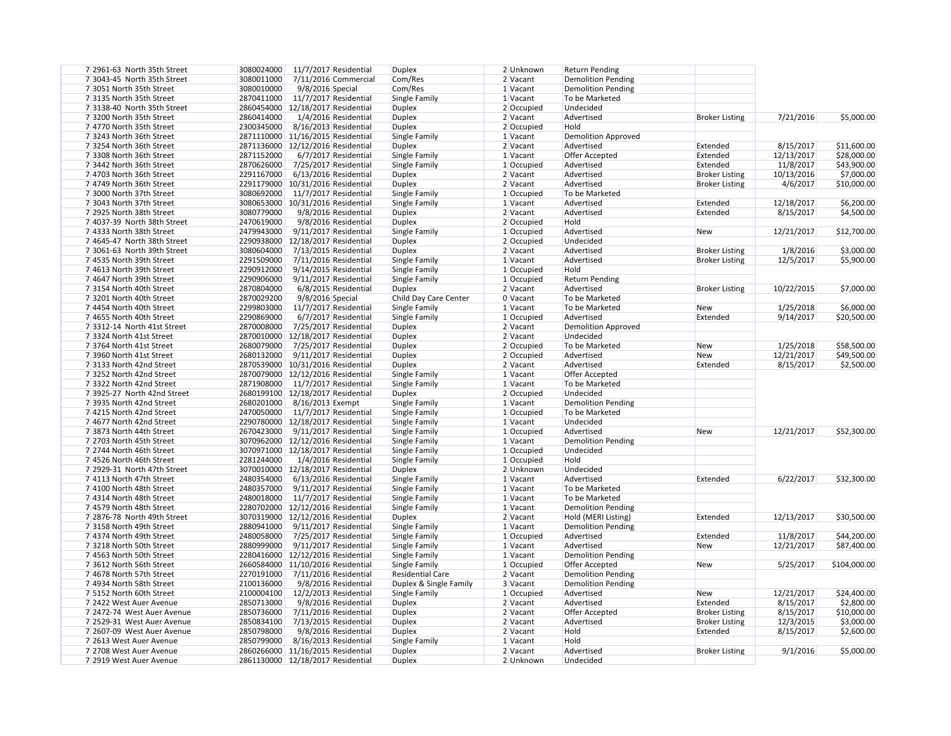| 7 2961-63 North 35th Street | 3080024000<br>11/7/2017 Residential | <b>Duplex</b>           | 2 Unknown    | <b>Return Pending</b>     |                       |            |              |
|-----------------------------|-------------------------------------|-------------------------|--------------|---------------------------|-----------------------|------------|--------------|
| 7 3043-45 North 35th Street | 3080011000<br>7/11/2016 Commercial  | Com/Res                 | 2 Vacant     | <b>Demolition Pending</b> |                       |            |              |
| 7 3051 North 35th Street    | 3080010000<br>9/8/2016 Special      | Com/Res                 | $1$ Vacant   | Demolition Pending        |                       |            |              |
| 73135 North 35th Street     | 2870411000<br>11/7/2017 Residential | Single Family           | 1 Vacant     | To be Marketed            |                       |            |              |
| 73138-40 North 35th Street  | 2860454000 12/18/2017 Residential   | <b>Duplex</b>           | 2 Occupied   | Undecided                 |                       |            |              |
| 73200 North 35th Street     | 2860414000<br>1/4/2016 Residential  | <b>Duplex</b>           | 2 Vacant     | Advertised                | <b>Broker Listing</b> | 7/21/2016  | \$5,000.00   |
| 7 4770 North 35th Street    | 2300345000<br>8/16/2013 Residential | <b>Duplex</b>           | 2 Occupied   | Hold                      |                       |            |              |
| 73243 North 36th Street     | 2871110000 11/16/2015 Residential   | Single Family           | 1 Vacant     | Demolition Approved       |                       |            |              |
| 73254 North 36th Street     | 2871136000 12/12/2016 Residential   | <b>Duplex</b>           | $2$ Vacant   | Advertised                | Extended              | 8/15/2017  | \$11,600.00  |
| 7 3308 North 36th Street    | 2871152000<br>6/7/2017 Residential  | Single Family           | 1 Vacant     | Offer Accepted            | Extended              | 12/13/2017 | \$28,000.00  |
| 7 3442 North 36th Street    | 2870626000<br>7/25/2017 Residential | Single Family           | 1 Occupied   | Advertised                | Extended              | 11/8/2017  | \$43,900.00  |
| 7 4703 North 36th Street    | 2291167000<br>6/13/2016 Residential | <b>Duplex</b>           | 2 Vacant     | Advertised                | <b>Broker Listing</b> | 10/13/2016 | \$7,000.00   |
| 7 4749 North 36th Street    | 2291179000   10/31/2016 Residential | <b>Duplex</b>           | 2 Vacant     | Advertised                | <b>Broker Listing</b> | 4/6/2017   | \$10,000.00  |
| 7 3000 North 37th Street    | 3080692000 11/7/2017 Residential    | Single Family           | 1 Occupied   | To be Marketed            |                       |            |              |
| 7 3043 North 37th Street    | 3080653000 10/31/2016 Residential   | Single Family           | $1$ Vacant   | Advertised                | Extended              | 12/18/2017 | \$6,200.00   |
| 7 2925 North 38th Street    | 3080779000<br>9/8/2016 Residential  | <b>Duplex</b>           | $2$ Vacant   | Advertised                | Extended              | 8/15/2017  | \$4,500.00   |
| 7 4037-39 North 38th Street | 2470619000<br>9/8/2016 Residential  | <b>Duplex</b>           | 2 Occupied   | Hold                      |                       |            |              |
| 7 4333 North 38th Street    | 2479943000<br>9/11/2017 Residential | Single Family           | $1$ Occupied | Advertised                | New                   | 12/21/2017 | \$12,700.00  |
| 7 4645-47 North 38th Street | 2290938000 12/18/2017 Residential   | Duplex                  | $2$ Occupied | Undecided                 |                       |            |              |
| 7 3061-63 North 39th Street | 3080604000<br>7/13/2015 Residential | <b>Duplex</b>           | $2$ Vacant   | Advertised                | <b>Broker Listing</b> | 1/8/2016   | \$3,000.00   |
| 7 4535 North 39th Street    | 2291509000                          |                         |              | Advertised                |                       |            |              |
| 7 4613 North 39th Street    | 7/11/2016 Residential<br>2290912000 | Single Family           | 1 Vacant     |                           | <b>Broker Listing</b> | 12/5/2017  | \$5,900.00   |
|                             | 9/14/2015 Residential               | Single Family           | $1$ Occupied | Hold                      |                       |            |              |
| 7 4647 North 39th Street    | 2290906000<br>9/11/2017 Residential | Single Family           | $1$ Occupied | <b>Return Pending</b>     |                       |            |              |
| 73154 North 40th Street     | 2870804000<br>6/8/2015 Residential  | <b>Duplex</b>           | $2$ Vacant   | Advertised                | <b>Broker Listing</b> | 10/22/2015 | \$7,000.00   |
| 73201 North 40th Street     | 2870029200<br>9/8/2016 Special      | Child Day Care Center   | 0 Vacant     | To be Marketed            |                       |            |              |
| 7 4454 North 40th Street    | 2299803000<br>11/7/2017 Residential | Single Family           | $1$ Vacant   | To be Marketed            | New                   | 1/25/2018  | \$6,000.00   |
| 7 4655 North 40th Street    | 2290869000<br>6/7/2017 Residential  | Single Family           | $1$ Occupied | Advertised                | Extended              | 9/14/2017  | \$20,500.00  |
| 7 3312-14 North 41st Street | 2870008000<br>7/25/2017 Residential | <b>Duplex</b>           | 2 Vacant     | Demolition Approved       |                       |            |              |
| 7 3324 North 41st Street    | 2870010000 12/18/2017 Residential   | <b>Duplex</b>           | 2 Vacant     | Undecided                 |                       |            |              |
| 7 3764 North 41st Street    | 2680079000<br>7/25/2017 Residential | <b>Duplex</b>           | $2$ Occupied | To be Marketed            | <b>New</b>            | 1/25/2018  | \$58,500.00  |
| 7 3960 North 41st Street    | 2680132000<br>9/11/2017 Residential | <b>Duplex</b>           | $2$ Occupied | Advertised                | New                   | 12/21/2017 | \$49,500.00  |
| 73133 North 42nd Street     | 2870539000   10/31/2016 Residential | <b>Duplex</b>           | 2 Vacant     | Advertised                | Extended              | 8/15/2017  | \$2,500.00   |
| 73252 North 42nd Street     | 2870079000 12/12/2016 Residential   | Single Family           | $1$ Vacant   | Offer Accepted            |                       |            |              |
| 73322 North 42nd Street     | 2871908000<br>11/7/2017 Residential | Single Family           | $1$ Vacant   | To be Marketed            |                       |            |              |
| 7 3925-27 North 42nd Street | 2680199100 12/18/2017 Residential   | <b>Duplex</b>           | $2$ Occupied | Undecided                 |                       |            |              |
| 7 3935 North 42nd Street    | 2680201000<br>8/16/2013 Exempt      | Single Family           | $1$ Vacant   | Demolition Pending        |                       |            |              |
| 7 4215 North 42nd Street    | 2470050000<br>11/7/2017 Residential | Single Family           | $1$ Occupied | To be Marketed            |                       |            |              |
| 7 4677 North 42nd Street    | 2290780000 12/18/2017 Residential   | Single Family           | 1 Vacant     | Undecided                 |                       |            |              |
| 73873 North 44th Street     | 2670423000<br>9/11/2017 Residential | Single Family           | 1 Occupied   | Advertised                | New                   | 12/21/2017 | \$52,300.00  |
| 7 2703 North 45th Street    | 3070962000 12/12/2016 Residential   | Single Family           | 1 Vacant     | <b>Demolition Pending</b> |                       |            |              |
| 7 2744 North 46th Street    | 3070971000 12/18/2017 Residential   | Single Family           | 1 Occupied   | Undecided                 |                       |            |              |
| 7 4526 North 46th Street    | 2281244000<br>1/4/2016 Residential  | Single Family           | $1$ Occupied | Hold                      |                       |            |              |
| 7 2929-31 North 47th Street | 3070010000 12/18/2017 Residential   | <b>Duplex</b>           | 2 Unknown    | Undecided                 |                       |            |              |
| 7 4113 North 47th Street    | 2480354000<br>6/13/2016 Residential | Single Family           | 1 Vacant     | Advertised                | Extended              | 6/22/2017  | \$32,300.00  |
| 7 4100 North 48th Street    | 2480357000<br>9/11/2017 Residential | Single Family           | $1$ Vacant   | To be Marketed            |                       |            |              |
| 7 4314 North 48th Street    | 2480018000 11/7/2017 Residential    | Single Family           | 1 Vacant     | To be Marketed            |                       |            |              |
| 7 4579 North 48th Street    | 2280702000 12/12/2016 Residential   | Single Family           | $1$ Vacant   | <b>Demolition Pending</b> |                       |            |              |
| 7 2876-78 North 49th Street | 3070319000 12/12/2016 Residential   | <b>Duplex</b>           | 2 Vacant     | Hold (MERI Listing)       | Extended              | 12/13/2017 | \$30,500.00  |
| 73158 North 49th Street     | 2880941000<br>9/11/2017 Residential | Single Family           | $1$ Vacant   | Demolition Pending        |                       |            |              |
| 7 4374 North 49th Street    | 2480058000<br>7/25/2017 Residential | Single Family           | $1$ Occupied | Advertised                | Extended              | 11/8/2017  | \$44,200.00  |
| 73218 North 50th Street     | 2880999000<br>9/11/2017 Residential | Single Family           | $1$ Vacant   | Advertised                | <b>New</b>            | 12/21/2017 | \$87,400.00  |
| 7 4563 North 50th Street    | 2280416000 12/12/2016 Residential   | Single Family           | 1 Vacant     | <b>Demolition Pending</b> |                       |            |              |
| 7 3612 North 56th Street    | 2660584000 11/10/2016 Residential   | Single Family           | $1$ Occupied | Offer Accepted            | <b>New</b>            | 5/25/2017  | \$104,000.00 |
| 7 4678 North 57th Street    | 2270191000<br>7/11/2016 Residential | <b>Residential Care</b> | 2 Vacant     | <b>Demolition Pending</b> |                       |            |              |
| 7 4934 North 58th Street    | 2100136000<br>9/8/2016 Residential  | Duplex & Single Family  | $3$ Vacant   | Demolition Pending        |                       |            |              |
| 7 5152 North 60th Street    | 2100004100<br>12/2/2013 Residential | Single Family           | $1$ Occupied | Advertised                | <b>New</b>            | 12/21/2017 | \$24,400.00  |
| 7 2422 West Auer Avenue     | 2850713000<br>9/8/2016 Residential  | Duplex                  | 2 Vacant     | Advertised                | Extended              | 8/15/2017  | \$2,800.00   |
| 7 2472-74 West Auer Avenue  | 2850736000<br>7/11/2016 Residential | Duplex                  | $2$ Vacant   | Offer Accepted            | <b>Broker Listing</b> | 8/15/2017  | \$10,000.00  |
| 7 2529-31 West Auer Avenue  | 2850834100<br>7/13/2015 Residential | <b>Duplex</b>           | 2 Vacant     | Advertised                | <b>Broker Listing</b> | 12/3/2015  | \$3,000.00   |
| 7 2607-09 West Auer Avenue  | 2850798000<br>9/8/2016 Residential  | <b>Duplex</b>           | 2 Vacant     | Hold                      | Extended              | 8/15/2017  | \$2,600.00   |
| 7 2613 West Auer Avenue     | 2850799000<br>8/16/2013 Residential | Single Family           | 1 Vacant     | Hold                      |                       |            |              |
| 7 2708 West Auer Avenue     | 2860266000 11/16/2015 Residential   | <b>Duplex</b>           | $2$ Vacant   | Advertised                | <b>Broker Listing</b> | 9/1/2016   | \$5,000.00   |
| 7 2919 West Auer Avenue     | 2861130000 12/18/2017 Residential   | Duplex                  | 2 Unknown    | Undecided                 |                       |            |              |
|                             |                                     |                         |              |                           |                       |            |              |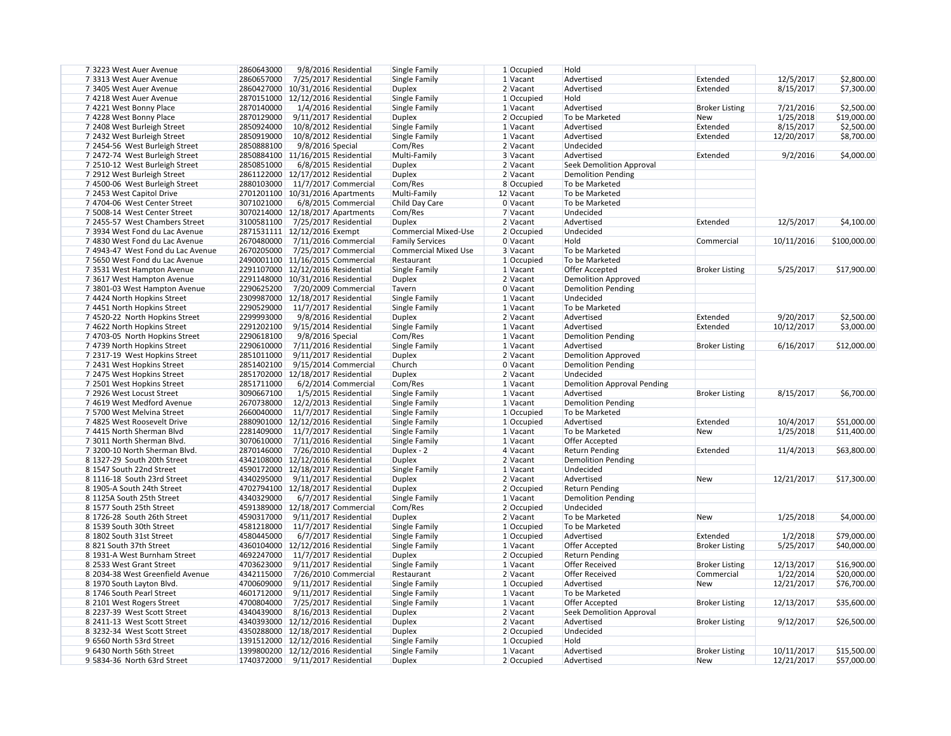| 7 3223 West Auer Avenue           | 2860643000<br>9/8/2016 Residential   | <b>Single Family</b>        | $1$ Occupied | Hold                        |                       |            |              |
|-----------------------------------|--------------------------------------|-----------------------------|--------------|-----------------------------|-----------------------|------------|--------------|
| 7 3313 West Auer Avenue           | 2860657000<br>7/25/2017 Residential  | Single Family               | 1 Vacant     | Advertised                  | Extended              | 12/5/2017  | \$2,800.00   |
| 7 3405 West Auer Avenue           | 2860427000   10/31/2016 Residential  | <b>Duplex</b>               | $2$ Vacant   | Advertised                  | Extended              | 8/15/2017  | \$7,300.00   |
| 7 4218 West Auer Avenue           | 2870151000 12/12/2016 Residential    | Single Family               | $1$ Occupied | Hold                        |                       |            |              |
| 7 4221 West Bonny Place           | 2870140000<br>1/4/2016 Residential   | Single Family               | 1 Vacant     | Advertised                  | <b>Broker Listing</b> | 7/21/2016  | \$2,500.00   |
| 7 4228 West Bonny Place           | 2870129000<br>9/11/2017 Residential  | <b>Duplex</b>               | 2 Occupied   | To be Marketed              | <b>New</b>            | 1/25/2018  | \$19,000.00  |
| 7 2408 West Burleigh Street       | 2850924000<br>10/8/2012 Residential  | Single Family               | $1$ Vacant   | Advertised                  | Extended              | 8/15/2017  | \$2,500.00   |
| 7 2432 West Burleigh Street       | 2850919000<br>10/8/2012 Residential  | Single Family               | 1 Vacant     | Advertised                  | Extended              | 12/20/2017 | \$8,700.00   |
|                                   | 2850888100<br>9/8/2016 Special       | Com/Res                     | $2$ Vacant   | Undecided                   |                       |            |              |
| 7 2454-56 West Burleigh Street    |                                      |                             |              |                             | Extended              |            |              |
| 7 2472-74 West Burleigh Street    | 2850884100 11/16/2015 Residential    | Multi-Family                | 3 Vacant     | Advertised                  |                       | 9/2/2016   | \$4,000.00   |
| 7 2510-12 West Burleigh Street    | 2850851000<br>6/8/2015 Residential   | <b>Duplex</b>               | $2$ Vacant   | Seek Demolition Approval    |                       |            |              |
| 7 2912 West Burleigh Street       | 2861122000 12/17/2012 Residential    | <b>Duplex</b>               | 2 Vacant     | Demolition Pending          |                       |            |              |
| 7 4500-06 West Burleigh Street    | 2880103000<br>11/7/2017 Commercial   | Com/Res                     | 8 Occupied   | To be Marketed              |                       |            |              |
| 7 2453 West Capitol Drive         | 2701201100 10/31/2016 Apartments     | Multi-Family                | 12 Vacant    | To be Marketed              |                       |            |              |
| 7 4704-06 West Center Street      | 3071021000<br>6/8/2015 Commercial    | Child Day Care              | $0$ Vacant   | To be Marketed              |                       |            |              |
| 7 5008-14 West Center Street      | 3070214000   12/18/2017 Apartments   | Com/Res                     | 7 Vacant     | Undecided                   |                       |            |              |
| 7 2455-57 West Chambers Street    | 3100581100 7/25/2017 Residential     | <b>Duplex</b>               | $2$ Vacant   | Advertised                  | Extended              | 12/5/2017  | \$4,100.00   |
| 7 3934 West Fond du Lac Avenue    | 2871531111 12/12/2016 Exempt         | <b>Commercial Mixed-Use</b> | 2 Occupied   | Undecided                   |                       |            |              |
| 7 4830 West Fond du Lac Avenue    | 2670480000 7/11/2016 Commercial      | <b>Family Services</b>      | $0$ Vacant   | Hold                        | Commercial            | 10/11/2016 | \$100,000.00 |
| 7 4943-47 West Fond du Lac Avenue | 2670205000<br>7/25/2017 Commercial   | <b>Commercial Mixed Use</b> | 3 Vacant     | To be Marketed              |                       |            |              |
| 7 5650 West Fond du Lac Avenue    | 2490001100 11/16/2015 Commercial     | Restaurant                  | $1$ Occupied | To be Marketed              |                       |            |              |
| 73531 West Hampton Avenue         | 2291107000 12/12/2016 Residential    | Single Family               | $1$ Vacant   | Offer Accepted              | <b>Broker Listing</b> | 5/25/2017  | \$17,900.00  |
| 73617 West Hampton Avenue         | 2291148000 10/31/2016 Residential    | <b>Duplex</b>               | 2 Vacant     | Demolition Approved         |                       |            |              |
| 7 3801-03 West Hampton Avenue     | 2290625200<br>7/20/2009 Commercial   | Tavern                      | 0 Vacant     | Demolition Pending          |                       |            |              |
| 7 4424 North Hopkins Street       | 2309987000 12/18/2017 Residential    | Single Family               | 1 Vacant     | Undecided                   |                       |            |              |
| 7 4451 North Hopkins Street       | 2290529000<br>11/7/2017 Residential  | Single Family               | $1$ Vacant   | To be Marketed              |                       |            |              |
| 7 4520-22 North Hopkins Street    | 2299993000<br>9/8/2016 Residential   | <b>Duplex</b>               | 2 Vacant     | Advertised                  | Extended              | 9/20/2017  | \$2,500.00   |
| 7 4622 North Hopkins Street       | 2291202100<br>9/15/2014 Residential  | Single Family               | 1 Vacant     | Advertised                  | Extended              | 10/12/2017 | \$3,000.00   |
| 7 4703-05 North Hopkins Street    | 2290618100<br>9/8/2016 Special       | Com/Res                     | 1 Vacant     | Demolition Pending          |                       |            |              |
|                                   |                                      |                             |              |                             |                       |            |              |
| 7 4739 North Hopkins Street       | 2290610000<br>7/11/2016 Residential  | Single Family               | 1 Vacant     | Advertised                  | <b>Broker Listing</b> | 6/16/2017  | \$12,000.00  |
| 7 2317-19 West Hopkins Street     | 2851011000<br>9/11/2017 Residential  | <b>Duplex</b>               | 2 Vacant     | Demolition Approved         |                       |            |              |
| 7 2431 West Hopkins Street        | 2851402100<br>$9/15/2014$ Commercial | Church                      | $0$ Vacant   | Demolition Pending          |                       |            |              |
| 7 2475 West Hopkins Street        | 2851702000 12/18/2017 Residential    | <b>Duplex</b>               | 2 Vacant     | Undecided                   |                       |            |              |
| 7 2501 West Hopkins Street        | 2851711000<br>6/2/2014 Commercial    | Com/Res                     | 1 Vacant     | Demolition Approval Pending |                       |            |              |
| 7 2926 West Locust Street         | 3090667100<br>1/5/2015 Residential   | Single Family               | 1 Vacant     | Advertised                  | <b>Broker Listing</b> | 8/15/2017  | \$6,700.00   |
| 7 4619 West Medford Avenue        | 2670738000<br>12/2/2013 Residential  | Single Family               | 1 Vacant     | Demolition Pending          |                       |            |              |
| 7 5700 West Melvina Street        | 2660040000 11/7/2017 Residential     | Single Family               | 1 Occupied   | To be Marketed              |                       |            |              |
| 7 4825 West Roosevelt Drive       | 2880901000 12/12/2016 Residential    | Single Family               | $1$ Occupied | Advertised                  | Extended              | 10/4/2017  | \$51,000.00  |
| 7 4415 North Sherman Blvd         | 2281409000 11/7/2017 Residential     | Single Family               | 1 Vacant     | To be Marketed              | <b>New</b>            | 1/25/2018  | \$11,400.00  |
| 73011 North Sherman Blvd.         | 3070610000 7/11/2016 Residential     | Single Family               | 1 Vacant     | Offer Accepted              |                       |            |              |
| 73200-10 North Sherman Blvd.      | 2870146000 7/26/2010 Residential     | Duplex - 2                  | $4$ Vacant   | <b>Return Pending</b>       | Extended              | 11/4/2013  | \$63,800.00  |
| 8 1327-29 South 20th Street       | 4342108000 12/12/2016 Residential    | <b>Duplex</b>               | $2$ Vacant   | Demolition Pending          |                       |            |              |
| 8 1547 South 22nd Street          | 4590172000 12/18/2017 Residential    | Single Family               | $1$ Vacant   | Undecided                   |                       |            |              |
| 8 1116-18 South 23rd Street       | 4340295000<br>9/11/2017 Residential  | Duplex                      | 2 Vacant     | Advertised                  | <b>New</b>            | 12/21/2017 | \$17,300.00  |
| 8 1905-A South 24th Street        | 4702794100 12/18/2017 Residential    | <b>Duplex</b>               | 2 Occupied   | <b>Return Pending</b>       |                       |            |              |
| 8 1125A South 25th Street         | 4340329000<br>6/7/2017 Residential   | Single Family               | 1 Vacant     | Demolition Pending          |                       |            |              |
| 8 1577 South 25th Street          | 4591389000 12/18/2017 Commercial     | Com/Res                     | 2 Occupied   | Undecided                   |                       |            |              |
| 8 1726-28 South 26th Street       | 4590317000<br>9/11/2017 Residential  | <b>Duplex</b>               | 2 Vacant     | To be Marketed              | <b>New</b>            | 1/25/2018  | \$4,000.00   |
| 8 1539 South 30th Street          | 4581218000 11/7/2017 Residential     | Single Family               | 1 Occupied   | To be Marketed              |                       |            |              |
| 8 1802 South 31st Street          | 4580445000<br>6/7/2017 Residential   | Single Family               | $1$ Occupied | Advertised                  | Extended              | 1/2/2018   | \$79,000.00  |
| 8821 South 37th Street            | 4360104000 12/12/2016 Residential    | Single Family               | 1 Vacant     | Offer Accepted              | <b>Broker Listing</b> | 5/25/2017  | \$40,000.00  |
| 8 1931-A West Burnham Street      | 4692247000<br>11/7/2017 Residential  | Duplex                      | $2$ Occupied | <b>Return Pending</b>       |                       |            |              |
| 8 2533 West Grant Street          | 4703623000<br>9/11/2017 Residential  | Single Family               | $1$ Vacant   | <b>Offer Received</b>       | <b>Broker Listing</b> | 12/13/2017 | \$16,900.00  |
|                                   | 4342115000                           |                             |              |                             |                       |            |              |
| 8 2034-38 West Greenfield Avenue  | 7/26/2010 Commercial                 | Restaurant                  | 2 Vacant     | <b>Offer Received</b>       | Commercial            | 1/22/2014  | \$20,000.00  |
| 8 1970 South Layton Blvd.         | 4700609000<br>9/11/2017 Residential  | Single Family               | $1$ Occupied | Advertised                  | <b>New</b>            | 12/21/2017 | \$76,700.00  |
| 8 1746 South Pearl Street         | 4601712000<br>9/11/2017 Residential  | Single Family               | 1 Vacant     | To be Marketed              |                       |            |              |
| 8 2101 West Rogers Street         | 4700804000<br>7/25/2017 Residential  | Single Family               | 1 Vacant     | Offer Accepted              | <b>Broker Listing</b> | 12/13/2017 | \$35,600.00  |
| 8 2237-39 West Scott Street       | 4340439000<br>8/16/2013 Residential  | <b>Duplex</b>               | 2 Vacant     | Seek Demolition Approval    |                       |            |              |
| 8 2411-13 West Scott Street       | 4340393000 12/12/2016 Residential    | <b>Duplex</b>               | 2 Vacant     | Advertised                  | <b>Broker Listing</b> | 9/12/2017  | \$26,500.00  |
| 8 3232-34 West Scott Street       | 4350288000 12/18/2017 Residential    | <b>Duplex</b>               | $2$ Occupied | Undecided                   |                       |            |              |
| 9 6560 North 53rd Street          | 1391512000 12/12/2016 Residential    | Single Family               | $1$ Occupied | Hold                        |                       |            |              |
| 9 6430 North 56th Street          | 1399800200 12/12/2016 Residential    | Single Family               | $1$ Vacant   | Advertised                  | <b>Broker Listing</b> | 10/11/2017 | \$15,500.00  |
| 9 5834-36 North 63rd Street       | 1740372000 9/11/2017 Residential     | Duplex                      | $2$ Occupied | Advertised                  | <b>New</b>            | 12/21/2017 | \$57,000.00  |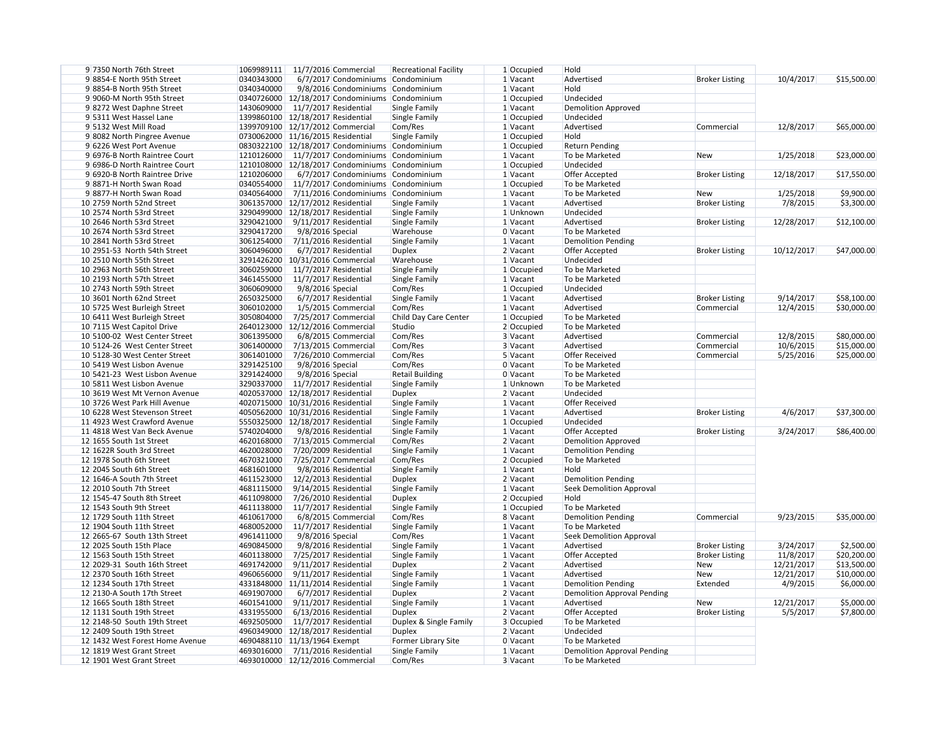| 9 7350 North 76th Street        |                              | 1069989111 11/7/2016 Commercial                | <b>Recreational Facility</b> | $1$ Occupied | Hold                        |                       |            |             |
|---------------------------------|------------------------------|------------------------------------------------|------------------------------|--------------|-----------------------------|-----------------------|------------|-------------|
| 98854-E North 95th Street       | 0340343000                   | 6/7/2017 Condominiums Condominium              |                              | 1 Vacant     | Advertised                  | <b>Broker Listing</b> | 10/4/2017  | \$15,500.00 |
| 98854-B North 95th Street       | 0340340000                   | 9/8/2016 Condominiums Condominium              |                              | 1 Vacant     | Hold                        |                       |            |             |
| 9 9060-M North 95th Street      |                              | 0340726000 12/18/2017 Condominiums Condominium |                              | $1$ Occupied | Undecided                   |                       |            |             |
| 98272 West Daphne Street        | 1430609000                   | 11/7/2017 Residential                          | Single Family                | 1 Vacant     | Demolition Approved         |                       |            |             |
| 9 5311 West Hassel Lane         |                              | 1399860100 12/18/2017 Residential              | Single Family                | $1$ Occupied | Undecided                   |                       |            |             |
| 9 5132 West Mill Road           |                              | 1399709100 12/17/2012 Commercial               | Com/Res                      | 1 Vacant     | Advertised                  | Commercial            | 12/8/2017  | \$65,000.00 |
| 98082 North Pingree Avenue      |                              | 0730062000 11/16/2015 Residential              | Single Family                | $1$ Occupied | Hold                        |                       |            |             |
| 9 6226 West Port Avenue         |                              | 0830322100 12/18/2017 Condominiums Condominium |                              | 1 Occupied   | <b>Return Pending</b>       |                       |            |             |
| 9 6976-B North Raintree Court   | 1210126000                   | 11/7/2017 Condominiums Condominium             |                              |              | To be Marketed              |                       |            |             |
|                                 |                              |                                                |                              | $1$ Vacant   |                             | <b>New</b>            | 1/25/2018  | \$23,000.00 |
| 9 6986-D North Raintree Court   |                              | 1210108000 12/18/2017 Condominiums Condominium |                              | 1 Occupied   | Undecided                   |                       |            |             |
| 9 6920-B North Raintree Drive   | 1210206000                   | 6/7/2017 Condominiums Condominium              |                              | 1 Vacant     | Offer Accepted              | <b>Broker Listing</b> | 12/18/2017 | \$17,550.00 |
| 98871-H North Swan Road         | 0340554000                   | 11/7/2017 Condominiums Condominium             |                              | 1 Occupied   | To be Marketed              |                       |            |             |
| 98877-H North Swan Road         | 0340564000                   | 7/11/2016 Condominiums Condominium             |                              | $1$ Vacant   | To be Marketed              | <b>New</b>            | 1/25/2018  | \$9,900.00  |
| 10 2759 North 52nd Street       |                              | 3061357000   12/17/2012 Residential            | Single Family                | $1$ Vacant   | Advertised                  | <b>Broker Listing</b> | 7/8/2015   | \$3,300.00  |
| 10 2574 North 53rd Street       |                              | 3290499000 12/18/2017 Residential              | Single Family                | 1 Unknown    | Undecided                   |                       |            |             |
| 10 2646 North 53rd Street       | 3290421000                   | 9/11/2017 Residential                          | Single Family                | $1$ Vacant   | Advertised                  | <b>Broker Listing</b> | 12/28/2017 | \$12,100.00 |
| 10 2674 North 53rd Street       | 3290417200                   | 9/8/2016 Special                               | Warehouse                    | $0$ Vacant   | To be Marketed              |                       |            |             |
| 10 2841 North 53rd Street       | 3061254000                   | 7/11/2016 Residential                          | Single Family                | $1$ Vacant   | Demolition Pending          |                       |            |             |
| 10 2951-53 North 54th Street    | 3060496000                   | 6/7/2017 Residential                           | <b>Duplex</b>                | $2$ Vacant   | Offer Accepted              | <b>Broker Listing</b> | 10/12/2017 | \$47,000.00 |
| 10 2510 North 55th Street       |                              | 3291426200 10/31/2016 Commercial               | Warehouse                    | 1 Vacant     | Undecided                   |                       |            |             |
| 10 2963 North 56th Street       | 3060259000                   | 11/7/2017 Residential                          | Single Family                | $1$ Occupied | To be Marketed              |                       |            |             |
| 10 2193 North 57th Street       | 3461455000                   | 11/7/2017 Residential                          | Single Family                | 1 Vacant     | To be Marketed              |                       |            |             |
|                                 |                              |                                                |                              |              |                             |                       |            |             |
| 10 2743 North 59th Street       | 3060609000                   | 9/8/2016 Special                               | Com/Res                      | $1$ Occupied | Undecided                   |                       |            |             |
| 10 3601 North 62nd Street       | 2650325000                   | 6/7/2017 Residential                           | Single Family                | $1$ Vacant   | Advertised                  | <b>Broker Listing</b> | 9/14/2017  | \$58,100.00 |
| 10 5725 West Burleigh Street    | 3060102000                   | 1/5/2015 Commercial                            | Com/Res                      | 1 Vacant     | Advertised                  | Commercial            | 12/4/2015  | \$30,000.00 |
| 10 6411 West Burleigh Street    | 3050804000                   | 7/25/2017 Commercial                           | Child Day Care Center        | $1$ Occupied | To be Marketed              |                       |            |             |
| 10 7115 West Capitol Drive      |                              | 2640123000 12/12/2016 Commercial               | Studio                       | $2$ Occupied | To be Marketed              |                       |            |             |
| 10 5100-02 West Center Street   | 3061395000                   | 6/8/2015 Commercial                            | Com/Res                      | 3 Vacant     | Advertised                  | Commercial            | 12/8/2015  | \$80,000.00 |
| 10 5124-26 West Center Street   | 3061400000                   | 7/13/2015 Commercial                           | Com/Res                      | 3 Vacant     | Advertised                  | Commercial            | 10/6/2015  | \$15,000.00 |
| 10 5128-30 West Center Street   | 3061401000                   | 7/26/2010 Commercial                           | Com/Res                      | $5$ Vacant   | <b>Offer Received</b>       | Commercial            | 5/25/2016  | \$25,000.00 |
| 10 5419 West Lisbon Avenue      | 3291425100                   | 9/8/2016 Special                               | Com/Res                      | $0$ Vacant   | To be Marketed              |                       |            |             |
| 10 5421-23 West Lisbon Avenue   | 3291424000                   | 9/8/2016 Special                               | <b>Retail Building</b>       | $0$ Vacant   | To be Marketed              |                       |            |             |
| 10 5811 West Lisbon Avenue      | 3290337000                   | 11/7/2017 Residential                          | Single Family                | 1 Unknown    | To be Marketed              |                       |            |             |
| 10 3619 West Mt Vernon Avenue   |                              | 4020537000 12/18/2017 Residential              | <b>Duplex</b>                | $2$ Vacant   | Undecided                   |                       |            |             |
| 10 3726 West Park Hill Avenue   |                              | 4020715000 10/31/2016 Residential              | Single Family                | $1$ Vacant   | <b>Offer Received</b>       |                       |            |             |
| 10 6228 West Stevenson Street   |                              | 4050562000 10/31/2016 Residential              | Single Family                |              | Advertised                  | <b>Broker Listing</b> | 4/6/2017   |             |
|                                 |                              |                                                |                              | 1 Vacant     | Undecided                   |                       |            | \$37,300.00 |
| 11 4923 West Crawford Avenue    |                              | 5550325000 12/18/2017 Residential              | Single Family                | $1$ Occupied |                             |                       |            |             |
| 11 4818 West Van Beck Avenue    | 5740204000                   | 9/8/2016 Residential                           | Single Family                | $1$ Vacant   | Offer Accepted              | <b>Broker Listing</b> | 3/24/2017  | \$86,400.00 |
| 12 1655 South 1st Street        | 4620168000                   | 7/13/2015 Commercial                           | Com/Res                      | $2$ Vacant   | <b>Demolition Approved</b>  |                       |            |             |
| 12 1622R South 3rd Street       | 4620028000                   | 7/20/2009 Residential                          | Single Family                | $1$ Vacant   | <b>Demolition Pending</b>   |                       |            |             |
| 12 1978 South 6th Street        | 4670321000                   | 7/25/2017 Commercial                           | Com/Res                      | 2 Occupied   | To be Marketed              |                       |            |             |
| 12 2045 South 6th Street        | 4681601000                   | 9/8/2016 Residential                           | Single Family                | 1 Vacant     | Hold                        |                       |            |             |
| 12 1646-A South 7th Street      | 4611523000                   | 12/2/2013 Residential                          | <b>Duplex</b>                | 2 Vacant     | Demolition Pending          |                       |            |             |
| 12 2010 South 7th Street        | 4681115000                   | $9/14/2015$ Residential                        | Single Family                | $1$ Vacant   | Seek Demolition Approval    |                       |            |             |
| 12 1545-47 South 8th Street     | 4611098000                   | 7/26/2010 Residential                          | <b>Duplex</b>                | 2 Occupied   | Hold                        |                       |            |             |
| 12 1543 South 9th Street        | 4611138000                   | 11/7/2017 Residential                          | Single Family                | 1 Occupied   | To be Marketed              |                       |            |             |
| 12 1729 South 11th Street       | 4610617000                   | 6/8/2015 Commercial                            | Com/Res                      | 8 Vacant     | <b>Demolition Pending</b>   | Commercial            | 9/23/2015  | \$35,000.00 |
| 12 1904 South 11th Street       | 4680052000                   | 11/7/2017 Residential                          | Single Family                | 1 Vacant     | To be Marketed              |                       |            |             |
| 12 2665-67 South 13th Street    | 4961411000                   | 9/8/2016 Special                               | Com/Res                      | $1$ Vacant   | Seek Demolition Approval    |                       |            |             |
|                                 |                              |                                                |                              |              |                             |                       |            |             |
| 12 2025 South 15th Place        | 4690845000                   | 9/8/2016 Residential                           | Single Family                | $1$ Vacant   | Advertised                  | <b>Broker Listing</b> | 3/24/2017  | \$2,500.00  |
| 12 1563 South 15th Street       | 4601138000                   | 7/25/2017 Residential                          | Single Family                | 1 Vacant     | <b>Offer Accepted</b>       | <b>Broker Listing</b> | 11/8/2017  | \$20,200.00 |
| 12 2029-31 South 16th Street    | 4691742000                   | 9/11/2017 Residential                          | <b>Duplex</b>                | $2$ Vacant   | Advertised                  | <b>New</b>            | 12/21/2017 | \$13,500.00 |
| 12 2370 South 16th Street       | 4960656000                   | 9/11/2017 Residential                          | Single Family                | 1 Vacant     | Advertised                  | New                   | 12/21/2017 | \$10,000.00 |
| 12 1234 South 17th Street       |                              | 4331848000 11/11/2014 Residential              | Single Family                | 1 Vacant     | Demolition Pending          | Extended              | 4/9/2015   | \$6,000.00  |
| 12 2130-A South 17th Street     | 4691907000                   | 6/7/2017 Residential                           | <b>Duplex</b>                | $2$ Vacant   | Demolition Approval Pending |                       |            |             |
| 12 1665 South 18th Street       | 4601541000                   | 9/11/2017 Residential                          | Single Family                | $1$ Vacant   | Advertised                  | New                   | 12/21/2017 | \$5,000.00  |
| 12 1131 South 19th Street       | 4331955000                   | 6/13/2016 Residential                          | <b>Duplex</b>                | 2 Vacant     | Offer Accepted              | <b>Broker Listing</b> | 5/5/2017   | \$7,800.00  |
| 12 2148-50 South 19th Street    |                              | 4692505000 11/7/2017 Residential               | Duplex & Single Family       | 3 Occupied   | To be Marketed              |                       |            |             |
| 12 2409 South 19th Street       |                              | 4960349000 12/18/2017 Residential              | <b>Duplex</b>                | 2 Vacant     | Undecided                   |                       |            |             |
| 12 1432 West Forest Home Avenue | 4690488110 11/13/1964 Exempt |                                                | Former Library Site          | $0$ Vacant   | To be Marketed              |                       |            |             |
| 12 1819 West Grant Street       | 4693016000                   | 7/11/2016 Residential                          | Single Family                | 1 Vacant     | Demolition Approval Pending |                       |            |             |
|                                 |                              |                                                |                              |              | To be Marketed              |                       |            |             |
| 12 1901 West Grant Street       |                              | 4693010000 12/12/2016 Commercial               | Com/Res                      | 3 Vacant     |                             |                       |            |             |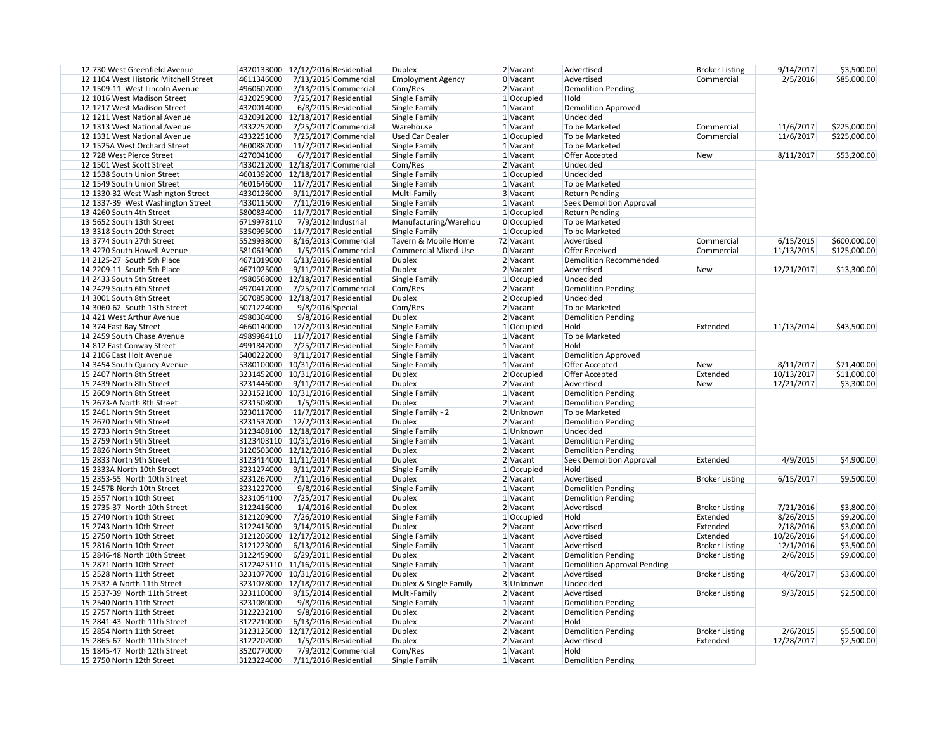| 12 730 West Greenfield Avenue         | 4320133000 12/12/2016 Residential |                         | <b>Duplex</b>               | 2 Vacant   | Advertised                         | <b>Broker Listing</b> | 9/14/2017  | \$3,500.00   |
|---------------------------------------|-----------------------------------|-------------------------|-----------------------------|------------|------------------------------------|-----------------------|------------|--------------|
| 12 1104 West Historic Mitchell Street | 4611346000                        | 7/13/2015 Commercial    | <b>Employment Agency</b>    | 0 Vacant   | Advertised                         | Commercial            | 2/5/2016   | \$85,000.00  |
| 12 1509-11 West Lincoln Avenue        | 4960607000                        | 7/13/2015 Commercial    | Com/Res                     | $2$ Vacant | <b>Demolition Pending</b>          |                       |            |              |
| 12 1016 West Madison Street           | 4320259000                        | 7/25/2017 Residential   | Single Family               | 1 Occupied | Hold                               |                       |            |              |
| 12 1217 West Madison Street           | 4320014000                        | 6/8/2015 Residential    | Single Family               | 1 Vacant   | <b>Demolition Approved</b>         |                       |            |              |
| 12 1211 West National Avenue          | 4320912000                        | 12/18/2017 Residential  | Single Family               | 1 Vacant   | Undecided                          |                       |            |              |
| 12 1313 West National Avenue          | 4332252000                        | 7/25/2017 Commercial    | Warehouse                   | $1$ Vacant | To be Marketed                     | Commercial            | 11/6/2017  | \$225,000.00 |
| 12 1331 West National Avenue          | 4332251000                        | 7/25/2017 Commercial    | <b>Used Car Dealer</b>      | 1 Occupied | To be Marketed                     | Commercial            | 11/6/2017  | \$225,000.00 |
|                                       | 4600887000                        | 11/7/2017 Residential   |                             |            | To be Marketed                     |                       |            |              |
| 12 1525A West Orchard Street          |                                   |                         | Single Family               | $1$ Vacant |                                    |                       |            |              |
| 12 728 West Pierce Street             | 4270041000                        | 6/7/2017 Residential    | Single Family               | 1 Vacant   | Offer Accepted                     | <b>New</b>            | 8/11/2017  | \$53,200.00  |
| 12 1501 West Scott Street             | 4330212000 12/18/2017 Commercial  |                         | Com/Res                     | $2$ Vacant | Undecided                          |                       |            |              |
| 12 1538 South Union Street            | 4601392000                        | 12/18/2017 Residential  | Single Family               | 1 Occupied | Undecided                          |                       |            |              |
| 12 1549 South Union Street            | 4601646000                        | 11/7/2017 Residential   | Single Family               | $1$ Vacant | To be Marketed                     |                       |            |              |
| 12 1330-32 West Washington Street     | 4330126000                        | 9/11/2017 Residential   | Multi-Family                | 3 Vacant   | <b>Return Pending</b>              |                       |            |              |
| 12 1337-39 West Washington Street     | 4330115000                        | 7/11/2016 Residential   | Single Family               | 1 Vacant   | <b>Seek Demolition Approval</b>    |                       |            |              |
| 13 4260 South 4th Street              | 5800834000                        | 11/7/2017 Residential   | Single Family               | 1 Occupied | <b>Return Pending</b>              |                       |            |              |
| 13 5652 South 13th Street             | 6719978110                        | 7/9/2012 Industrial     | Manufacturing/Warehou       | 0 Occupied | To be Marketed                     |                       |            |              |
| 13 3318 South 20th Street             | 5350995000                        | 11/7/2017 Residential   | Single Family               | 1 Occupied | To be Marketed                     |                       |            |              |
| 13 3774 South 27th Street             | 5529938000                        | 8/16/2013 Commercial    | Tavern & Mobile Home        | 72 Vacant  | Advertised                         | Commercial            | 6/15/2015  | \$600,000.00 |
| 13 4270 South Howell Avenue           | 5810619000                        | 1/5/2015 Commercial     | <b>Commercial Mixed-Use</b> | 0 Vacant   | <b>Offer Received</b>              | Commercial            | 11/13/2015 | \$125,000.00 |
| 14 2125-27 South 5th Place            | 4671019000                        | 6/13/2016 Residential   | <b>Duplex</b>               | $2$ Vacant | <b>Demolition Recommended</b>      |                       |            |              |
|                                       |                                   |                         |                             |            |                                    |                       |            |              |
| 14 2209-11 South 5th Place            | 4671025000                        | 9/11/2017 Residential   | <b>Duplex</b>               | 2 Vacant   | Advertised                         | <b>New</b>            | 12/21/2017 | \$13,300.00  |
| 14 2433 South 5th Street              | 4980568000                        | 12/18/2017 Residential  | Single Family               | 1 Occupied | Undecided                          |                       |            |              |
| 14 2429 South 6th Street              | 4970417000                        | 7/25/2017 Commercial    | Com/Res                     | 2 Vacant   | <b>Demolition Pending</b>          |                       |            |              |
| 14 3001 South 8th Street              | 5070858000                        | 12/18/2017 Residential  | <b>Duplex</b>               | 2 Occupied | Undecided                          |                       |            |              |
| 14 3060-62 South 13th Street          | 5071224000                        | 9/8/2016 Special        | Com/Res                     | 2 Vacant   | To be Marketed                     |                       |            |              |
| 14 421 West Arthur Avenue             | 4980304000                        | 9/8/2016 Residential    | <b>Duplex</b>               | 2 Vacant   | <b>Demolition Pending</b>          |                       |            |              |
| 14 374 East Bay Street                | 4660140000                        | 12/2/2013 Residential   | Single Family               | 1 Occupied | Hold                               | Extended              | 11/13/2014 | \$43,500.00  |
| 14 2459 South Chase Avenue            | 4989984110                        | 11/7/2017 Residential   | Single Family               | 1 Vacant   | To be Marketed                     |                       |            |              |
| 14 812 East Conway Street             | 4991842000                        | 7/25/2017 Residential   | Single Family               | $1$ Vacant | Hold                               |                       |            |              |
| 14 2106 East Holt Avenue              | 5400222000                        | 9/11/2017 Residential   | Single Family               | 1 Vacant   | <b>Demolition Approved</b>         |                       |            |              |
| 14 3454 South Quincy Avenue           | 5380100000                        | 10/31/2016 Residential  | Single Family               | $1$ Vacant | Offer Accepted                     | <b>New</b>            | 8/11/2017  | \$71,400.00  |
| 15 2407 North 8th Street              | 3231452000 10/31/2016 Residential |                         | <b>Duplex</b>               | 2 Occupied | Offer Accepted                     | Extended              | 10/13/2017 | \$11,000.00  |
| 15 2439 North 8th Street              | 3231446000                        | 9/11/2017 Residential   | <b>Duplex</b>               | 2 Vacant   | Advertised                         | <b>New</b>            | 12/21/2017 | \$3,300.00   |
| 15 2609 North 8th Street              |                                   | 10/31/2016 Residential  |                             |            | <b>Demolition Pending</b>          |                       |            |              |
|                                       | 3231521000                        |                         | Single Family               | 1 Vacant   |                                    |                       |            |              |
| 15 2673-A North 8th Street            | 3231508000                        | 1/5/2015 Residential    | <b>Duplex</b>               | 2 Vacant   | <b>Demolition Pending</b>          |                       |            |              |
| 15 2461 North 9th Street              | 3230117000 11/7/2017 Residential  |                         | Single Family - 2           | 2 Unknown  | To be Marketed                     |                       |            |              |
| 15 2670 North 9th Street              | 3231537000                        | 12/2/2013 Residential   | Duplex                      | 2 Vacant   | <b>Demolition Pending</b>          |                       |            |              |
| 15 2733 North 9th Street              | 3123408100 12/18/2017 Residential |                         | Single Family               | 1 Unknown  | Undecided                          |                       |            |              |
| 15 2759 North 9th Street              | 3123403110 10/31/2016 Residential |                         | Single Family               | $1$ Vacant | <b>Demolition Pending</b>          |                       |            |              |
| 15 2826 North 9th Street              | 3120503000 12/12/2016 Residential |                         | <b>Duplex</b>               | 2 Vacant   | <b>Demolition Pending</b>          |                       |            |              |
| 15 2833 North 9th Street              | 3123414000 11/11/2014 Residential |                         | <b>Duplex</b>               | 2 Vacant   | <b>Seek Demolition Approval</b>    | Extended              | 4/9/2015   | \$4,900.00   |
| 15 2333A North 10th Street            | 3231274000                        | 9/11/2017 Residential   | Single Family               | 1 Occupied | Hold                               |                       |            |              |
| 15 2353-55 North 10th Street          | 3231267000                        | 7/11/2016 Residential   | <b>Duplex</b>               | 2 Vacant   | Advertised                         | <b>Broker Listing</b> | 6/15/2017  | \$9,500.00   |
| 15 2457B North 10th Street            | 3231227000                        | 9/8/2016 Residential    | Single Family               | $1$ Vacant | <b>Demolition Pending</b>          |                       |            |              |
| 15 2557 North 10th Street             | 3231054100                        | 7/25/2017 Residential   | <b>Duplex</b>               | $1$ Vacant | <b>Demolition Pending</b>          |                       |            |              |
| 15 2735-37 North 10th Street          | 3122416000                        | 1/4/2016 Residential    | <b>Duplex</b>               | 2 Vacant   | Advertised                         | <b>Broker Listing</b> | 7/21/2016  | \$3,800.00   |
|                                       |                                   |                         |                             |            | Hold                               |                       |            |              |
| 15 2740 North 10th Street             | 3121209000                        | 7/26/2010 Residential   | Single Family               | 1 Occupied |                                    | Extended              | 8/26/2015  | \$9,200.00   |
| 15 2743 North 10th Street             | 3122415000                        | 9/14/2015 Residential   | <b>Duplex</b>               | 2 Vacant   | Advertised                         | Extended              | 2/18/2016  | \$3,000.00   |
| 15 2750 North 10th Street             | 3121206000                        | 12/17/2012 Residential  | Single Family               | $1$ Vacant | Advertised                         | Extended              | 10/26/2016 | \$4,000.00   |
| 15 2816 North 10th Street             | 3121223000                        | 6/13/2016 Residential   | Single Family               | $1$ Vacant | Advertised                         | <b>Broker Listing</b> | 12/1/2016  | \$3,500.00   |
| 15 2846-48 North 10th Street          | 3122459000                        | 6/29/2011 Residential   | <b>Duplex</b>               | 2 Vacant   | <b>Demolition Pending</b>          | <b>Broker Listing</b> | 2/6/2015   | \$9,000.00   |
| 15 2871 North 10th Street             | 3122425110                        | 11/16/2015 Residential  | Single Family               | $1$ Vacant | <b>Demolition Approval Pending</b> |                       |            |              |
| 15 2528 North 11th Street             | 3231077000                        | 10/31/2016 Residential  | <b>Duplex</b>               | 2 Vacant   | Advertised                         | <b>Broker Listing</b> | 4/6/2017   | \$3,600.00   |
| 15 2532-A North 11th Street           | 3231078000                        | 12/18/2017 Residential  | Duplex & Single Family      | 3 Unknown  | Undecided                          |                       |            |              |
| 15 2537-39 North 11th Street          | 3231100000                        | $9/15/2014$ Residential | Multi-Family                | $2$ Vacant | Advertised                         | <b>Broker Listing</b> | 9/3/2015   | \$2,500.00   |
| 15 2540 North 11th Street             | 3231080000                        | 9/8/2016 Residential    | Single Family               | 1 Vacant   | <b>Demolition Pending</b>          |                       |            |              |
| 15 2757 North 11th Street             | 3122232100                        | 9/8/2016 Residential    | <b>Duplex</b>               | 2 Vacant   | <b>Demolition Pending</b>          |                       |            |              |
| 15 2841-43 North 11th Street          | 3122210000                        | 6/13/2016 Residential   | <b>Duplex</b>               | 2 Vacant   | Hold                               |                       |            |              |
| 15 2854 North 11th Street             | 3123125000                        | 12/17/2012 Residential  | <b>Duplex</b>               | 2 Vacant   | <b>Demolition Pending</b>          | <b>Broker Listing</b> | 2/6/2015   | \$5,500.00   |
|                                       |                                   |                         |                             |            |                                    |                       |            |              |
| 15 2865-67 North 11th Street          | 3122202000                        | 1/5/2015 Residential    | <b>Duplex</b>               | 2 Vacant   | Advertised                         | Extended              | 12/28/2017 | \$2,500.00   |
| 15 1845-47 North 12th Street          | 3520770000                        | 7/9/2012 Commercial     | Com/Res                     | 1 Vacant   | Hold                               |                       |            |              |
| 15 2750 North 12th Street             | 3123224000                        | 7/11/2016 Residential   | Single Family               | 1 Vacant   | <b>Demolition Pending</b>          |                       |            |              |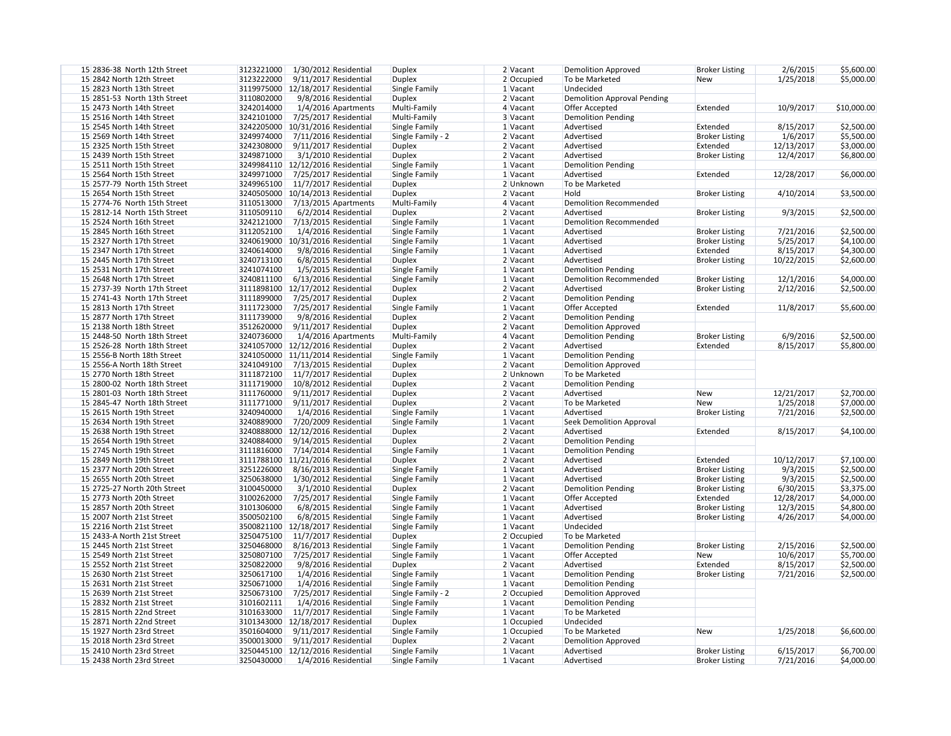| 15 2836-38 North 12th Street | 3123221000<br>1/30/2012 Residential   | <b>Duplex</b>     | $2$ Vacant   | Demolition Approved           | <b>Broker Listing</b> | 2/6/2015   | \$5,600.00  |
|------------------------------|---------------------------------------|-------------------|--------------|-------------------------------|-----------------------|------------|-------------|
| 15 2842 North 12th Street    | 3123222000<br>$9/11/2017$ Residential | <b>Duplex</b>     | 2 Occupied   | To be Marketed                | New                   | 1/25/2018  | \$5,000.00  |
| 15 2823 North 13th Street    | 3119975000   12/18/2017 Residential   | Single Family     | 1 Vacant     | Undecided                     |                       |            |             |
| 15 2851-53 North 13th Street | 3110802000<br>9/8/2016 Residential    | <b>Duplex</b>     | 2 Vacant     | Demolition Approval Pending   |                       |            |             |
| 15 2473 North 14th Street    | 3242014000<br>$1/4/2016$ Apartments   | Multi-Family      | 4 Vacant     | Offer Accepted                | Extended              | 10/9/2017  | \$10,000.00 |
| 15 2516 North 14th Street    | 3242101000<br>7/25/2017 Residential   | Multi-Family      | 3 Vacant     | <b>Demolition Pending</b>     |                       |            |             |
| 15 2545 North 14th Street    | 3242205000 10/31/2016 Residential     | Single Family     | 1 Vacant     | Advertised                    | Extended              | 8/15/2017  | \$2,500.00  |
| 15 2569 North 14th Street    | 3249974000<br>7/11/2016 Residential   | Single Family - 2 | $2$ Vacant   | Advertised                    | <b>Broker Listing</b> | 1/6/2017   | \$5,500.00  |
| 15 2325 North 15th Street    | 3242308000<br>9/11/2017 Residential   | <b>Duplex</b>     | 2 Vacant     | Advertised                    | Extended              | 12/13/2017 | \$3,000.00  |
| 15 2439 North 15th Street    | 3249871000<br>3/1/2010 Residential    | <b>Duplex</b>     | $2$ Vacant   | Advertised                    | <b>Broker Listing</b> | 12/4/2017  | \$6,800.00  |
| 15 2511 North 15th Street    | 3249984110   12/12/2016 Residential   | Single Family     | $1$ Vacant   | <b>Demolition Pending</b>     |                       |            |             |
| 15 2564 North 15th Street    | 3249971000<br>7/25/2017 Residential   | Single Family     | 1 Vacant     | Advertised                    | Extended              | 12/28/2017 | \$6,000.00  |
| 15 2577-79 North 15th Street | 3249965100<br>11/7/2017 Residential   | <b>Duplex</b>     | 2 Unknown    | To be Marketed                |                       |            |             |
| 15 2654 North 15th Street    | 3240505000<br>10/14/2013 Residential  | <b>Duplex</b>     | 2 Vacant     | Hold                          | <b>Broker Listing</b> | 4/10/2014  | \$3,500.00  |
| 15 2774-76 North 15th Street | 3110513000<br>7/13/2015 Apartments    | Multi-Family      | $4$ Vacant   | Demolition Recommended        |                       |            |             |
| 15 2812-14 North 15th Street | 3110509110                            |                   | 2 Vacant     | Advertised                    | <b>Broker Listing</b> | 9/3/2015   |             |
|                              | $6/2/2014$ Residential                | <b>Duplex</b>     |              |                               |                       |            | \$2,500.00  |
| 15 2524 North 16th Street    | 3242121000<br>7/13/2015 Residential   | Single Family     | $1$ Vacant   | Demolition Recommended        |                       |            |             |
| 15 2845 North 16th Street    | 3112052100<br>1/4/2016 Residential    | Single Family     | 1 Vacant     | Advertised                    | <b>Broker Listing</b> | 7/21/2016  | \$2,500.00  |
| 15 2327 North 17th Street    | 3240619000 10/31/2016 Residential     | Single Family     | $1$ Vacant   | Advertised                    | <b>Broker Listing</b> | 5/25/2017  | \$4,100.00  |
| 15 2347 North 17th Street    | 3240614000<br>9/8/2016 Residential    | Single Family     | 1 Vacant     | Advertised                    | Extended              | 8/15/2017  | \$4,300.00  |
| 15 2445 North 17th Street    | 3240713100<br>6/8/2015 Residential    | <b>Duplex</b>     | 2 Vacant     | Advertised                    | <b>Broker Listing</b> | 10/22/2015 | \$2,600.00  |
| 15 2531 North 17th Street    | 3241074100<br>1/5/2015 Residential    | Single Family     | 1 Vacant     | Demolition Pending            |                       |            |             |
| 15 2648 North 17th Street    | 3240811100<br>$6/13/2016$ Residential | Single Family     | 1 Vacant     | <b>Demolition Recommended</b> | <b>Broker Listing</b> | 12/1/2016  | \$4,000.00  |
| 15 2737-39 North 17th Street | 3111898100 12/17/2012 Residential     | <b>Duplex</b>     | 2 Vacant     | Advertised                    | <b>Broker Listing</b> | 2/12/2016  | \$2,500.00  |
| 15 2741-43 North 17th Street | 3111899000<br>7/25/2017 Residential   | <b>Duplex</b>     | 2 Vacant     | Demolition Pending            |                       |            |             |
| 15 2813 North 17th Street    | 3111723000<br>7/25/2017 Residential   | Single Family     | $1$ Vacant   | Offer Accepted                | Extended              | 11/8/2017  | \$5,600.00  |
| 15 2877 North 17th Street    | 3111739000<br>9/8/2016 Residential    | <b>Duplex</b>     | 2 Vacant     | <b>Demolition Pending</b>     |                       |            |             |
| 15 2138 North 18th Street    | 3512620000<br>9/11/2017 Residential   | <b>Duplex</b>     | 2 Vacant     | Demolition Approved           |                       |            |             |
| 15 2448-50 North 18th Street | 3240736000<br>$1/4/2016$ Apartments   | Multi-Family      | $4$ Vacant   | Demolition Pending            | <b>Broker Listing</b> | 6/9/2016   | \$2,500.00  |
| 15 2526-28 North 18th Street | 3241057000 12/12/2016 Residential     | <b>Duplex</b>     | 2 Vacant     | Advertised                    | Extended              | 8/15/2017  | \$5,800.00  |
| 15 2556-B North 18th Street  | 3241050000 11/11/2014 Residential     | Single Family     | 1 Vacant     | <b>Demolition Pending</b>     |                       |            |             |
| 15 2556-A North 18th Street  | 3241049100<br>7/13/2015 Residential   | <b>Duplex</b>     | 2 Vacant     | Demolition Approved           |                       |            |             |
| 15 2770 North 18th Street    | 3111872100<br>$11/7/2017$ Residential | <b>Duplex</b>     | 2 Unknown    | To be Marketed                |                       |            |             |
| 15 2800-02 North 18th Street | 3111719000<br>10/8/2012 Residential   | <b>Duplex</b>     | 2 Vacant     | <b>Demolition Pending</b>     |                       |            |             |
| 15 2801-03 North 18th Street | 3111760000<br>$9/11/2017$ Residential | <b>Duplex</b>     | 2 Vacant     | Advertised                    | <b>New</b>            | 12/21/2017 | \$2,700.00  |
| 15 2845-47 North 18th Street | 3111771000<br>$9/11/2017$ Residential | <b>Duplex</b>     | 2 Vacant     | To be Marketed                | New                   | 1/25/2018  | \$7,000.00  |
| 15 2615 North 19th Street    | 3240940000<br>1/4/2016 Residential    | Single Family     | $1$ Vacant   | Advertised                    | <b>Broker Listing</b> | 7/21/2016  | \$2,500.00  |
| 15 2634 North 19th Street    | 7/20/2009 Residential<br>3240889000   | Single Family     | 1 Vacant     | Seek Demolition Approval      |                       |            |             |
| 15 2638 North 19th Street    | 3240888000 12/12/2016 Residential     | Duplex            | 2 Vacant     | Advertised                    | Extended              | 8/15/2017  | \$4,100.00  |
| 15 2654 North 19th Street    | 3240884000<br>9/14/2015 Residential   | <b>Duplex</b>     | 2 Vacant     | <b>Demolition Pending</b>     |                       |            |             |
| 15 2745 North 19th Street    | 3111816000<br>7/14/2014 Residential   | Single Family     | $1$ Vacant   | <b>Demolition Pending</b>     |                       |            |             |
| 15 2849 North 19th Street    | 3111788100   11/21/2016 Residential   | <b>Duplex</b>     | 2 Vacant     | Advertised                    | Extended              | 10/12/2017 | \$7,100.00  |
| 15 2377 North 20th Street    | 3251226000<br>8/16/2013 Residential   |                   |              | Advertised                    | <b>Broker Listing</b> |            |             |
|                              |                                       | Single Family     | $1$ Vacant   | Advertised                    |                       | 9/3/2015   | \$2,500.00  |
| 15 2655 North 20th Street    | 3250638000<br>1/30/2012 Residential   | Single Family     | $1$ Vacant   |                               | <b>Broker Listing</b> | 9/3/2015   | \$2,500.00  |
| 15 2725-27 North 20th Street | 3100450000<br>3/1/2010 Residential    | <b>Duplex</b>     | 2 Vacant     | Demolition Pending            | <b>Broker Listing</b> | 6/30/2015  | \$3,375.00  |
| 15 2773 North 20th Street    | 3100262000<br>7/25/2017 Residential   | Single Family     | $1$ Vacant   | Offer Accepted                | Extended              | 12/28/2017 | \$4,000.00  |
| 15 2857 North 20th Street    | 3101306000<br>6/8/2015 Residential    | Single Family     | $1$ Vacant   | Advertised                    | <b>Broker Listing</b> | 12/3/2015  | \$4,800.00  |
| 15 2007 North 21st Street    | 3500502100<br>6/8/2015 Residential    | Single Family     | 1 Vacant     | Advertised                    | <b>Broker Listing</b> | 4/26/2017  | \$4,000.00  |
| 15 2216 North 21st Street    | 3500821100 12/18/2017 Residential     | Single Family     | $1$ Vacant   | Undecided                     |                       |            |             |
| 15 2433-A North 21st Street  | 3250475100<br>11/7/2017 Residential   | <b>Duplex</b>     | 2 Occupied   | To be Marketed                |                       |            |             |
| 15 2445 North 21st Street    | 3250468000<br>8/16/2013 Residential   | Single Family     | 1 Vacant     | <b>Demolition Pending</b>     | <b>Broker Listing</b> | 2/15/2016  | \$2,500.00  |
| 15 2549 North 21st Street    | 3250807100<br>7/25/2017 Residential   | Single Family     | 1 Vacant     | Offer Accepted                | <b>New</b>            | 10/6/2017  | \$5,700.00  |
| 15 2552 North 21st Street    | 3250822000<br>9/8/2016 Residential    | <b>Duplex</b>     | 2 Vacant     | Advertised                    | Extended              | 8/15/2017  | \$2,500.00  |
| 15 2630 North 21st Street    | 3250617100<br>1/4/2016 Residential    | Single Family     | 1 Vacant     | <b>Demolition Pending</b>     | <b>Broker Listing</b> | 7/21/2016  | \$2,500.00  |
| 15 2631 North 21st Street    | 3250671000<br>1/4/2016 Residential    | Single Family     | 1 Vacant     | <b>Demolition Pending</b>     |                       |            |             |
| 15 2639 North 21st Street    | 3250673100<br>7/25/2017 Residential   | Single Family - 2 | $2$ Occupied | Demolition Approved           |                       |            |             |
| 15 2832 North 21st Street    | 3101602111<br>1/4/2016 Residential    | Single Family     | 1 Vacant     | Demolition Pending            |                       |            |             |
| 15 2815 North 22nd Street    | 3101633000<br>11/7/2017 Residential   | Single Family     | 1 Vacant     | To be Marketed                |                       |            |             |
| 15 2871 North 22nd Street    | 3101343000 12/18/2017 Residential     | <b>Duplex</b>     | 1 Occupied   | Undecided                     |                       |            |             |
| 15 1927 North 23rd Street    | 3501604000<br>$9/11/2017$ Residential | Single Family     | 1 Occupied   | To be Marketed                | <b>New</b>            | 1/25/2018  | \$6,600.00  |
| 15 2018 North 23rd Street    | 3500013000<br>9/11/2017 Residential   | <b>Duplex</b>     | 2 Vacant     | Demolition Approved           |                       |            |             |
| 15 2410 North 23rd Street    | 3250445100<br>12/12/2016 Residential  | Single Family     | $1$ Vacant   | Advertised                    | <b>Broker Listing</b> | 6/15/2017  | \$6,700.00  |
| 15 2438 North 23rd Street    | 3250430000<br>1/4/2016 Residential    | Single Family     | 1 Vacant     | Advertised                    | <b>Broker Listing</b> | 7/21/2016  | \$4,000.00  |
|                              |                                       |                   |              |                               |                       |            |             |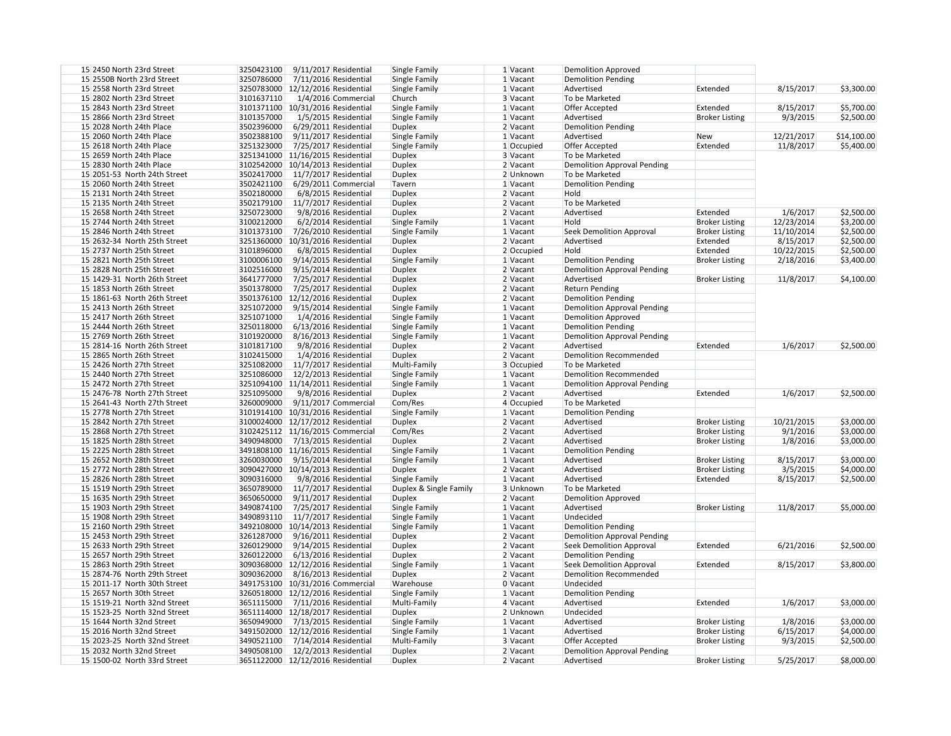| 15 2450 North 23rd Street    | 3250423100<br>$9/11/2017$ Residential | Single Family          | 1 Vacant   | <b>Demolition Approved</b>         |                       |            |             |
|------------------------------|---------------------------------------|------------------------|------------|------------------------------------|-----------------------|------------|-------------|
| 15 2550B North 23rd Street   | 3250786000<br>7/11/2016 Residential   | Single Family          | 1 Vacant   | <b>Demolition Pending</b>          |                       |            |             |
| 15 2558 North 23rd Street    | 3250783000 12/12/2016 Residential     | Single Family          | 1 Vacant   | Advertised                         | Extended              | 8/15/2017  | \$3,300.00  |
| 15 2802 North 23rd Street    | 3101637110<br>1/4/2016 Commercial     | Church                 | 3 Vacant   | To be Marketed                     |                       |            |             |
| 15 2843 North 23rd Street    | 3101371100 10/31/2016 Residential     | Single Family          | 1 Vacant   | Offer Accepted                     | Extended              | 8/15/2017  | \$5,700.00  |
| 15 2866 North 23rd Street    | 3101357000<br>1/5/2015 Residential    | Single Family          | 1 Vacant   | Advertised                         | <b>Broker Listing</b> | 9/3/2015   | \$2,500.00  |
| 15 2028 North 24th Place     | 3502396000<br>6/29/2011 Residential   | <b>Duplex</b>          | 2 Vacant   | <b>Demolition Pending</b>          |                       |            |             |
| 15 2060 North 24th Place     | 3502388100<br>9/11/2017 Residential   | Single Family          | 1 Vacant   | Advertised                         | New                   | 12/21/2017 | \$14,100.00 |
| 15 2618 North 24th Place     | 3251323000<br>7/25/2017 Residential   | Single Family          | 1 Occupied | Offer Accepted                     | Extended              | 11/8/2017  | \$5,400.00  |
| 15 2659 North 24th Place     | 3251341000 11/16/2015 Residential     | <b>Duplex</b>          | 3 Vacant   | To be Marketed                     |                       |            |             |
| 15 2830 North 24th Place     | 3102542000 10/14/2013 Residential     | <b>Duplex</b>          | 2 Vacant   | <b>Demolition Approval Pending</b> |                       |            |             |
| 15 2051-53 North 24th Street | 3502417000<br>11/7/2017 Residential   | <b>Duplex</b>          | 2 Unknown  | To be Marketed                     |                       |            |             |
| 15 2060 North 24th Street    | 3502421100<br>6/29/2011 Commercial    | Tavern                 | 1 Vacant   | <b>Demolition Pending</b>          |                       |            |             |
| 15 2131 North 24th Street    | 3502180000<br>6/8/2015 Residential    | <b>Duplex</b>          | 2 Vacant   | Hold                               |                       |            |             |
| 15 2135 North 24th Street    | 3502179100<br>$11/7/2017$ Residential | <b>Duplex</b>          | 2 Vacant   | To be Marketed                     |                       |            |             |
| 15 2658 North 24th Street    | 3250723000<br>9/8/2016 Residential    | <b>Duplex</b>          | 2 Vacant   | Advertised                         | Extended              | 1/6/2017   | \$2,500.00  |
| 15 2744 North 24th Street    | 3100212000<br>$6/2/2014$ Residential  | Single Family          | 1 Vacant   | Hold                               | <b>Broker Listing</b> | 12/23/2014 | \$3,200.00  |
| 15 2846 North 24th Street    | 3101373100                            |                        | 1 Vacant   | Seek Demolition Approval           | <b>Broker Listing</b> | 11/10/2014 | \$2,500.00  |
|                              | 7/26/2010 Residential                 | Single Family          |            |                                    |                       |            |             |
| 15 2632-34 North 25th Street | 3251360000 10/31/2016 Residential     | <b>Duplex</b>          | 2 Vacant   | Advertised                         | Extended              | 8/15/2017  | \$2,500.00  |
| 15 2737 North 25th Street    | 3101896000<br>6/8/2015 Residential    | <b>Duplex</b>          | 2 Occupied | Hold                               | Extended              | 10/22/2015 | \$2,500.00  |
| 15 2821 North 25th Street    | 3100006100<br>9/14/2015 Residential   | Single Family          | $1$ Vacant | <b>Demolition Pending</b>          | <b>Broker Listing</b> | 2/18/2016  | \$3,400.00  |
| 15 2828 North 25th Street    | 3102516000<br>9/15/2014 Residential   | <b>Duplex</b>          | 2 Vacant   | <b>Demolition Approval Pending</b> |                       |            |             |
| 15 1429-31 North 26th Street | 3641777000<br>7/25/2017 Residential   | <b>Duplex</b>          | 2 Vacant   | Advertised                         | <b>Broker Listing</b> | 11/8/2017  | \$4,100.00  |
| 15 1853 North 26th Street    | 3501378000<br>7/25/2017 Residential   | <b>Duplex</b>          | 2 Vacant   | <b>Return Pending</b>              |                       |            |             |
| 15 1861-63 North 26th Street | 3501376100 12/12/2016 Residential     | <b>Duplex</b>          | 2 Vacant   | <b>Demolition Pending</b>          |                       |            |             |
| 15 2413 North 26th Street    | 3251072000<br>$9/15/2014$ Residential | Single Family          | 1 Vacant   | <b>Demolition Approval Pending</b> |                       |            |             |
| 15 2417 North 26th Street    | 3251071000<br>1/4/2016 Residential    | Single Family          | 1 Vacant   | <b>Demolition Approved</b>         |                       |            |             |
| 15 2444 North 26th Street    | 3250118000<br>6/13/2016 Residential   | Single Family          | 1 Vacant   | <b>Demolition Pending</b>          |                       |            |             |
| 15 2769 North 26th Street    | 3101920000<br>8/16/2013 Residential   | Single Family          | 1 Vacant   | <b>Demolition Approval Pending</b> |                       |            |             |
| 15 2814-16 North 26th Street | 3101817100<br>9/8/2016 Residential    | Duplex                 | 2 Vacant   | Advertised                         | Extended              | 1/6/2017   | \$2,500.00  |
| 15 2865 North 26th Street    | 3102415000<br>1/4/2016 Residential    | <b>Duplex</b>          | 2 Vacant   | Demolition Recommended             |                       |            |             |
| 15 2426 North 27th Street    | 3251082000<br>11/7/2017 Residential   | Multi-Family           | 3 Occupied | To be Marketed                     |                       |            |             |
| 15 2440 North 27th Street    | 3251086000<br>12/2/2013 Residential   | Single Family          | 1 Vacant   | Demolition Recommended             |                       |            |             |
| 15 2472 North 27th Street    | 3251094100   11/14/2011 Residential   | Single Family          | 1 Vacant   | <b>Demolition Approval Pending</b> |                       |            |             |
| 15 2476-78 North 27th Street | 3251095000<br>9/8/2016 Residential    | <b>Duplex</b>          | 2 Vacant   | Advertised                         | Extended              | 1/6/2017   | \$2,500.00  |
| 15 2641-43 North 27th Street | 3260009000<br>9/11/2017 Commercial    | Com/Res                | 4 Occupied | To be Marketed                     |                       |            |             |
| 15 2778 North 27th Street    | 3101914100 10/31/2016 Residential     | Single Family          | 1 Vacant   | <b>Demolition Pending</b>          |                       |            |             |
| 15 2842 North 27th Street    | 3100024000 12/17/2012 Residential     | Duplex                 | 2 Vacant   | Advertised                         | <b>Broker Listing</b> | 10/21/2015 | \$3,000.00  |
| 15 2868 North 27th Street    | 3102425112 11/16/2015 Commercial      | Com/Res                | 2 Vacant   | Advertised                         | <b>Broker Listing</b> | 9/1/2016   | \$3,000.00  |
| 15 1825 North 28th Street    | 3490948000<br>7/13/2015 Residential   | <b>Duplex</b>          | 2 Vacant   | Advertised                         | <b>Broker Listing</b> | 1/8/2016   | \$3,000.00  |
| 15 2225 North 28th Street    | 3491808100 11/16/2015 Residential     | Single Family          | 1 Vacant   | <b>Demolition Pending</b>          |                       |            |             |
| 15 2652 North 28th Street    | 3260030000<br>9/15/2014 Residential   | Single Family          | 1 Vacant   | Advertised                         | <b>Broker Listing</b> | 8/15/2017  | \$3,000.00  |
| 15 2772 North 28th Street    | 3090427000   10/14/2013 Residential   | <b>Duplex</b>          | 2 Vacant   | Advertised                         | <b>Broker Listing</b> | 3/5/2015   | \$4,000.00  |
| 15 2826 North 28th Street    | 3090316000<br>9/8/2016 Residential    | Single Family          | $1$ Vacant | Advertised                         | Extended              | 8/15/2017  | \$2,500.00  |
| 15 1519 North 29th Street    | 3650789000<br>11/7/2017 Residential   |                        | 3 Unknown  | To be Marketed                     |                       |            |             |
|                              |                                       | Duplex & Single Family |            |                                    |                       |            |             |
| 15 1635 North 29th Street    | 3650650000<br>9/11/2017 Residential   | Duplex                 | 2 Vacant   | <b>Demolition Approved</b>         |                       |            |             |
| 15 1903 North 29th Street    | 3490874100<br>7/25/2017 Residential   | Single Family          | 1 Vacant   | Advertised                         | <b>Broker Listing</b> | 11/8/2017  | \$5,000.00  |
| 15 1908 North 29th Street    | 3490893110<br>11/7/2017 Residential   | Single Family          | 1 Vacant   | Undecided                          |                       |            |             |
| 15 2160 North 29th Street    | 3492108000   10/14/2013 Residential   | Single Family          | 1 Vacant   | <b>Demolition Pending</b>          |                       |            |             |
| 15 2453 North 29th Street    | 3261287000<br>9/16/2011 Residential   | Duplex                 | 2 Vacant   | <b>Demolition Approval Pending</b> |                       |            |             |
| 15 2633 North 29th Street    | 3260129000<br>9/14/2015 Residential   | <b>Duplex</b>          | 2 Vacant   | Seek Demolition Approval           | Extended              | 6/21/2016  | \$2,500.00  |
| 15 2657 North 29th Street    | 3260122000<br>6/13/2016 Residential   | <b>Duplex</b>          | 2 Vacant   | <b>Demolition Pending</b>          |                       |            |             |
| 15 2863 North 29th Street    | 3090368000 12/12/2016 Residential     | Single Family          | 1 Vacant   | <b>Seek Demolition Approval</b>    | Extended              | 8/15/2017  | \$3,800.00  |
| 15 2874-76 North 29th Street | 3090362000<br>8/16/2013 Residential   | <b>Duplex</b>          | 2 Vacant   | <b>Demolition Recommended</b>      |                       |            |             |
| 15 2011-17 North 30th Street | 3491753100 10/31/2016 Commercial      | Warehouse              | 0 Vacant   | Undecided                          |                       |            |             |
| 15 2657 North 30th Street    | 3260518000 12/12/2016 Residential     | Single Family          | 1 Vacant   | <b>Demolition Pending</b>          |                       |            |             |
| 15 1519-21 North 32nd Street | 3651115000<br>7/11/2016 Residential   | Multi-Family           | 4 Vacant   | Advertised                         | Extended              | 1/6/2017   | \$3,000.00  |
| 15 1523-25 North 32nd Street | 3651114000 12/18/2017 Residential     | <b>Duplex</b>          | 2 Unknown  | Undecided                          |                       |            |             |
| 15 1644 North 32nd Street    | 3650949000<br>7/13/2015 Residential   | Single Family          | 1 Vacant   | Advertised                         | <b>Broker Listing</b> | 1/8/2016   | \$3,000.00  |
| 15 2016 North 32nd Street    | 3491502000 12/12/2016 Residential     | Single Family          | 1 Vacant   | Advertised                         | <b>Broker Listing</b> | 6/15/2017  | \$4,000.00  |
| 15 2023-25 North 32nd Street | 3490521100<br>7/14/2014 Residential   | Multi-Family           | 3 Vacant   | Offer Accepted                     | <b>Broker Listing</b> | 9/3/2015   | \$2,500.00  |
| 15 2032 North 32nd Street    | 3490508100<br>$12/2/2013$ Residential | Duplex                 | 2 Vacant   | <b>Demolition Approval Pending</b> |                       |            |             |
| 15 1500-02 North 33rd Street | 3651122000 12/12/2016 Residential     | <b>Duplex</b>          | 2 Vacant   | Advertised                         | <b>Broker Listing</b> | 5/25/2017  | \$8,000.00  |
|                              |                                       |                        |            |                                    |                       |            |             |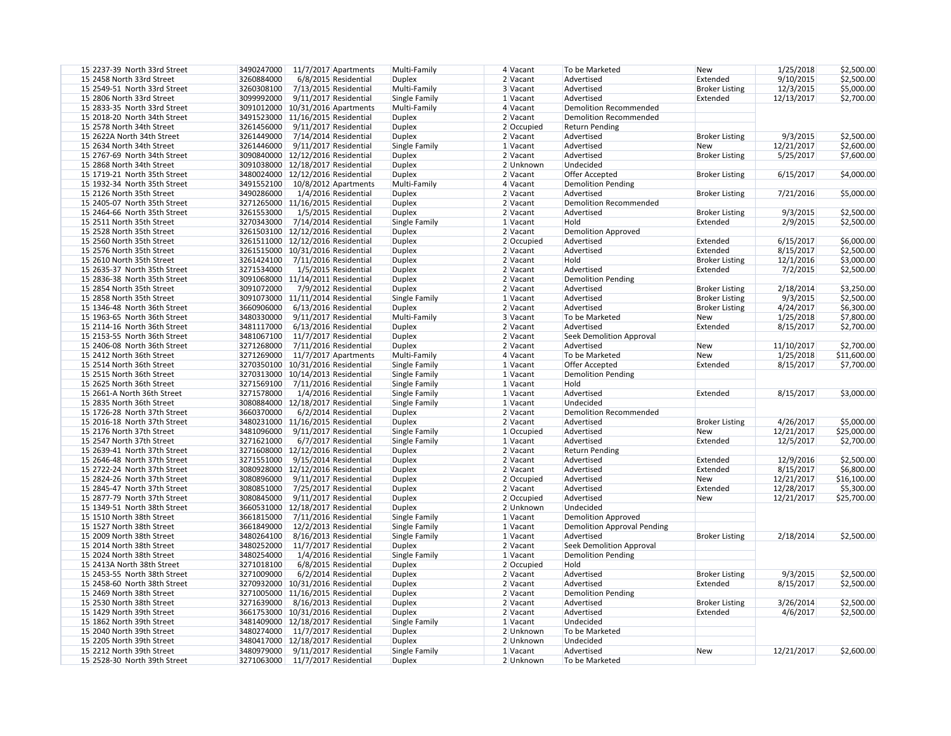| 15 2237-39 North 33rd Street | 3490247000                            |               |              | To be Marketed                |                        | 1/25/2018  |             |
|------------------------------|---------------------------------------|---------------|--------------|-------------------------------|------------------------|------------|-------------|
|                              | 11/7/2017 Apartments<br>3260884000    | Multi-Family  | 4 Vacant     | Advertised                    | <b>New</b><br>Extended |            | \$2,500.00  |
| 15 2458 North 33rd Street    | 6/8/2015 Residential                  | Duplex        | 2 Vacant     |                               |                        | 9/10/2015  | \$2,500.00  |
| 15 2549-51 North 33rd Street | 3260308100<br>7/13/2015 Residential   | Multi-Family  | 3 Vacant     | Advertised                    | <b>Broker Listing</b>  | 12/3/2015  | \$5,000.00  |
| 15 2806 North 33rd Street    | 3099992000<br>$9/11/2017$ Residential | Single Family | 1 Vacant     | Advertised                    | Extended               | 12/13/2017 | \$2,700.00  |
| 15 2833-35 North 33rd Street | 3091012000 10/31/2016 Apartments      | Multi-Family  | 4 Vacant     | Demolition Recommended        |                        |            |             |
| 15 2018-20 North 34th Street | 3491523000 11/16/2015 Residential     | Duplex        | 2 Vacant     | <b>Demolition Recommended</b> |                        |            |             |
| 15 2578 North 34th Street    | 3261456000<br>$9/11/2017$ Residential | <b>Duplex</b> | 2 Occupied   | <b>Return Pending</b>         |                        |            |             |
| 15 2622A North 34th Street   | 3261449000<br>7/14/2014 Residential   | Duplex        | 2 Vacant     | Advertised                    | <b>Broker Listing</b>  | 9/3/2015   | \$2,500.00  |
| 15 2634 North 34th Street    | 3261446000<br>$9/11/2017$ Residential | Single Family | 1 Vacant     | Advertised                    | <b>New</b>             | 12/21/2017 | \$2,600.00  |
| 15 2767-69 North 34th Street | 3090840000 12/12/2016 Residential     | Duplex        | $2$ Vacant   | Advertised                    | <b>Broker Listing</b>  | 5/25/2017  | \$7,600.00  |
| 15 2868 North 34th Street    | 3091038000   12/18/2017 Residential   | <b>Duplex</b> | 2 Unknown    | Undecided                     |                        |            |             |
| 15 1719-21 North 35th Street | 3480024000 12/12/2016 Residential     | Duplex        | 2 Vacant     | Offer Accepted                | <b>Broker Listing</b>  | 6/15/2017  | \$4,000.00  |
| 15 1932-34 North 35th Street | 3491552100<br>10/8/2012 Apartments    | Multi-Family  | 4 Vacant     | Demolition Pending            |                        |            |             |
| 15 2126 North 35th Street    | 3490286000<br>1/4/2016 Residential    | <b>Duplex</b> | 2 Vacant     | Advertised                    | <b>Broker Listing</b>  | 7/21/2016  | \$5,000.00  |
| 15 2405-07 North 35th Street | 3271265000 11/16/2015 Residential     | <b>Duplex</b> | 2 Vacant     | Demolition Recommended        |                        |            |             |
| 15 2464-66 North 35th Street | 3261553000<br>1/5/2015 Residential    | <b>Duplex</b> | 2 Vacant     | Advertised                    | <b>Broker Listing</b>  | 9/3/2015   | \$2,500.00  |
| 15 2511 North 35th Street    | 3270343000<br>7/14/2014 Residential   | Single Family | 1 Vacant     | Hold                          | Extended               | 2/9/2015   | \$2,500.00  |
| 15 2528 North 35th Street    | 3261503100 12/12/2016 Residential     | <b>Duplex</b> | 2 Vacant     | Demolition Approved           |                        |            |             |
| 15 2560 North 35th Street    | 3261511000   12/12/2016 Residential   | <b>Duplex</b> | 2 Occupied   | Advertised                    | Extended               | 6/15/2017  | \$6,000.00  |
| 15 2576 North 35th Street    | 3261515000   10/31/2016 Residential   | <b>Duplex</b> | 2 Vacant     | Advertised                    | Extended               | 8/15/2017  | \$2,500.00  |
| 15 2610 North 35th Street    | 3261424100<br>7/11/2016 Residential   |               | 2 Vacant     | Hold                          | <b>Broker Listing</b>  |            | \$3,000.00  |
|                              |                                       | <b>Duplex</b> |              |                               |                        | 12/1/2016  |             |
| 15 2635-37 North 35th Street | 3271534000<br>1/5/2015 Residential    | <b>Duplex</b> | 2 Vacant     | Advertised                    | Extended               | 7/2/2015   | \$2,500.00  |
| 15 2836-38 North 35th Street | 3091068000 11/14/2011 Residential     | <b>Duplex</b> | 2 Vacant     | Demolition Pending            |                        |            |             |
| 15 2854 North 35th Street    | 3091072000<br>7/9/2012 Residential    | <b>Duplex</b> | 2 Vacant     | Advertised                    | <b>Broker Listing</b>  | 2/18/2014  | \$3,250.00  |
| 15 2858 North 35th Street    | 3091073000 11/11/2014 Residential     | Single Family | 1 Vacant     | Advertised                    | <b>Broker Listing</b>  | 9/3/2015   | \$2,500.00  |
| 15 1346-48 North 36th Street | 3660906000<br>6/13/2016 Residential   | <b>Duplex</b> | 2 Vacant     | Advertised                    | <b>Broker Listing</b>  | 4/24/2017  | \$6,300.00  |
| 15 1963-65 North 36th Street | 3480330000<br>9/11/2017 Residential   | Multi-Family  | 3 Vacant     | To be Marketed                | <b>New</b>             | 1/25/2018  | \$7,800.00  |
| 15 2114-16 North 36th Street | 3481117000<br>6/13/2016 Residential   | <b>Duplex</b> | 2 Vacant     | Advertised                    | Extended               | 8/15/2017  | \$2,700.00  |
| 15 2153-55 North 36th Street | 3481067100<br>11/7/2017 Residential   | Duplex        | 2 Vacant     | Seek Demolition Approval      |                        |            |             |
| 15 2406-08 North 36th Street | 3271268000<br>7/11/2016 Residential   | <b>Duplex</b> | 2 Vacant     | Advertised                    | <b>New</b>             | 11/10/2017 | \$2,700.00  |
| 15 2412 North 36th Street    | 3271269000<br>11/7/2017 Apartments    | Multi-Family  | 4 Vacant     | To be Marketed                | <b>New</b>             | 1/25/2018  | \$11,600.00 |
| 15 2514 North 36th Street    | 3270350100 10/31/2016 Residential     | Single Family | 1 Vacant     | <b>Offer Accepted</b>         | Extended               | 8/15/2017  | \$7,700.00  |
| 15 2515 North 36th Street    | 3270313000 10/14/2013 Residential     | Single Family | 1 Vacant     | Demolition Pending            |                        |            |             |
| 15 2625 North 36th Street    | 3271569100<br>7/11/2016 Residential   | Single Family | 1 Vacant     | Hold                          |                        |            |             |
| 15 2661-A North 36th Street  | 3271578000<br>1/4/2016 Residential    | Single Family | 1 Vacant     | Advertised                    | Extended               | 8/15/2017  | \$3,000.00  |
| 15 2835 North 36th Street    | 3080884000 12/18/2017 Residential     | Single Family | 1 Vacant     | Undecided                     |                        |            |             |
| 15 1726-28 North 37th Street | 3660370000 6/2/2014 Residential       | Duplex        | $2$ Vacant   | Demolition Recommended        |                        |            |             |
| 15 2016-18 North 37th Street | 3480231000 11/16/2015 Residential     | <b>Duplex</b> | $2$ Vacant   | Advertised                    | <b>Broker Listing</b>  | 4/26/2017  | \$5,000.00  |
|                              | 3481096000                            |               |              | Advertised                    |                        | 12/21/2017 | \$25,000.00 |
| 15 2176 North 37th Street    | $9/11/2017$ Residential               | Single Family | $1$ Occupied |                               | <b>New</b>             |            |             |
| 15 2547 North 37th Street    | 3271621000<br>6/7/2017 Residential    | Single Family | 1 Vacant     | Advertised                    | Extended               | 12/5/2017  | \$2,700.00  |
| 15 2639-41 North 37th Street | 3271608000 12/12/2016 Residential     | <b>Duplex</b> | 2 Vacant     | <b>Return Pending</b>         |                        |            |             |
| 15 2646-48 North 37th Street | 3271551000<br>$9/15/2014$ Residential | <b>Duplex</b> | 2 Vacant     | Advertised                    | Extended               | 12/9/2016  | \$2,500.00  |
| 15 2722-24 North 37th Street | 3080928000   12/12/2016 Residential   | <b>Duplex</b> | 2 Vacant     | Advertised                    | Extended               | 8/15/2017  | \$6,800.00  |
| 15 2824-26 North 37th Street | 3080896000<br>9/11/2017 Residential   | <b>Duplex</b> | 2 Occupied   | Advertised                    | <b>New</b>             | 12/21/2017 | \$16,100.00 |
| 15 2845-47 North 37th Street | 3080851000<br>7/25/2017 Residential   | <b>Duplex</b> | 2 Vacant     | Advertised                    | Extended               | 12/28/2017 | \$5,300.00  |
| 15 2877-79 North 37th Street | 3080845000<br>$9/11/2017$ Residential | <b>Duplex</b> | 2 Occupied   | Advertised                    | <b>New</b>             | 12/21/2017 | \$25,700.00 |
| 15 1349-51 North 38th Street | 3660531000 12/18/2017 Residential     | Duplex        | 2 Unknown    | Undecided                     |                        |            |             |
| 15 1510 North 38th Street    | 3661815000<br>7/11/2016 Residential   | Single Family | 1 Vacant     | Demolition Approved           |                        |            |             |
| 15 1527 North 38th Street    | 3661849000<br>12/2/2013 Residential   | Single Family | 1 Vacant     | Demolition Approval Pending   |                        |            |             |
| 15 2009 North 38th Street    | 3480264100<br>8/16/2013 Residential   | Single Family | 1 Vacant     | Advertised                    | <b>Broker Listing</b>  | 2/18/2014  | \$2,500.00  |
| 15 2014 North 38th Street    | 3480252000<br>11/7/2017 Residential   | <b>Duplex</b> | 2 Vacant     | Seek Demolition Approval      |                        |            |             |
| 15 2024 North 38th Street    | 3480254000<br>1/4/2016 Residential    | Single Family | 1 Vacant     | Demolition Pending            |                        |            |             |
| 15 2413A North 38th Street   | 3271018100<br>6/8/2015 Residential    | <b>Duplex</b> | 2 Occupied   | Hold                          |                        |            |             |
| 15 2453-55 North 38th Street | 3271009000<br>6/2/2014 Residential    | <b>Duplex</b> | 2 Vacant     | Advertised                    | <b>Broker Listing</b>  | 9/3/2015   | \$2,500.00  |
| 15 2458-60 North 38th Street | 3270932000 10/31/2016 Residential     | <b>Duplex</b> | 2 Vacant     | Advertised                    | Extended               | 8/15/2017  | \$2,500.00  |
| 15 2469 North 38th Street    | 3271005000 11/16/2015 Residential     | <b>Duplex</b> | $2$ Vacant   | <b>Demolition Pending</b>     |                        |            |             |
|                              |                                       |               |              |                               |                        |            |             |
| 15 2530 North 38th Street    | 3271639000<br>8/16/2013 Residential   | <b>Duplex</b> | 2 Vacant     | Advertised                    | <b>Broker Listing</b>  | 3/26/2014  | \$2,500.00  |
| 15 1429 North 39th Street    | 3661753000   10/31/2016 Residential   | <b>Duplex</b> | 2 Vacant     | Advertised                    | Extended               | 4/6/2017   | \$2,500.00  |
| 15 1862 North 39th Street    | 3481409000 12/18/2017 Residential     | Single Family | 1 Vacant     | Undecided                     |                        |            |             |
| 15 2040 North 39th Street    | 3480274000<br>11/7/2017 Residential   | <b>Duplex</b> | 2 Unknown    | To be Marketed                |                        |            |             |
| 15 2205 North 39th Street    | 3480417000 12/18/2017 Residential     | <b>Duplex</b> | 2 Unknown    | Undecided                     |                        |            |             |
| 15 2212 North 39th Street    | 3480979000<br>9/11/2017 Residential   | Single Family | 1 Vacant     | Advertised                    | <b>New</b>             | 12/21/2017 | \$2,600.00  |
| 15 2528-30 North 39th Street | 3271063000<br>11/7/2017 Residential   | <b>Duplex</b> | 2 Unknown    | To be Marketed                |                        |            |             |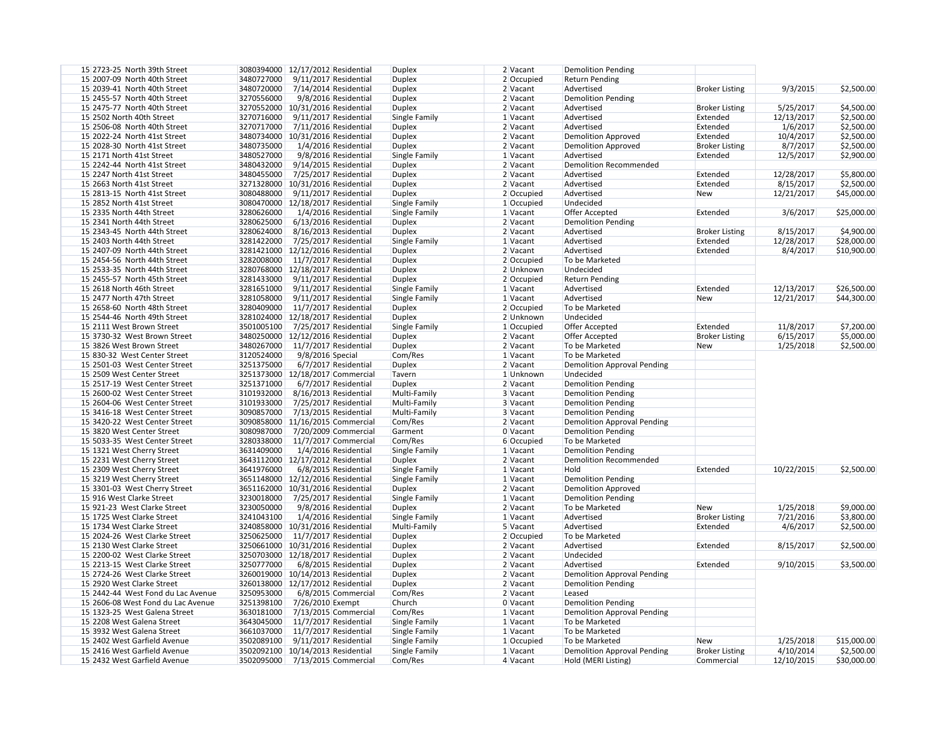| 15 2723-25 North 39th Street       | 3080394000 12/17/2012 Residential     | <b>Duplex</b> | 2 Vacant     | <b>Demolition Pending</b>          |                       |            |             |
|------------------------------------|---------------------------------------|---------------|--------------|------------------------------------|-----------------------|------------|-------------|
| 15 2007-09 North 40th Street       | 3480727000<br>9/11/2017 Residential   | <b>Duplex</b> | 2 Occupied   | <b>Return Pending</b>              |                       |            |             |
| 15 2039-41 North 40th Street       | 3480720000<br>7/14/2014 Residential   | <b>Duplex</b> | 2 Vacant     | Advertised                         | <b>Broker Listing</b> | 9/3/2015   | \$2,500.00  |
| 15 2455-57 North 40th Street       | 3270556000<br>9/8/2016 Residential    | <b>Duplex</b> | 2 Vacant     | <b>Demolition Pending</b>          |                       |            |             |
| 15 2475-77 North 40th Street       | 3270552000<br>10/31/2016 Residential  | <b>Duplex</b> | $2$ Vacant   | Advertised                         | <b>Broker Listing</b> | 5/25/2017  | \$4,500.00  |
| 15 2502 North 40th Street          | 3270716000<br>9/11/2017 Residential   | Single Family | $1$ Vacant   | Advertised                         | Extended              | 12/13/2017 | \$2,500.00  |
| 15 2506-08 North 40th Street       | 3270717000<br>7/11/2016 Residential   | <b>Duplex</b> | 2 Vacant     | Advertised                         | Extended              | 1/6/2017   | \$2,500.00  |
| 15 2022-24 North 41st Street       | 3480734000<br>10/31/2016 Residential  | <b>Duplex</b> | 2 Vacant     | <b>Demolition Approved</b>         | Extended              | 10/4/2017  | \$2,500.00  |
| 15 2028-30 North 41st Street       | 3480735000<br>1/4/2016 Residential    | <b>Duplex</b> | 2 Vacant     | <b>Demolition Approved</b>         | <b>Broker Listing</b> | 8/7/2017   | \$2,500.00  |
| 15 2171 North 41st Street          | 3480527000<br>9/8/2016 Residential    | Single Family | 1 Vacant     | Advertised                         | Extended              | 12/5/2017  | \$2,900.00  |
| 15 2242-44 North 41st Street       | 3480432000<br>9/14/2015 Residential   | <b>Duplex</b> | 2 Vacant     | <b>Demolition Recommended</b>      |                       |            |             |
| 15 2247 North 41st Street          | 3480455000<br>7/25/2017 Residential   | <b>Duplex</b> | 2 Vacant     | Advertised                         | Extended              | 12/28/2017 | \$5,800.00  |
| 15 2663 North 41st Street          | 3271328000 10/31/2016 Residential     | <b>Duplex</b> | 2 Vacant     | Advertised                         | Extended              | 8/15/2017  | \$2,500.00  |
| 15 2813-15 North 41st Street       | 3080488000<br>9/11/2017 Residential   | <b>Duplex</b> | $2$ Occupied | Advertised                         | <b>New</b>            | 12/21/2017 | \$45,000.00 |
| 15 2852 North 41st Street          | 3080470000 12/18/2017 Residential     | Single Family | $1$ Occupied | Undecided                          |                       |            |             |
| 15 2335 North 44th Street          | 3280626000<br>1/4/2016 Residential    | Single Family | 1 Vacant     | Offer Accepted                     | Extended              | 3/6/2017   | \$25,000.00 |
| 15 2341 North 44th Street          | 3280625000<br>6/13/2016 Residential   | <b>Duplex</b> | $2$ Vacant   | <b>Demolition Pending</b>          |                       |            |             |
| 15 2343-45 North 44th Street       | 3280624000<br>8/16/2013 Residential   | <b>Duplex</b> | $2$ Vacant   | Advertised                         | <b>Broker Listing</b> | 8/15/2017  | \$4,900.00  |
|                                    | 3281422000                            |               |              | Advertised                         |                       |            |             |
| 15 2403 North 44th Street          | 7/25/2017 Residential                 | Single Family | $1$ Vacant   |                                    | Extended              | 12/28/2017 | \$28,000.00 |
| 15 2407-09 North 44th Street       | 3281421000 12/12/2016 Residential     | <b>Duplex</b> | 2 Vacant     | Advertised                         | Extended              | 8/4/2017   | \$10,900.00 |
| 15 2454-56 North 44th Street       | 3282008000<br>11/7/2017 Residential   | <b>Duplex</b> | 2 Occupied   | To be Marketed                     |                       |            |             |
| 15 2533-35 North 44th Street       | 3280768000<br>12/18/2017 Residential  | <b>Duplex</b> | 2 Unknown    | Undecided                          |                       |            |             |
| 15 2455-57 North 45th Street       | 3281433000<br>9/11/2017 Residential   | <b>Duplex</b> | 2 Occupied   | <b>Return Pending</b>              |                       |            |             |
| 15 2618 North 46th Street          | 3281651000<br>9/11/2017 Residential   | Single Family | 1 Vacant     | Advertised                         | Extended              | 12/13/2017 | \$26,500.00 |
| 15 2477 North 47th Street          | 3281058000<br>9/11/2017 Residential   | Single Family | 1 Vacant     | Advertised                         | <b>New</b>            | 12/21/2017 | \$44,300.00 |
| 15 2658-60 North 48th Street       | 3280409000<br>11/7/2017 Residential   | Duplex        | 2 Occupied   | To be Marketed                     |                       |            |             |
| 15 2544-46 North 49th Street       | 3281024000 12/18/2017 Residential     | <b>Duplex</b> | 2 Unknown    | Undecided                          |                       |            |             |
| 15 2111 West Brown Street          | 3501005100<br>7/25/2017 Residential   | Single Family | 1 Occupied   | Offer Accepted                     | Extended              | 11/8/2017  | \$7,200.00  |
| 15 3730-32 West Brown Street       | 3480250000 12/12/2016 Residential     | <b>Duplex</b> | 2 Vacant     | Offer Accepted                     | <b>Broker Listing</b> | 6/15/2017  | \$5,000.00  |
| 15 3826 West Brown Street          | 3480267000<br>11/7/2017 Residential   | <b>Duplex</b> | 2 Vacant     | To be Marketed                     | <b>New</b>            | 1/25/2018  | \$2,500.00  |
| 15 830-32 West Center Street       | 3120524000<br>9/8/2016 Special        | Com/Res       | $1$ Vacant   | To be Marketed                     |                       |            |             |
| 15 2501-03 West Center Street      | 3251375000<br>6/7/2017 Residential    | <b>Duplex</b> | 2 Vacant     | <b>Demolition Approval Pending</b> |                       |            |             |
| 15 2509 West Center Street         | 3251373000 12/18/2017 Commercial      | Tavern        | 1 Unknown    | Undecided                          |                       |            |             |
| 15 2517-19 West Center Street      | 3251371000<br>6/7/2017 Residential    | <b>Duplex</b> | 2 Vacant     | <b>Demolition Pending</b>          |                       |            |             |
| 15 2600-02 West Center Street      | 3101932000<br>8/16/2013 Residential   | Multi-Family  | 3 Vacant     | <b>Demolition Pending</b>          |                       |            |             |
| 15 2604-06 West Center Street      | 3101933000<br>7/25/2017 Residential   | Multi-Family  | 3 Vacant     | <b>Demolition Pending</b>          |                       |            |             |
| 15 3416-18 West Center Street      | 3090857000<br>7/13/2015 Residential   | Multi-Family  | 3 Vacant     | <b>Demolition Pending</b>          |                       |            |             |
| 15 3420-22 West Center Street      | 3090858000 11/16/2015 Commercial      | Com/Res       | 2 Vacant     | <b>Demolition Approval Pending</b> |                       |            |             |
| 15 3820 West Center Street         | 7/20/2009 Commercial<br>3080987000    | Garment       | 0 Vacant     | <b>Demolition Pending</b>          |                       |            |             |
| 15 5033-35 West Center Street      | 3280338000<br>11/7/2017 Commercial    | Com/Res       | 6 Occupied   | To be Marketed                     |                       |            |             |
| 15 1321 West Cherry Street         | 3631409000<br>1/4/2016 Residential    | Single Family | 1 Vacant     | <b>Demolition Pending</b>          |                       |            |             |
| 15 2231 West Cherry Street         | 3643112000 12/17/2012 Residential     | <b>Duplex</b> | 2 Vacant     | Demolition Recommended             |                       |            |             |
| 15 2309 West Cherry Street         | 3641976000<br>6/8/2015 Residential    | Single Family | 1 Vacant     | Hold                               | Extended              | 10/22/2015 | \$2,500.00  |
| 15 3219 West Cherry Street         | 3651148000 12/12/2016 Residential     | Single Family | $1$ Vacant   | <b>Demolition Pending</b>          |                       |            |             |
|                                    |                                       | <b>Duplex</b> | 2 Vacant     |                                    |                       |            |             |
| 15 3301-03 West Cherry Street      | 3651162000<br>10/31/2016 Residential  |               |              | <b>Demolition Approved</b>         |                       |            |             |
| 15 916 West Clarke Street          | 3230018000<br>7/25/2017 Residential   | Single Family | $1$ Vacant   | <b>Demolition Pending</b>          |                       |            |             |
| 15 921-23 West Clarke Street       | 3230050000<br>9/8/2016 Residential    | <b>Duplex</b> | 2 Vacant     | To be Marketed                     | New                   | 1/25/2018  | \$9,000.00  |
| 15 1725 West Clarke Street         | 3241043100<br>1/4/2016 Residential    | Single Family | $1$ Vacant   | Advertised                         | <b>Broker Listing</b> | 7/21/2016  | \$3,800.00  |
| 15 1734 West Clarke Street         | 3240858000 10/31/2016 Residential     | Multi-Family  | 5 Vacant     | Advertised                         | Extended              | 4/6/2017   | \$2,500.00  |
| 15 2024-26 West Clarke Street      | 3250625000<br>11/7/2017 Residential   | <b>Duplex</b> | $2$ Occupied | To be Marketed                     |                       |            |             |
| 15 2130 West Clarke Street         | 3250661000 10/31/2016 Residential     | <b>Duplex</b> | 2 Vacant     | Advertised                         | Extended              | 8/15/2017  | \$2,500.00  |
| 15 2200-02 West Clarke Street      | 3250703000 12/18/2017 Residential     | <b>Duplex</b> | 2 Vacant     | Undecided                          |                       |            |             |
| 15 2213-15 West Clarke Street      | 3250777000<br>6/8/2015 Residential    | <b>Duplex</b> | 2 Vacant     | Advertised                         | Extended              | 9/10/2015  | \$3,500.00  |
| 15 2724-26 West Clarke Street      | 3260019000<br>10/14/2013 Residential  | <b>Duplex</b> | 2 Vacant     | <b>Demolition Approval Pending</b> |                       |            |             |
| 15 2920 West Clarke Street         | 3260138000 12/17/2012 Residential     | <b>Duplex</b> | $2$ Vacant   | <b>Demolition Pending</b>          |                       |            |             |
| 15 2442-44 West Fond du Lac Avenue | 3250953000<br>6/8/2015 Commercial     | Com/Res       | 2 Vacant     | Leased                             |                       |            |             |
| 15 2606-08 West Fond du Lac Avenue | 3251398100<br>7/26/2010 Exempt        | Church        | 0 Vacant     | <b>Demolition Pending</b>          |                       |            |             |
| 15 1323-25 West Galena Street      | 3630181000<br>7/13/2015 Commercial    | Com/Res       | $1$ Vacant   | <b>Demolition Approval Pending</b> |                       |            |             |
| 15 2208 West Galena Street         | 3643045000<br>11/7/2017 Residential   | Single Family | $1$ Vacant   | To be Marketed                     |                       |            |             |
| 15 3932 West Galena Street         | 3661037000<br>11/7/2017 Residential   | Single Family | 1 Vacant     | To be Marketed                     |                       |            |             |
| 15 2402 West Garfield Avenue       | 3502089100<br>$9/11/2017$ Residential | Single Family | 1 Occupied   | To be Marketed                     | <b>New</b>            | 1/25/2018  | \$15,000.00 |
| 15 2416 West Garfield Avenue       | 3502092100<br>10/14/2013 Residential  | Single Family | 1 Vacant     | <b>Demolition Approval Pending</b> | <b>Broker Listing</b> | 4/10/2014  | \$2,500.00  |
| 15 2432 West Garfield Avenue       | 3502095000<br>7/13/2015 Commercial    | Com/Res       | 4 Vacant     | Hold (MERI Listing)                | Commercial            | 12/10/2015 | \$30,000.00 |
|                                    |                                       |               |              |                                    |                       |            |             |